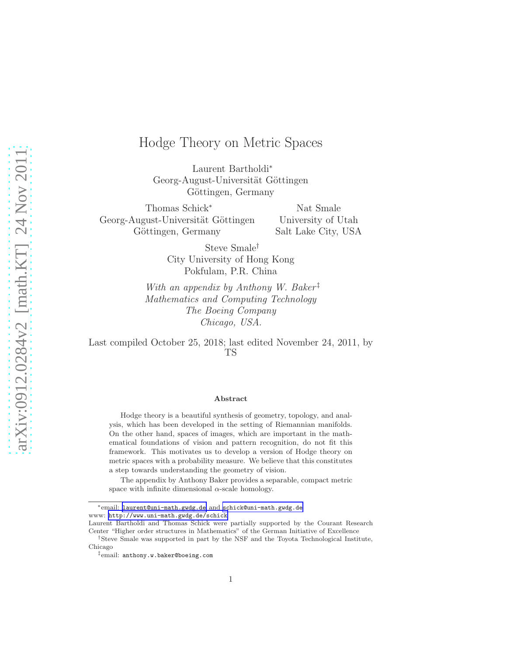# Hodge Theory on Metric Spaces

Laurent Bartholdi<sup>∗</sup> Georg-August-Universität Göttingen Göttingen, Germany

Thomas Schick<sup>∗</sup> Georg-August-Universität Göttingen Göttingen, Germany

Nat Smale University of Utah Salt Lake City, USA

Steve Smale† City University of Hong Kong Pokfulam, P.R. China

With an appendix by Anthony W. Baker<sup>‡</sup> Mathematics and Computing Technology The Boeing Company Chicago, USA.

Last compiled October 25, 2018; last edited November 24, 2011, by TS

#### Abstract

Hodge theory is a beautiful synthesis of geometry, topology, and analysis, which has been developed in the setting of Riemannian manifolds. On the other hand, spaces of images, which are important in the mathematical foundations of vision and pattern recognition, do not fit this framework. This motivates us to develop a version of Hodge theory on metric spaces with a probability measure. We believe that this constitutes a step towards understanding the geometry of vision.

The appendix by Anthony Baker provides a separable, compact metric space with infinite dimensional  $\alpha$ -scale homology.

<sup>∗</sup>email: [laurent@uni-math.gwdg.de](mailto:schick@uni-math.gwdg.de) and [schick@uni-math.gwdg.de](mailto:schick@uni-math.gwdg.de) www: <http://www.uni-math.gwdg.de/schick>

Laurent Bartholdi and Thomas Schick were partially supported by the Courant Research Center "Higher order structures in Mathematics" of the German Initiative of Excellence

<sup>†</sup>Steve Smale was supported in part by the NSF and the Toyota Technological Institute,

Chicago

<sup>‡</sup>email: anthony.w.baker@boeing.com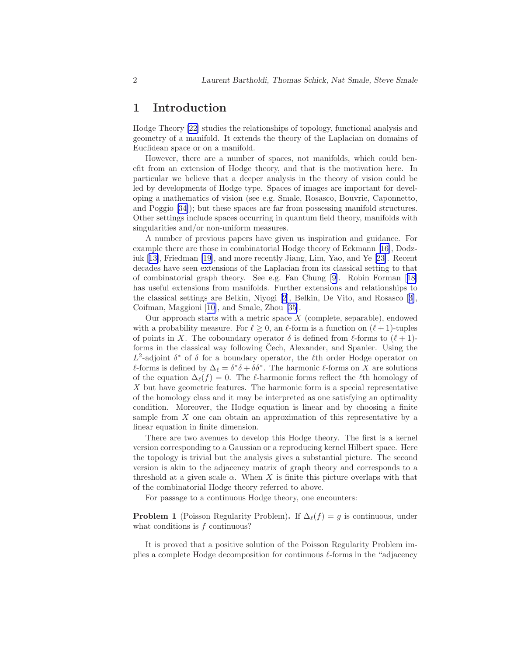### 1 Introduction

Hodge Theory [\[22](#page-48-0)] studies the relationships of topology, functional analysis and geometry of a manifold. It extends the theory of the Laplacian on domains of Euclidean space or on a manifold.

However, there are a number of spaces, not manifolds, which could benefit from an extension of Hodge theory, and that is the motivation here. In particular we believe that a deeper analysis in the theory of vision could be led by developments of Hodge type. Spaces of images are important for developing a mathematics of vision (see e.g. Smale, Rosasco, Bouvrie, Caponnetto, and Poggio[[34\]](#page-49-0)); but these spaces are far from possessing manifold structures. Other settings include spaces occurring in quantum field theory, manifolds with singularities and/or non-uniform measures.

A number of previous papers have given us inspiration and guidance. For example there are those in combinatorial Hodge theory of Eckmann [[16\]](#page-48-0), Dodziuk[[13\]](#page-47-0), Friedman [\[19](#page-48-0)], and more recently Jiang, Lim, Yao, and Ye[[23\]](#page-48-0). Recent decades have seen extensions of the Laplacian from its classical setting to that of combinatorial graph theory. See e.g. Fan Chung [\[9\]](#page-47-0). Robin Forman [[18\]](#page-48-0) has useful extensions from manifolds. Further extensions and relationships to the classical settings are Belkin, Niyogi [\[2](#page-47-0)], Belkin, De Vito, and Rosasco[[3\]](#page-47-0), Coifman, Maggioni[[10\]](#page-47-0), and Smale, Zhou [\[35](#page-49-0)].

Our approach starts with a metric space  $X$  (complete, separable), endowed with a probability measure. For  $\ell \geq 0$ , an  $\ell$ -form is a function on  $(\ell + 1)$ -tuples of points in X. The coboundary operator  $\delta$  is defined from  $\ell$ -forms to  $(\ell + 1)$ forms in the classical way following Čech, Alexander, and Spanier. Using the  $L^2$ -adjoint  $\delta^*$  of  $\delta$  for a boundary operator, the  $\ell$ th order Hodge operator on  $\ell$ -forms is defined by  $\Delta_{\ell} = \delta^* \delta + \delta \delta^*$ . The harmonic  $\ell$ -forms on X are solutions of the equation  $\Delta_{\ell}(f) = 0$ . The  $\ell$ -harmonic forms reflect the  $\ell$ th homology of  $X$  but have geometric features. The harmonic form is a special representative of the homology class and it may be interpreted as one satisfying an optimality condition. Moreover, the Hodge equation is linear and by choosing a finite sample from X one can obtain an approximation of this representative by a linear equation in finite dimension.

There are two avenues to develop this Hodge theory. The first is a kernel version corresponding to a Gaussian or a reproducing kernel Hilbert space. Here the topology is trivial but the analysis gives a substantial picture. The second version is akin to the adjacency matrix of graph theory and corresponds to a threshold at a given scale  $\alpha$ . When X is finite this picture overlaps with that of the combinatorial Hodge theory referred to above.

For passage to a continuous Hodge theory, one encounters:

**Problem 1** (Poisson Regularity Problem). If  $\Delta_{\ell}(f) = g$  is continuous, under what conditions is f continuous?

It is proved that a positive solution of the Poisson Regularity Problem implies a complete Hodge decomposition for continuous  $\ell$ -forms in the "adjacency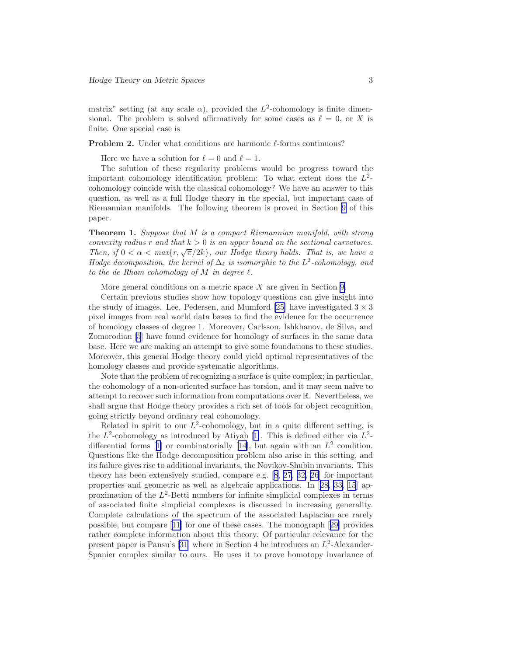matrix" setting (at any scale  $\alpha$ ), provided the  $L^2$ -cohomology is finite dimensional. The problem is solved affirmatively for some cases as  $\ell = 0$ , or X is finite. One special case is

**Problem 2.** Under what conditions are harmonic  $\ell$ -forms continuous?

Here we have a solution for  $\ell = 0$  and  $\ell = 1$ .

The solution of these regularity problems would be progress toward the important cohomology identification problem: To what extent does the  $L^2$ cohomology coincide with the classical cohomology? We have an answer to this question, as well as a full Hodge theory in the special, but important case of Riemannian manifolds. The following theorem is proved in Section [9](#page-27-0) of this paper.

Theorem 1. Suppose that M is a compact Riemannian manifold, with strong convexity radius r and that  $k > 0$  is an upper bound on the sectional curvatures. Then, if  $0 < \alpha < \max\{r, \sqrt{\pi}/2k\}$ , our Hodge theory holds. That is, we have a Hodge decomposition, the kernel of  $\Delta_{\ell}$  is isomorphic to the  $L^2$ -cohomology, and to the de Rham cohomology of M in degree  $\ell$ .

More general conditions on a metric space  $X$  are given in Section [9.](#page-27-0)

Certain previous studies show how topology questions can give insight into the study of images. Lee, Pedersen, and Mumford [\[25](#page-48-0)] have investigated  $3 \times 3$ pixel images from real world data bases to find the evidence for the occurrence of homology classes of degree 1. Moreover, Carlsson, Ishkhanov, de Silva, and Zomorodian [\[5](#page-47-0)] have found evidence for homology of surfaces in the same data base. Here we are making an attempt to give some foundations to these studies. Moreover, this general Hodge theory could yield optimal representatives of the homology classes and provide systematic algorithms.

Note that the problem of recognizing a surface is quite complex; in particular, the cohomology of a non-oriented surface has torsion, and it may seem naive to attempt to recover such information from computations over R. Nevertheless, we shall argue that Hodge theory provides a rich set of tools for object recognition, going strictly beyond ordinary real cohomology.

Related in spirit to our  $L^2$ -cohomology, but in a quite different setting, is the $L^2$ -cohomology as introduced by Atiyah [[1\]](#page-47-0). This is defined either via  $L^2$ -differentialforms [[1\]](#page-47-0) or combinatorially [[14\]](#page-47-0), but again with an  $L^2$  condition. Questions like the Hodge decomposition problem also arise in this setting, and its failure gives rise to additional invariants, the Novikov-Shubin invariants. This theory has been extensively studied, compare e.g.[[8,](#page-47-0) [27](#page-48-0), [32,](#page-49-0) [26\]](#page-48-0) for important properties and geometric as well as algebraic applications. In[[28,](#page-48-0) [33,](#page-49-0) [15](#page-48-0)] approximation of the  $L^2$ -Betti numbers for infinite simplicial complexes in terms of associated finite simplicial complexes is discussed in increasing generality. Complete calculations of the spectrum of the associated Laplacian are rarely possible, but compare[[11\]](#page-47-0) for one of these cases. The monograph [[29\]](#page-49-0) provides rather complete information about this theory. Of particular relevance for the presentpaper is Pansu's [[31\]](#page-49-0) where in Section 4 he introduces an  $L^2$ -Alexander-Spanier complex similar to ours. He uses it to prove homotopy invariance of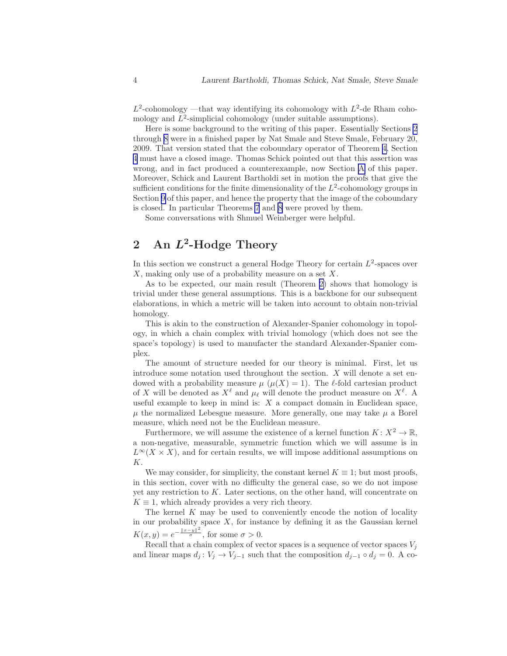<span id="page-3-0"></span> $L^2$ -cohomology —that way identifying its cohomology with  $L^2$ -de Rham cohomology and  $L^2$ -simplicial cohomology (under suitable assumptions).

Here is some background to the writing of this paper. Essentially Sections 2 through [8](#page-26-0) were in a finished paper by Nat Smale and Steve Smale, February 20, 2009. That version stated that the coboundary operator of Theorem [4,](#page-16-0) Section [4](#page-15-0) must have a closed image. Thomas Schick pointed out that this assertion was wrong, and in fact produced a counterexample, now Section [A](#page-38-0) of this paper. Moreover, Schick and Laurent Bartholdi set in motion the proofs that give the sufficient conditions for the finite dimensionality of the  $L^2$ -cohomology groups in Section [9](#page-27-0) of this paper, and hence the property that the image of the coboundary is closed. In particular Theorems [7](#page-31-0) and [8](#page-32-0) were proved by them.

Some conversations with Shmuel Weinberger were helpful.

# 2 An  $L^2$ -Hodge Theory

In this section we construct a general Hodge Theory for certain  $L^2$ -spaces over  $X$ , making only use of a probability measure on a set  $X$ .

As to be expected, our main result (Theorem [2\)](#page-7-0) shows that homology is trivial under these general assumptions. This is a backbone for our subsequent elaborations, in which a metric will be taken into account to obtain non-trivial homology.

This is akin to the construction of Alexander-Spanier cohomology in topology, in which a chain complex with trivial homology (which does not see the space's topology) is used to manufacter the standard Alexander-Spanier complex.

The amount of structure needed for our theory is minimal. First, let us introduce some notation used throughout the section.  $X$  will denote a set endowed with a probability measure  $\mu$  ( $\mu$ (X) = 1). The  $\ell$ -fold cartesian product of X will be denoted as  $X^{\ell}$  and  $\mu_{\ell}$  will denote the product measure on  $X^{\ell}$ . A useful example to keep in mind is:  $X$  a compact domain in Euclidean space,  $\mu$  the normalized Lebesgue measure. More generally, one may take  $\mu$  a Borel measure, which need not be the Euclidean measure.

Furthermore, we will assume the existence of a kernel function  $K: X^2 \to \mathbb{R}$ , a non-negative, measurable, symmetric function which we will assume is in  $L^{\infty}(X \times X)$ , and for certain results, we will impose additional assumptions on K.

We may consider, for simplicity, the constant kernel  $K \equiv 1$ ; but most proofs, in this section, cover with no difficulty the general case, so we do not impose yet any restriction to K. Later sections, on the other hand, will concentrate on  $K \equiv 1$ , which already provides a very rich theory.

The kernel  $K$  may be used to conveniently encode the notion of locality in our probability space  $X$ , for instance by defining it as the Gaussian kernel  $K(x, y) = e^{-\frac{||x-y||^2}{\sigma}},$  for some  $\sigma > 0$ .

Recall that a chain complex of vector spaces is a sequence of vector spaces  $V_i$ and linear maps  $d_j: V_j \to V_{j-1}$  such that the composition  $d_{j-1} \circ d_j = 0$ . A co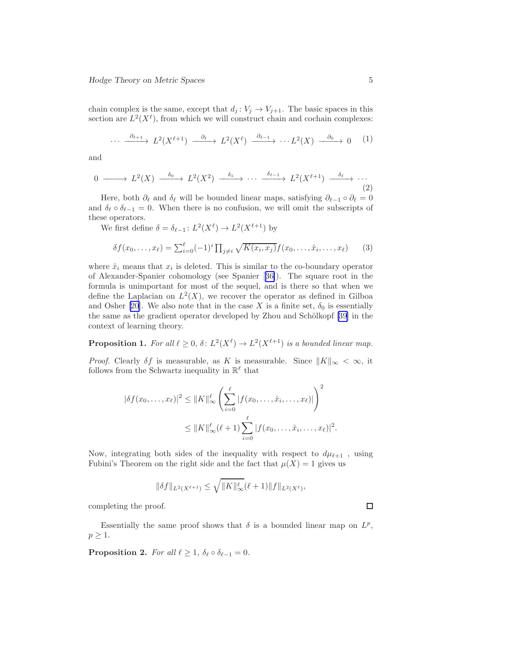<span id="page-4-0"></span>chain complex is the same, except that  $d_j: V_j \to V_{j+1}$ . The basic spaces in this section are  $L^2(X^{\ell})$ , from which we will construct chain and cochain complexes:

$$
\cdots \xrightarrow{\partial_{\ell+1}} L^2(X^{\ell+1}) \xrightarrow{\partial_{\ell}} L^2(X^{\ell}) \xrightarrow{\partial_{\ell-1}} \cdots L^2(X) \xrightarrow{\partial_0} 0 \qquad (1)
$$

and

$$
0 \longrightarrow L^2(X) \xrightarrow{\delta_0} L^2(X^2) \xrightarrow{\delta_1} \cdots \xrightarrow{\delta_{\ell-1}} L^2(X^{\ell+1}) \xrightarrow{\delta_\ell} \cdots
$$
\n(2)

Here, both  $\partial_{\ell}$  and  $\delta_{\ell}$  will be bounded linear maps, satisfying  $\partial_{\ell-1} \circ \partial_{\ell} = 0$ and  $\delta_{\ell} \circ \delta_{\ell-1} = 0$ . When there is no confusion, we will omit the subscripts of these operators.

We first define  $\delta = \delta_{\ell-1} : L^2(X^{\ell}) \to L^2(X^{\ell+1})$  by

$$
\delta f(x_0, ..., x_\ell) = \sum_{i=0}^{\ell} (-1)^i \prod_{j \neq i} \sqrt{K(x_i, x_j)} f(x_0, ..., \hat{x}_i, ..., x_\ell)
$$
 (3)

where  $\hat{x}_i$  means that  $x_i$  is deleted. This is similar to the co-boundary operator of Alexander-Spanier cohomology (see Spanier[[36\]](#page-49-0)). The square root in the formula is unimportant for most of the sequel, and is there so that when we define the Laplacian on  $L^2(X)$ , we recover the operator as defined in Gilboa andOsher [[20\]](#page-48-0). We also note that in the case X is a finite set,  $\delta_0$  is essentially the same as the gradient operator developed by Zhou and Schölkopf [\[39](#page-49-0)] in the context of learning theory.

**Proposition 1.** For all  $\ell \geq 0$ ,  $\delta$ :  $L^2(X^{\ell}) \to L^2(X^{\ell+1})$  is a bounded linear map.

*Proof.* Clearly  $\delta f$  is measurable, as K is measurable. Since  $||K||_{\infty} < \infty$ , it follows from the Schwartz inequality in  $\mathbb{R}^{\ell}$  that

$$
|\delta f(x_0, ..., x_\ell)|^2 \leq ||K||_{\infty}^{\ell} \left( \sum_{i=0}^{\ell} |f(x_0, ..., \hat{x}_i, ..., x_\ell)| \right)^2
$$
  

$$
\leq ||K||_{\infty}^{\ell} (\ell + 1) \sum_{i=0}^{\ell} |f(x_0, ..., \hat{x}_i, ..., x_\ell)|^2.
$$

Now, integrating both sides of the inequality with respect to  $d\mu_{\ell+1}$  , using Fubini's Theorem on the right side and the fact that  $\mu(X) = 1$  gives us

$$
\|\delta f\|_{L^2(X^{\ell+1})} \le \sqrt{\|K\|_{\infty}^{\ell}} (\ell+1) \|f\|_{L^2(X^{\ell})},
$$

completing the proof.

Essentially the same proof shows that  $\delta$  is a bounded linear map on  $L^p$ ,  $p \geq 1$ .

**Proposition 2.** For all  $\ell \geq 1$ ,  $\delta_{\ell} \circ \delta_{\ell-1} = 0$ .

 $\Box$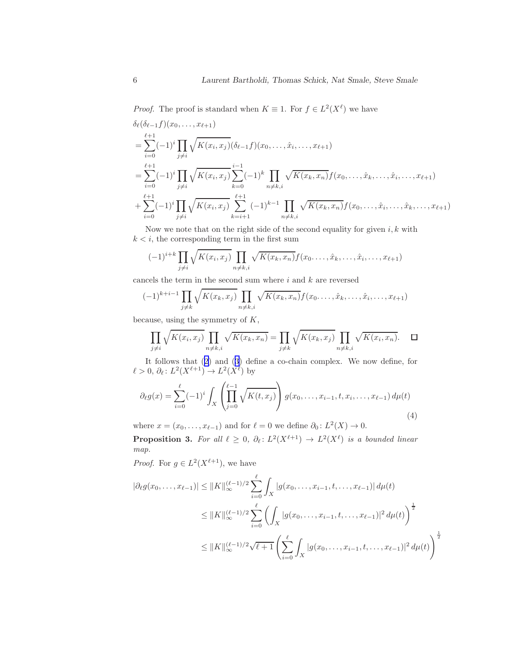<span id="page-5-0"></span>*Proof.* The proof is standard when  $K \equiv 1$ . For  $f \in L^2(X^{\ell})$  we have

$$
\delta_{\ell}(\delta_{\ell-1}f)(x_0, \ldots, x_{\ell+1})
$$
\n
$$
= \sum_{i=0}^{\ell+1} (-1)^i \prod_{j \neq i} \sqrt{K(x_i, x_j)} (\delta_{\ell-1}f)(x_0, \ldots, \hat{x}_i, \ldots, x_{\ell+1})
$$
\n
$$
= \sum_{i=0}^{\ell+1} (-1)^i \prod_{j \neq i} \sqrt{K(x_i, x_j)} \sum_{k=0}^{i-1} (-1)^k \prod_{n \neq k, i} \sqrt{K(x_k, x_n)} f(x_0, \ldots, \hat{x}_k, \ldots, \hat{x}_i, \ldots, x_{\ell+1})
$$
\n
$$
+ \sum_{i=0}^{\ell+1} (-1)^i \prod_{j \neq i} \sqrt{K(x_i, x_j)} \sum_{k=i+1}^{\ell+1} (-1)^{k-1} \prod_{n \neq k, i} \sqrt{K(x_k, x_n)} f(x_0, \ldots, \hat{x}_i, \ldots, \hat{x}_k, \ldots, x_{\ell+1})
$$

Now we note that on the right side of the second equality for given  $i, k$  with  $k < i$ , the corresponding term in the first sum

$$
(-1)^{i+k} \prod_{j \neq i} \sqrt{K(x_i, x_j)} \prod_{n \neq k, i} \sqrt{K(x_k, x_n)} f(x_0, \ldots, \hat{x}_k, \ldots, \hat{x}_i, \ldots, x_{\ell+1})
$$

cancels the term in the second sum where i and k are reversed

$$
(-1)^{k+i-1} \prod_{j \neq k} \sqrt{K(x_k, x_j)} \prod_{n \neq k, i} \sqrt{K(x_k, x_n)} f(x_0, \dots, \hat{x}_k, \dots, \hat{x}_i, \dots, x_{\ell+1})
$$

because, using the symmetry of  $K$ ,

$$
\prod_{j \neq i} \sqrt{K(x_i, x_j)} \prod_{n \neq k, i} \sqrt{K(x_k, x_n)} = \prod_{j \neq k} \sqrt{K(x_k, x_j)} \prod_{n \neq k, i} \sqrt{K(x_i, x_n)}.
$$

It follows that([2\)](#page-4-0) and([3\)](#page-4-0) define a co-chain complex. We now define, for  $\ell > 0$ ,  $\partial_{\ell} : L^2(X^{\ell+1}) \to L^2(X^{\ell})$  by

$$
\partial_{\ell}g(x) = \sum_{i=0}^{\ell} (-1)^i \int_X \left( \prod_{j=0}^{\ell-1} \sqrt{K(t, x_j)} \right) g(x_0, \dots, x_{i-1}, t, x_i, \dots, x_{\ell-1}) d\mu(t)
$$
\n(4)

where  $x = (x_0, \ldots, x_{\ell-1})$  and for  $\ell = 0$  we define  $\partial_0 \colon L^2(X) \to 0$ .

**Proposition 3.** For all  $\ell \geq 0$ ,  $\partial_{\ell} \colon L^2(X^{\ell+1}) \to L^2(X^{\ell})$  is a bounded linear map.

*Proof.* For  $g \in L^2(X^{\ell+1})$ , we have

$$
|\partial_{\ell}g(x_{0},...,x_{\ell-1})| \leq ||K||_{\infty}^{(\ell-1)/2} \sum_{i=0}^{\ell} \int_{X} |g(x_{0},...,x_{i-1},t,...,x_{\ell-1})| d\mu(t)
$$
  
\n
$$
\leq ||K||_{\infty}^{(\ell-1)/2} \sum_{i=0}^{\ell} \left( \int_{X} |g(x_{0},...,x_{i-1},t,...,x_{\ell-1})|^{2} d\mu(t) \right)^{\frac{1}{2}}
$$
  
\n
$$
\leq ||K||_{\infty}^{(\ell-1)/2} \sqrt{\ell+1} \left( \sum_{i=0}^{\ell} \int_{X} |g(x_{0},...,x_{i-1},t,...,x_{\ell-1})|^{2} d\mu(t) \right)^{\frac{1}{2}}
$$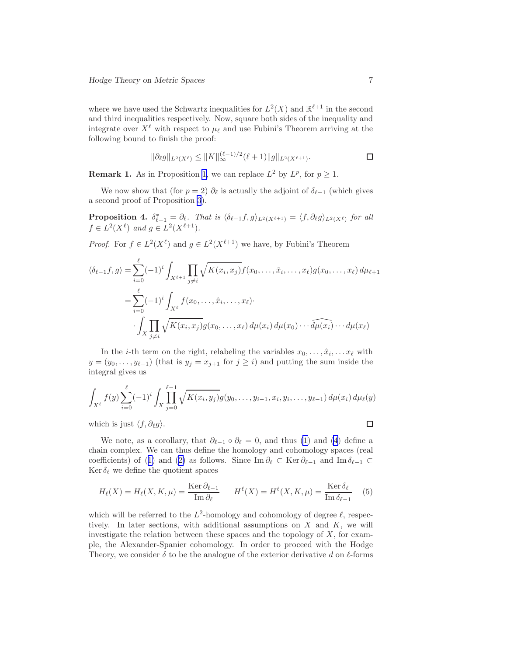<span id="page-6-0"></span>where we have used the Schwartz inequalities for  $L^2(X)$  and  $\mathbb{R}^{\ell+1}$  in the second and third inequalities respectively. Now, square both sides of the inequality and integrate over  $X^{\ell}$  with respect to  $\mu_{\ell}$  and use Fubini's Theorem arriving at the following bound to finish the proof:

$$
\|\partial_{\ell}g\|_{L^{2}(X^{\ell})} \leq \|K\|_{\infty}^{(\ell-1)/2}(\ell+1)\|g\|_{L^{2}(X^{\ell+1})}.
$$

**Remark [1](#page-4-0).** As in Proposition 1, we can replace  $L^2$  by  $L^p$ , for  $p \ge 1$ .

We now show that (for  $p = 2$ )  $\partial_{\ell}$  is actually the adjoint of  $\delta_{\ell-1}$  (which gives a second proof of Proposition [3](#page-5-0)).

**Proposition 4.**  $\delta_{\ell-1}^* = \partial_{\ell}$ . That is  $\langle \delta_{\ell-1} f, g \rangle_{L^2(X^{\ell+1})} = \langle f, \partial_{\ell} g \rangle_{L^2(X^{\ell})}$  for all  $f \in L^2(X^{\ell})$  and  $g \in L^2(X^{\ell+1})$ .

*Proof.* For  $f \in L^2(X^{\ell})$  and  $g \in L^2(X^{\ell+1})$  we have, by Fubini's Theorem

$$
\langle \delta_{\ell-1} f, g \rangle = \sum_{i=0}^{\ell} (-1)^i \int_{X^{\ell+1}} \prod_{j \neq i} \sqrt{K(x_i, x_j)} f(x_0, \dots, \hat{x}_i, \dots, x_{\ell}) g(x_0, \dots, x_{\ell}) d\mu_{\ell+1}
$$
  

$$
= \sum_{i=0}^{\ell} (-1)^i \int_{X^{\ell}} f(x_0, \dots, \hat{x}_i, \dots, x_{\ell}) \cdot \int_X \prod_{j \neq i} \sqrt{K(x_i, x_j)} g(x_0, \dots, x_{\ell}) d\mu(x_i) d\mu(x_0) \cdots d\mu(x_i) \cdots d\mu(x_{\ell})
$$

In the *i*-th term on the right, relabeling the variables  $x_0, \ldots, \hat{x}_i, \ldots x_\ell$  with  $y = (y_0, \ldots, y_{\ell-1})$  (that is  $y_j = x_{j+1}$  for  $j \geq i$ ) and putting the sum inside the integral gives us

$$
\int_{X^{\ell}} f(y) \sum_{i=0}^{\ell} (-1)^{i} \int_{X} \prod_{j=0}^{\ell-1} \sqrt{K(x_i, y_j)} g(y_0, \dots, y_{i-1}, x_i, y_i, \dots, y_{\ell-1}) d\mu(x_i) d\mu(\ell y)
$$

which is just  $\langle f, \partial_\ell g \rangle$ .

 $\Box$ 

We note, as a corollary, that  $\partial_{\ell-1} \circ \partial_{\ell} = 0$ , and thus [\(1\)](#page-4-0) and [\(4](#page-5-0)) define a chain complex. We can thus define the homology and cohomology spaces (real coefficients)of ([1\)](#page-4-0) and ([2\)](#page-4-0) as follows. Since Im  $\partial_{\ell} \subset \text{Ker} \partial_{\ell-1}$  and Im  $\delta_{\ell-1} \subset$ Ker  $\delta_{\ell}$  we define the quotient spaces

$$
H_{\ell}(X) = H_{\ell}(X, K, \mu) = \frac{\text{Ker }\partial_{\ell-1}}{\text{Im }\partial_{\ell}} \qquad H^{\ell}(X) = H^{\ell}(X, K, \mu) = \frac{\text{Ker }\delta_{\ell}}{\text{Im }\delta_{\ell-1}} \tag{5}
$$

which will be referred to the  $L^2$ -homology and cohomology of degree  $\ell$ , respectively. In later sections, with additional assumptions on  $X$  and  $K$ , we will investigate the relation between these spaces and the topology of  $X$ , for example, the Alexander-Spanier cohomology. In order to proceed with the Hodge Theory, we consider  $\delta$  to be the analogue of the exterior derivative d on  $\ell$ -forms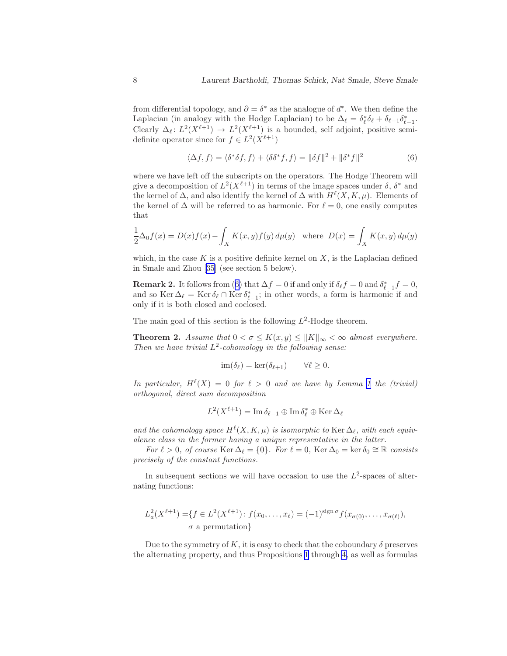<span id="page-7-0"></span>from differential topology, and  $\partial = \delta^*$  as the analogue of  $d^*$ . We then define the Laplacian (in analogy with the Hodge Laplacian) to be  $\Delta_{\ell} = \delta_{\ell}^* \delta_{\ell} + \delta_{\ell-1} \delta_{\ell-1}^*$ .  $\ell-1$ Clearly  $\Delta_{\ell}: L^2(X^{\ell+1}) \to L^2(X^{\ell+1})$  is a bounded, self adjoint, positive semidefinite operator since for  $f \in L^2(X^{\ell+1})$ 

$$
\langle \Delta f, f \rangle = \langle \delta^* \delta f, f \rangle + \langle \delta \delta^* f, f \rangle = ||\delta f||^2 + ||\delta^* f||^2 \tag{6}
$$

where we have left off the subscripts on the operators. The Hodge Theorem will give a decomposition of  $L^2(X^{\ell+1})$  in terms of the image spaces under  $\delta$ ,  $\delta^*$  and the kernel of  $\Delta$ , and also identify the kernel of  $\Delta$  with  $H^{\ell}(X, K, \mu)$ . Elements of the kernel of  $\Delta$  will be referred to as harmonic. For  $\ell = 0$ , one easily computes that

$$
\frac{1}{2}\Delta_0 f(x) = D(x)f(x) - \int_X K(x, y)f(y) d\mu(y) \text{ where } D(x) = \int_X K(x, y) d\mu(y)
$$

which, in the case K is a positive definite kernel on  $X$ , is the Laplacian defined in Smale and Zhou [\[35](#page-49-0)] (see section 5 below).

**Remark 2.** It follows from (6) that  $\Delta f = 0$  if and only if  $\delta_{\ell} f = 0$  and  $\delta_{\ell-1}^* f = 0$ , and so Ker  $\Delta_{\ell} = \text{Ker } \delta_{\ell} \cap \text{Ker } \delta_{\ell-1}^*$ ; in other words, a form is harmonic if and only if it is both closed and coclosed.

The main goal of this section is the following  $L^2$ -Hodge theorem.

**Theorem 2.** Assume that  $0 < \sigma \le K(x, y) \le ||K||_{\infty} < \infty$  almost everywhere. Then we have trivial  $L^2$ -cohomology in the following sense:

$$
\operatorname{im}(\delta_{\ell}) = \ker(\delta_{\ell+1}) \qquad \forall \ell \ge 0.
$$

In particular,  $H^{\ell}(X) = 0$  for  $\ell > 0$  and we have by Lemma [1](#page-8-0) the (trivial) orthogonal, direct sum decomposition

$$
L^2(X^{\ell+1}) = \operatorname{Im} \delta_{\ell-1} \oplus \operatorname{Im} \delta_{\ell}^* \oplus \operatorname{Ker} \Delta_{\ell}
$$

and the cohomology space  $H^{\ell}(X, K, \mu)$  is isomorphic to Ker  $\Delta_{\ell}$ , with each equivalence class in the former having a unique representative in the latter.

For  $\ell > 0$ , of course Ker  $\Delta_{\ell} = \{0\}$ . For  $\ell = 0$ , Ker  $\Delta_0 = \ker \delta_0 \cong \mathbb{R}$  consists precisely of the constant functions.

In subsequent sections we will have occasion to use the  $L^2$ -spaces of alternating functions:

$$
L_a^2(X^{\ell+1}) = \{ f \in L^2(X^{\ell+1}) : f(x_0, \dots, x_\ell) = (-1)^{\text{sign}\,\sigma} f(x_{\sigma(0)}, \dots, x_{\sigma(\ell)}),
$$
  

$$
\sigma \text{ a permutation} \}
$$

Due to the symmetry of K, it is easy to check that the coboundary  $\delta$  preserves the alternating property, and thus Propositions [1](#page-4-0) through [4](#page-6-0), as well as formulas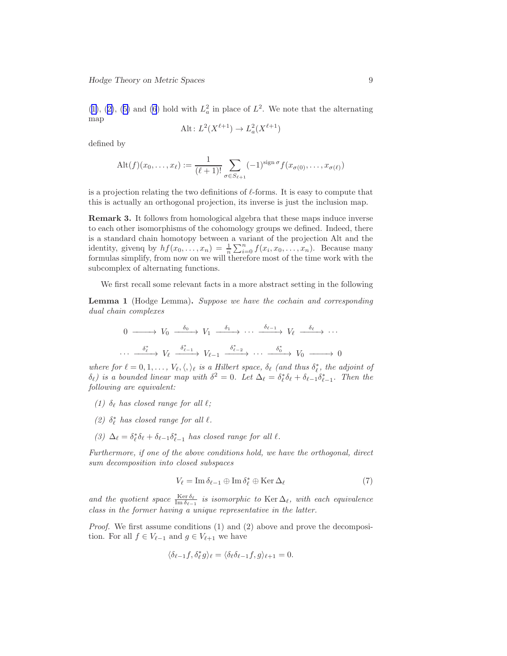<span id="page-8-0"></span> $(1)$  $(1)$ , $(2)$  $(2)$ ,  $(5)$  $(5)$  and  $(6)$  hold with  $L<sub>a</sub><sup>2</sup>$  in place of  $L<sup>2</sup>$ . We note that the alternating map

$$
\operatorname{Alt}: L^2(X^{\ell+1}) \to L^2_a(X^{\ell+1})
$$

defined by

$$
\mathrm{Alt}(f)(x_0,\ldots,x_\ell) := \frac{1}{(\ell+1)!} \sum_{\sigma \in S_{\ell+1}} (-1)^{\mathrm{sign}\,\sigma} f(x_{\sigma(0)},\ldots,x_{\sigma(\ell)})
$$

is a projection relating the two definitions of  $\ell$ -forms. It is easy to compute that this is actually an orthogonal projection, its inverse is just the inclusion map.

Remark 3. It follows from homological algebra that these maps induce inverse to each other isomorphisms of the cohomology groups we defined. Indeed, there is a standard chain homotopy between a variant of the projection Alt and the identity, given  $\text{by } hf(x_0, \ldots, x_n) = \frac{1}{n} \sum_{i=0}^n f(x_i, x_0, \ldots, x_n)$ . Because many formulas simplify, from now on we will therefore most of the time work with the subcomplex of alternating functions.

We first recall some relevant facts in a more abstract setting in the following

Lemma 1 (Hodge Lemma). Suppose we have the cochain and corresponding dual chain complexes

$$
0 \longrightarrow V_0 \longrightarrow V_1 \longrightarrow \delta_1 \longrightarrow \cdots \longrightarrow \delta_{\ell-1} \longrightarrow V_\ell \longrightarrow \cdots
$$
  

$$
\cdots \longrightarrow \delta_\ell^* \longrightarrow V_\ell \longrightarrow V_{\ell-1} \longrightarrow \delta_{\ell-2}^* \longrightarrow \cdots \longrightarrow \delta_0^* \longrightarrow V_0 \longrightarrow 0
$$

where for  $\ell = 0, 1, \ldots, V_{\ell}, \langle, \rangle_{\ell}$  is a Hilbert space,  $\delta_{\ell}$  (and thus  $\delta_{\ell}^{*}$ , the adjoint of  $\delta_{\ell}$ ) is a bounded linear map with  $\delta^2 = 0$ . Let  $\Delta_{\ell} = \delta_{\ell}^* \delta_{\ell} + \delta_{\ell-1} \delta_{\ell-1}^*$ . Then the following are equivalent:

- (1)  $\delta_{\ell}$  has closed range for all  $\ell$ ;
- (2)  $\delta_{\ell}^{*}$  has closed range for all  $\ell$ .
- (3)  $\Delta_{\ell} = \delta_{\ell}^* \delta_{\ell} + \delta_{\ell-1} \delta_{\ell-1}^*$  has closed range for all  $\ell$ .

Furthermore, if one of the above conditions hold, we have the orthogonal, direct sum decomposition into closed subspaces

$$
V_{\ell} = \operatorname{Im} \delta_{\ell-1} \oplus \operatorname{Im} \delta_{\ell}^{*} \oplus \operatorname{Ker} \Delta_{\ell} \tag{7}
$$

and the quotient space  $\frac{\text{Ker }\delta_\ell}{\text{Im }\delta_{\ell-1}}$  is isomorphic to  $\text{Ker }\Delta_\ell$ , with each equivalence class in the former having a unique representative in the latter.

Proof. We first assume conditions (1) and (2) above and prove the decomposition. For all  $f \in V_{\ell-1}$  and  $g \in V_{\ell+1}$  we have

$$
\langle \delta_{\ell-1} f, \delta_{\ell}^* g \rangle_{\ell} = \langle \delta_{\ell} \delta_{\ell-1} f, g \rangle_{\ell+1} = 0.
$$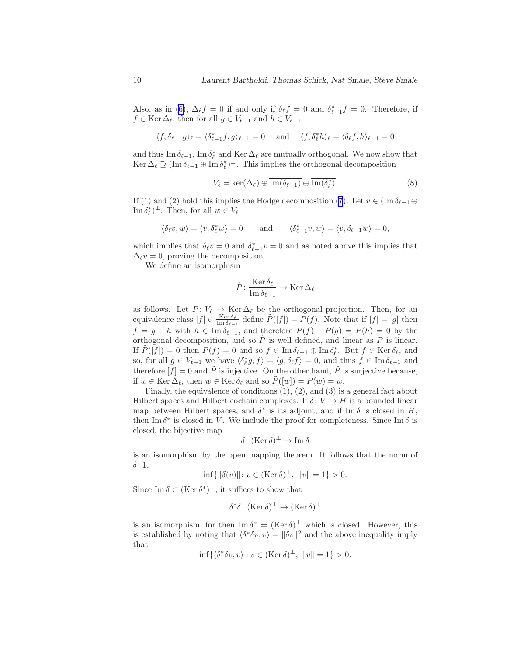<span id="page-9-0"></span>Also,as in ([6\)](#page-7-0),  $\Delta_{\ell} f = 0$  if and only if  $\delta_{\ell} f = 0$  and  $\delta_{\ell-1}^* f = 0$ . Therefore, if  $f \in \text{Ker}\,\Delta_{\ell}$ , then for all  $g \in V_{\ell-1}$  and  $h \in V_{\ell+1}$ 

$$
\langle f, \delta_{\ell-1}g \rangle_{\ell} = \langle \delta_{\ell-1}^* f, g \rangle_{\ell-1} = 0 \quad \text{and} \quad \langle f, \delta_{\ell}^* h \rangle_{\ell} = \langle \delta_{\ell}f, h \rangle_{\ell+1} = 0
$$

and thus Im  $\delta_{\ell-1}$ , Im  $\delta_{\ell}^*$  and Ker  $\Delta_{\ell}$  are mutually orthogonal. We now show that  $\text{Ker }\Delta_{\ell} \supseteq (\text{Im }\delta_{\ell-1} \oplus \text{Im }\delta_{\ell}^{*})^{\perp}$ . This implies the orthogonal decomposition

$$
V_{\ell} = \ker(\Delta_{\ell}) \oplus \overline{\mathrm{Im}(\delta_{\ell-1})} \oplus \overline{\mathrm{Im}(\delta_{\ell}^{*})}.
$$
 (8)

If (1) and (2) hold this implies the Hodge decomposition [\(7](#page-8-0)). Let  $v \in (\text{Im } \delta_{\ell-1} \oplus$  $\text{Im } \delta_{\ell}^*$  +. Then, for all  $w \in V_{\ell}$ ,

$$
\langle \delta_\ell v, w \rangle = \langle v, \delta_\ell^* w \rangle = 0
$$
 and  $\langle \delta_{\ell-1}^* v, w \rangle = \langle v, \delta_{\ell-1} w \rangle = 0$ ,

which implies that  $\delta_\ell v = 0$  and  $\delta_{\ell-1}^* v = 0$  and as noted above this implies that  $\Delta_\ell v = 0$ , proving the decomposition.

We define an isomorphism

$$
\tilde{P} \colon \frac{\text{Ker } \delta_{\ell}}{\text{Im } \delta_{\ell-1}} \to \text{Ker } \Delta_{\ell}
$$

as follows. Let  $P: V_{\ell} \to \text{Ker } \Delta_{\ell}$  be the orthogonal projection. Then, for an equivalence class  $[f] \in \frac{\text{Ker } \delta_{\ell}}{\text{Im } \delta_{\ell-1}}$  define  $\tilde{P}([f]) = P(f)$ . Note that if  $[f] = [g]$  then  $f = g + h$  with  $h \in \text{Im } \delta_{\ell-1}$ , and therefore  $P(f) - P(g) = P(h) = 0$  by the orthogonal decomposition, and so  $\tilde{P}$  is well defined, and linear as P is linear. If  $\tilde{P}([f]) = 0$  then  $P(f) = 0$  and so  $f \in \text{Im } \delta_{\ell-1} \oplus \text{Im } \delta_{\ell}^*$ . But  $f \in \text{Ker } \delta_{\ell}$ , and so, for all  $g \in V_{\ell+1}$  we have  $\langle \delta_{\ell}^* g, f \rangle = \langle g, \delta_{\ell} f \rangle = 0$ , and thus  $f \in \text{Im } \delta_{\ell-1}$  and therefore  $[f] = 0$  and  $\tilde{P}$  is injective. On the other hand,  $\tilde{P}$  is surjective because, if  $w \in \text{Ker}\,\Delta_{\ell}$ , then  $w \in \text{Ker}\,\delta_{\ell}$  and so  $P([w]) = P(w) = w$ .

Finally, the equivalence of conditions (1), (2), and (3) is a general fact about Hilbert spaces and Hilbert cochain complexes. If  $\delta: V \to H$  is a bounded linear map between Hilbert spaces, and  $\delta^*$  is its adjoint, and if Im  $\delta$  is closed in H, then Im  $\delta^*$  is closed in V. We include the proof for completeness. Since Im  $\delta$  is closed, the bijective map

$$
\delta\colon(\operatorname{Ker}\delta)^{\perp}\to\operatorname{Im}\delta
$$

is an isomorphism by the open mapping theorem. It follows that the norm of  $\delta^-1,$ 

$$
\inf\{\|\delta(v)\| \colon v \in (\text{Ker}\,\delta)^{\perp}, \ \|v\| = 1\} > 0.
$$

Since  $\text{Im } \delta \subset (\text{Ker } \delta^*)^{\perp}$ , it suffices to show that

$$
\delta^*\delta\colon(\text{Ker}\,\delta)^\perp\to(\text{Ker}\,\delta)^\perp
$$

is an isomorphism, for then  $\text{Im }\delta^* = (\text{Ker }\delta)^{\perp}$  which is closed. However, this is established by noting that  $\langle \delta^* \delta v, v \rangle = ||\delta v||^2$  and the above inequality imply that

$$
\inf \{ \langle \delta^* \delta v, v \rangle : v \in (\text{Ker } \delta)^\perp, \ \|v\| = 1 \} > 0.
$$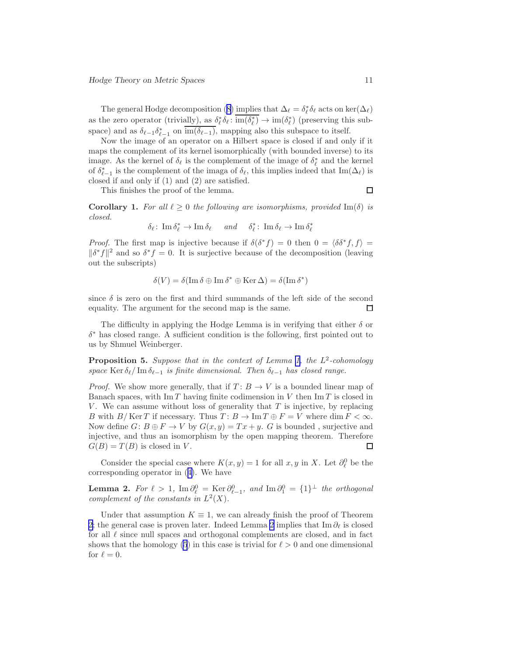<span id="page-10-0"></span>Thegeneral Hodge decomposition ([8\)](#page-9-0) implies that  $\Delta_{\ell} = \delta_{\ell}^* \delta_{\ell}$  acts on ker $(\Delta_{\ell})$ as the zero operator (trivially), as  $\delta_{\ell}^* \delta_{\ell} : \text{im}(\delta_{\ell}^*) \to \text{im}(\delta_{\ell}^*)$  (preserving this subspace) and as  $\delta_{\ell-1} \delta_{\ell-1}^*$  on  $\text{im}(\delta_{\ell-1})$ , mapping also this subspace to itself.

Now the image of an operator on a Hilbert space is closed if and only if it maps the complement of its kernel isomorphically (with bounded inverse) to its image. As the kernel of  $\delta_{\ell}$  is the complement of the image of  $\delta_{\ell}^{*}$  and the kernel of  $\delta_{\ell-1}^*$  is the complement of the imaga of  $\delta_{\ell}$ , this implies indeed that Im( $\Delta_{\ell}$ ) is closed if and only if (1) and (2) are satisfied.

This finishes the proof of the lemma.

 $\Box$ 

**Corollary 1.** For all  $\ell \geq 0$  the following are isomorphisms, provided Im( $\delta$ ) is closed.

$$
\delta_{\ell}: \operatorname{Im} \delta_{\ell}^{*} \to \operatorname{Im} \delta_{\ell} \quad \text{and} \quad \delta_{\ell}^{*}: \operatorname{Im} \delta_{\ell} \to \operatorname{Im} \delta_{\ell}^{*}
$$

*Proof.* The first map is injective because if  $\delta(\delta^* f) = 0$  then  $0 = \langle \delta \delta^* f, f \rangle =$  $\|\delta^* f\|^2$  and so  $\delta^* f = 0$ . It is surjective because of the decomposition (leaving out the subscripts)

$$
\delta(V) = \delta(\operatorname{Im} \delta \oplus \operatorname{Im} \delta^* \oplus \operatorname{Ker} \Delta) = \delta(\operatorname{Im} \delta^*)
$$

since  $\delta$  is zero on the first and third summands of the left side of the second equality. The argument for the second map is the same. П

The difficulty in applying the Hodge Lemma is in verifying that either  $\delta$  or  $\delta^*$  has closed range. A sufficient condition is the following, first pointed out to us by Shmuel Weinberger.

**Proposition 5.** Suppose that in the context of Lemma [1,](#page-8-0) the  $L^2$ -cohomology space Ker  $\delta_{\ell}$  Im  $\delta_{\ell-1}$  is finite dimensional. Then  $\delta_{\ell-1}$  has closed range.

*Proof.* We show more generally, that if  $T: B \to V$  is a bounded linear map of Banach spaces, with  $\text{Im } T$  having finite codimension in V then  $\text{Im } T$  is closed in V. We can assume without loss of generality that  $T$  is injective, by replacing B with  $B/\text{Ker }T$  if necessary. Thus  $T: B \to \text{Im }T \oplus F = V$  where  $\dim F < \infty$ . Now define  $G: B \oplus F \to V$  by  $G(x, y) = Tx + y$ . G is bounded, surjective and injective, and thus an isomorphism by the open mapping theorem. Therefore  $G(B) = T(B)$  is closed in V.  $\Box$ 

Consider the special case where  $K(x, y) = 1$  for all  $x, y$  in X. Let  $\partial_{\ell}^{0}$  be the corresponding operator in([4\)](#page-5-0). We have

**Lemma 2.** For  $\ell > 1$ ,  $\text{Im } \partial_{\ell}^{0} = \text{Ker } \partial_{\ell-1}^{0}$ , and  $\text{Im } \partial_{1}^{0} = \{1\}^{\perp}$  the orthogonal complement of the constants in  $L^2(X)$ .

Under that assumption  $K \equiv 1$ , we can already finish the proof of Theorem [2;](#page-7-0) the general case is proven later. Indeed Lemma 2 implies that Im  $\partial_{\ell}$  is closed for all  $\ell$  since null spaces and orthogonal complements are closed, and in fact shows that the homology [\(5](#page-6-0)) in this case is trivial for  $\ell > 0$  and one dimensional for  $\ell = 0$ .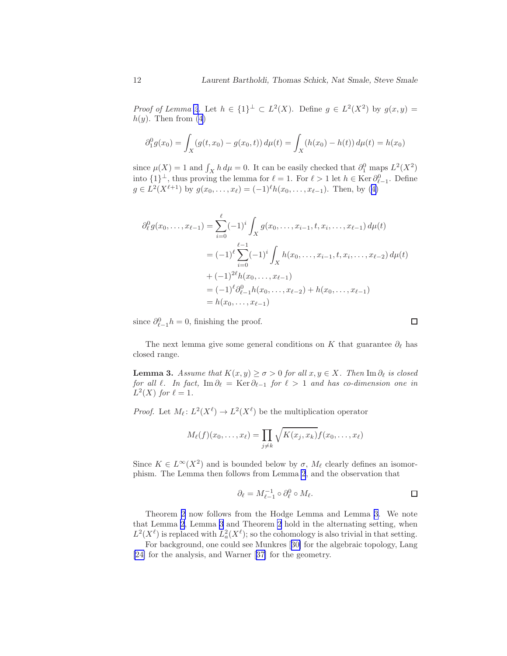Proof of Lemma [2](#page-10-0). Let  $h \in \{1\}^{\perp} \subset L^2(X)$ . Define  $g \in L^2(X^2)$  by  $g(x, y) =$  $h(y)$ . Then from  $(4)$ 

$$
\partial_1^0 g(x_0) = \int_X (g(t, x_0) - g(x_0, t)) d\mu(t) = \int_X (h(x_0) - h(t)) d\mu(t) = h(x_0)
$$

since  $\mu(X) = 1$  and  $\int_X h d\mu = 0$ . It can be easily checked that  $\partial_1^0$  maps  $L^2(X^2)$ into  $\{1\}^{\perp}$ , thus proving the lemma for  $\ell = 1$ . For  $\ell > 1$  let  $h \in \text{Ker } \partial_{\ell-1}^0$ . Define  $g \in L^2(X^{\ell+1})$  $g \in L^2(X^{\ell+1})$  $g \in L^2(X^{\ell+1})$  by  $g(x_0, \ldots, x_\ell) = (-1)^\ell h(x_0, \ldots, x_{\ell-1})$ . Then, by ([4\)](#page-5-0)

$$
\partial_{\ell}^{0} g(x_{0},...,x_{\ell-1}) = \sum_{i=0}^{\ell} (-1)^{i} \int_{X} g(x_{0},...,x_{i-1},t,x_{i},...,x_{\ell-1}) d\mu(t)
$$
  
\n
$$
= (-1)^{\ell} \sum_{i=0}^{\ell-1} (-1)^{i} \int_{X} h(x_{0},...,x_{i-1},t,x_{i},...,x_{\ell-2}) d\mu(t)
$$
  
\n
$$
+ (-1)^{2\ell} h(x_{0},...,x_{\ell-1})
$$
  
\n
$$
= (-1)^{\ell} \partial_{\ell-1}^{0} h(x_{0},...,x_{\ell-2}) + h(x_{0},...,x_{\ell-1})
$$
  
\n
$$
= h(x_{0},...,x_{\ell-1})
$$

since  $\partial_{\ell-1}^0 h = 0$ , finishing the proof.

The next lemma give some general conditions on K that guarantee  $\partial_{\ell}$  has closed range.

**Lemma 3.** Assume that  $K(x, y) \ge \sigma > 0$  for all  $x, y \in X$ . Then Im  $\partial_{\ell}$  is closed for all  $\ell$ . In fact, Im  $\partial_{\ell} = \text{Ker} \partial_{\ell-1}$  for  $\ell > 1$  and has co-dimension one in  $L^2(X)$  for  $\ell = 1$ .

*Proof.* Let  $M_{\ell}: L^2(X^{\ell}) \to L^2(X^{\ell})$  be the multiplication operator

$$
M_{\ell}(f)(x_0,\ldots,x_{\ell})=\prod_{j\neq k}\sqrt{K(x_j,x_k)}f(x_0,\ldots,x_{\ell})
$$

Since  $K \in L^{\infty}(X^2)$  and is bounded below by  $\sigma$ ,  $M_{\ell}$  clearly defines an isomorphism. The Lemma then follows from Lemma [2](#page-10-0), and the observation that

$$
\partial_{\ell} = M_{\ell-1}^{-1} \circ \partial_{\ell}^{0} \circ M_{\ell}.
$$

Theorem [2](#page-7-0) now follows from the Hodge Lemma and Lemma 3. We note that Lemma [2](#page-10-0), Lemma 3 and Theorem [2](#page-7-0) hold in the alternating setting, when  $L^2(X^{\ell})$  is replaced with  $L^2_a(X^{\ell})$ ; so the cohomology is also trivial in that setting.

For background, one could see Munkres[[30\]](#page-49-0) for the algebraic topology, Lang [\[24\]](#page-48-0) for the analysis, and Warner[[37\]](#page-49-0) for the geometry.

 $\Box$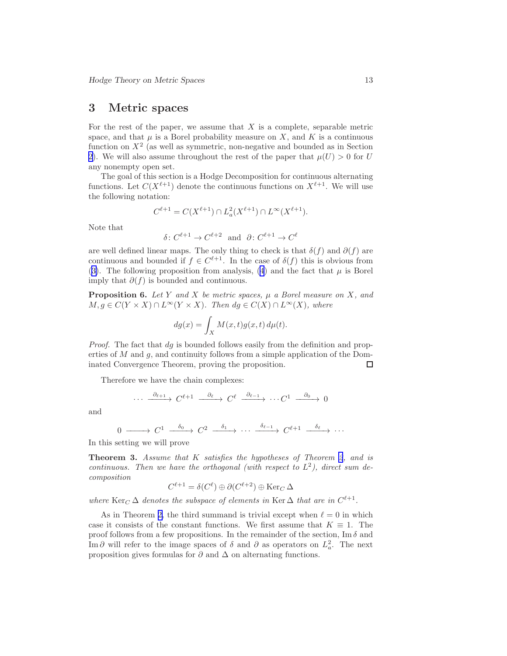### <span id="page-12-0"></span>3 Metric spaces

For the rest of the paper, we assume that  $X$  is a complete, separable metric space, and that  $\mu$  is a Borel probability measure on X, and K is a continuous function on  $X<sup>2</sup>$  (as well as symmetric, non-negative and bounded as in Section [2\)](#page-3-0). We will also assume throughout the rest of the paper that  $\mu(U) > 0$  for U any nonempty open set.

The goal of this section is a Hodge Decomposition for continuous alternating functions. Let  $C(X^{\ell+1})$  denote the continuous functions on  $X^{\ell+1}$ . We will use the following notation:

$$
C^{\ell+1} = C(X^{\ell+1}) \cap L_a^2(X^{\ell+1}) \cap L^\infty(X^{\ell+1}).
$$

Note that

$$
\delta \colon C^{\ell+1} \to C^{\ell+2} \text{ and } \partial \colon C^{\ell+1} \to C^{\ell}
$$

are well defined linear maps. The only thing to check is that  $\delta(f)$  and  $\partial(f)$  are continuous and bounded if  $f \in C^{\ell+1}$ . In the case of  $\delta(f)$  this is obvious from ([3\)](#page-4-0). The following proposition from analysis, [\(4](#page-5-0)) and the fact that  $\mu$  is Borel imply that  $\partial(f)$  is bounded and continuous.

**Proposition 6.** Let Y and X be metric spaces,  $\mu$  a Borel measure on X, and  $M, g \in C(Y \times X) \cap L^{\infty}(Y \times X)$ . Then  $dg \in C(X) \cap L^{\infty}(X)$ , where

$$
dg(x) = \int_X M(x, t)g(x, t) d\mu(t).
$$

Proof. The fact that dg is bounded follows easily from the definition and properties of M and g, and continuity follows from a simple application of the Dominated Convergence Theorem, proving the proposition.  $\Box$ 

Therefore we have the chain complexes:

$$
\cdots \xrightarrow{\partial_{\ell+1}} C^{\ell+1} \xrightarrow{\partial_{\ell}} C^{\ell} \xrightarrow{\partial_{\ell-1}} \cdots C^1 \xrightarrow{\partial_0} 0
$$

and

$$
0 \longrightarrow C^1 \xrightarrow{\delta_0} C^2 \xrightarrow{\delta_1} \cdots \xrightarrow{\delta_{\ell-1}} C^{\ell+1} \xrightarrow{\delta_{\ell}} \cdots
$$

In this setting we will prove

Theorem 3. Assume that K satisfies the hypotheses of Theorem [2](#page-7-0), and is continuous. Then we have the orthogonal (with respect to  $L^2$ ), direct sum decomposition

$$
C^{\ell+1} = \delta(C^{\ell}) \oplus \partial (C^{\ell+2}) \oplus \text{Ker}_C \,\Delta
$$

where  $\text{Ker}_C \Delta$  denotes the subspace of elements in  $\text{Ker}\Delta$  that are in  $C^{\ell+1}$ .

As in Theorem [2,](#page-7-0) the third summand is trivial except when  $\ell = 0$  in which case it consists of the constant functions. We first assume that  $K \equiv 1$ . The proof follows from a few propositions. In the remainder of the section,  $\text{Im } \delta$  and Im ∂ will refer to the image spaces of  $\delta$  and  $\partial$  as operators on  $L^2_a$ . The next proposition gives formulas for  $\partial$  and  $\Delta$  on alternating functions.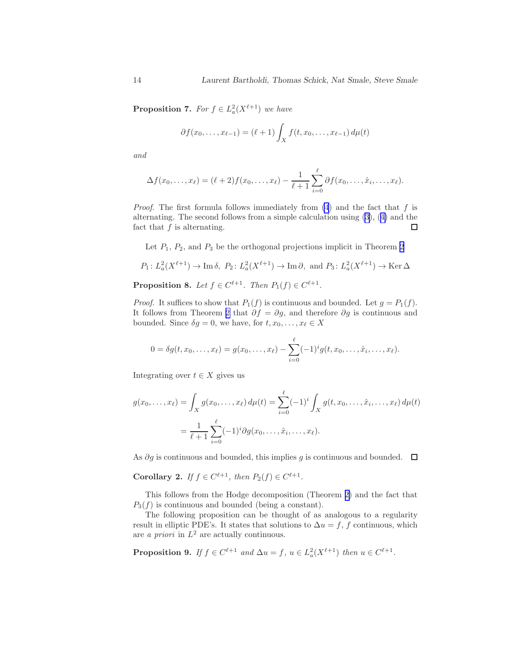<span id="page-13-0"></span>**Proposition 7.** For  $f \in L_a^2(X^{\ell+1})$  we have

$$
\partial f(x_0,...,x_{\ell-1}) = (\ell+1) \int_X f(t,x_0,...,x_{\ell-1}) d\mu(t)
$$

and

$$
\Delta f(x_0,\ldots,x_\ell)=(\ell+2)f(x_0,\ldots,x_\ell)-\frac{1}{\ell+1}\sum_{i=0}^\ell\partial f(x_0,\ldots,\hat{x}_i,\ldots,x_\ell).
$$

*Proof.* The first formula follows immediately from  $(4)$  and the fact that f is alternating. The second follows from a simple calculation using [\(3](#page-4-0)),([4\)](#page-5-0) and the fact that  $f$  is alternating.  $\Box$ 

Let  $P_1$ ,  $P_2$ , and  $P_3$  be the orthogonal projections implicit in Theorem [2](#page-7-0)

$$
P_1: L_a^2(X^{\ell+1}) \to \text{Im } \delta, \ P_2: L_a^2(X^{\ell+1}) \to \text{Im } \partial, \text{ and } P_3: L_a^2(X^{\ell+1}) \to \text{Ker } \Delta
$$
  
**Proposition 8.** Let  $f \in C^{\ell+1}$ . Then  $P_1(f) \in C^{\ell+1}$ .

*Proof.* It suffices to show that  $P_1(f)$  is continuous and bounded. Let  $g = P_1(f)$ . It follows from Theorem [2](#page-7-0) that  $\partial f = \partial g$ , and therefore  $\partial g$  is continuous and bounded. Since  $\delta g = 0$ , we have, for  $t, x_0, \ldots, x_\ell \in X$ 

$$
0 = \delta g(t, x_0, \dots, x_\ell) = g(x_0, \dots, x_\ell) - \sum_{i=0}^\ell (-1)^i g(t, x_0, \dots, \hat{x}_i, \dots, x_\ell).
$$

Integrating over  $t \in X$  gives us

$$
g(x_0, ..., x_\ell) = \int_X g(x_0, ..., x_\ell) d\mu(t) = \sum_{i=0}^\ell (-1)^i \int_X g(t, x_0, ..., \hat{x}_i, ..., x_\ell) d\mu(t)
$$
  
= 
$$
\frac{1}{\ell+1} \sum_{i=0}^\ell (-1)^i \partial g(x_0, ..., \hat{x}_i, ..., x_\ell).
$$

As  $\partial g$  is continuous and bounded, this implies g is continuous and bounded.  $\square$ 

Corollary 2. If  $f \in C^{\ell+1}$ , then  $P_2(f) \in C^{\ell+1}$ .

This follows from the Hodge decomposition (Theorem [2\)](#page-7-0) and the fact that  $P_3(f)$  is continuous and bounded (being a constant).

The following proposition can be thought of as analogous to a regularity result in elliptic PDE's. It states that solutions to  $\Delta u = f, f$  continuous, which are *a priori* in  $L^2$  are actually continuous.

**Proposition 9.** If 
$$
f \in C^{\ell+1}
$$
 and  $\Delta u = f$ ,  $u \in L^2_a(X^{\ell+1})$  then  $u \in C^{\ell+1}$ .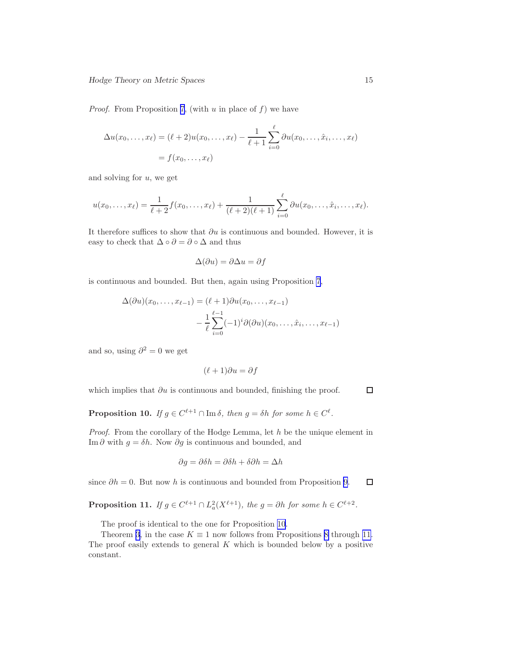*Proof.* From Proposition [7,](#page-13-0) (with  $u$  in place of  $f$ ) we have

$$
\Delta u(x_0,\ldots,x_\ell)=(\ell+2)u(x_0,\ldots,x_\ell)-\frac{1}{\ell+1}\sum_{i=0}^\ell\partial u(x_0,\ldots,\hat{x}_i,\ldots,x_\ell)
$$
  
=  $f(x_0,\ldots,x_\ell)$ 

and solving for  $u$ , we get

$$
u(x_0,...,x_\ell) = \frac{1}{\ell+2} f(x_0,...,x_\ell) + \frac{1}{(\ell+2)(\ell+1)} \sum_{i=0}^\ell \partial u(x_0,...,\hat{x}_i,...,x_\ell).
$$

It therefore suffices to show that  $\partial u$  is continuous and bounded. However, it is easy to check that  $\Delta \circ \partial = \partial \circ \Delta$  and thus

$$
\Delta(\partial u) = \partial \Delta u = \partial f
$$

is continuous and bounded. But then, again using Proposition [7](#page-13-0),

$$
\Delta(\partial u)(x_0,\ldots,x_{\ell-1}) = (\ell+1)\partial u(x_0,\ldots,x_{\ell-1})
$$

$$
-\frac{1}{\ell}\sum_{i=0}^{\ell-1}(-1)^i\partial(\partial u)(x_0,\ldots,\hat{x}_i,\ldots,x_{\ell-1})
$$

and so, using  $\partial^2 = 0$  we get

$$
(\ell+1)\partial u = \partial f
$$

which implies that  $\partial u$  is continuous and bounded, finishing the proof.

 $\Box$ 

**Proposition 10.** If  $g \in C^{\ell+1} \cap \text{Im } \delta$ , then  $g = \delta h$  for some  $h \in C^{\ell}$ .

Proof. From the corollary of the Hodge Lemma, let h be the unique element in Im ∂ with  $q = \delta h$ . Now  $\partial q$  is continuous and bounded, and

$$
\partial g = \partial \delta h = \partial \delta h + \delta \partial h = \Delta h
$$

since  $\partial h = 0$ . But now h is continuous and bounded from Proposition [9](#page-13-0).  $\Box$ 

**Proposition 11.** If  $g \in C^{\ell+1} \cap L_a^2(X^{\ell+1})$ , the  $g = \partial h$  for some  $h \in C^{\ell+2}$ .

The proof is identical to the one for Proposition 10.

Theorem [3](#page-12-0), in the case  $K \equiv 1$  now follows from Propositions [8](#page-13-0) through 11. The proof easily extends to general  $K$  which is bounded below by a positive constant.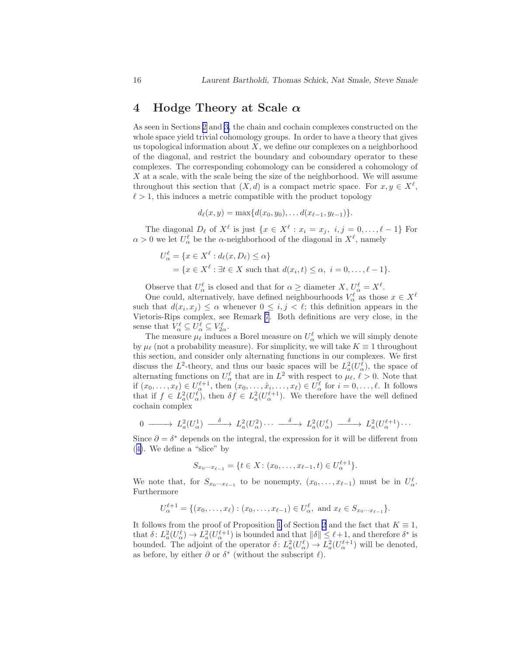### <span id="page-15-0"></span>4 Hodge Theory at Scale  $\alpha$

As seen in Sections [2](#page-3-0) and [3](#page-12-0), the chain and cochain complexes constructed on the whole space yield trivial cohomology groups. In order to have a theory that gives us topological information about  $X$ , we define our complexes on a neighborhood of the diagonal, and restrict the boundary and coboundary operator to these complexes. The corresponding cohomology can be considered a cohomology of  $X$  at a scale, with the scale being the size of the neighborhood. We will assume throughout this section that  $(X, d)$  is a compact metric space. For  $x, y \in X^{\ell}$ ,  $\ell > 1$ , this induces a metric compatible with the product topology

 $d_{\ell}(x, y) = \max\{d(x_0, y_0), \ldots d(x_{\ell-1}, y_{\ell-1})\}.$ 

The diagonal  $D_{\ell}$  of  $X^{\ell}$  is just  $\{x \in X^{\ell} : x_i = x_j, i, j = 0, \ldots, \ell - 1\}$  For  $\alpha > 0$  we let  $U^{\ell}_{\alpha}$  be the  $\alpha$ -neighborhood of the diagonal in  $X^{\ell}$ , namely

$$
U_{\alpha}^{\ell} = \{x \in X^{\ell} : d_{\ell}(x, D_{\ell}) \leq \alpha\}
$$
  
=  $\{x \in X^{\ell} : \exists t \in X \text{ such that } d(x_i, t) \leq \alpha, i = 0, ..., \ell - 1\}.$ 

Observe that  $U^{\ell}_{\alpha}$  is closed and that for  $\alpha \geq$  diameter  $X, U^{\ell}_{\alpha} = X^{\ell}$ .

One could, alternatively, have defined neighbourhoods  $V^{\ell}_{\alpha}$  as those  $x \in X^{\ell}$ such that  $d(x_i, x_j) \leq \alpha$  whenever  $0 \leq i, j < \ell$ ; this definition appears in the Vietoris-Rips complex, see Remark [7](#page-17-0). Both definitions are very close, in the sense that  $V_{\alpha}^{\ell} \subseteq U_{\alpha}^{\ell} \subseteq V_{2\alpha}^{\ell}$ .

The measure  $\mu_{\ell}$  induces a Borel measure on  $U^{\ell}_{\alpha}$  which we will simply denote by  $\mu_{\ell}$  (not a probability measure). For simplicity, we will take  $K \equiv 1$  throughout this section, and consider only alternating functions in our complexes. We first discuss the  $L^2$ -theory, and thus our basic spaces will be  $L^2_a(U^{\ell}_{\alpha})$ , the space of alternating functions on  $U^{\ell}_{\alpha}$  that are in  $L^2$  with respect to  $\mu_{\ell}, \ell > 0$ . Note that if  $(x_0, \ldots, x_\ell) \in U^{\ell+1}_{\alpha}$ , then  $(x_0, \ldots, \hat{x}_i, \ldots, x_\ell) \in U^{\ell}_{\alpha}$  for  $i = 0, \ldots, \ell$ . It follows that if  $f \in L^2_a(U_\alpha^{\ell})$ , then  $\delta f \in L^2_a(U_\alpha^{\ell+1})$ . We therefore have the well defined cochain complex

$$
0 \longrightarrow L_a^2(U_\alpha^1) \longrightarrow L_a^2(U_\alpha^2) \cdots \longrightarrow L_a^2(U_\alpha^{\ell}) \longrightarrow L_a^2(U_\alpha^{\ell+1}) \cdots
$$

Since  $\partial = \delta^*$  depends on the integral, the expression for it will be different from ([4\)](#page-5-0). We define a "slice" by

$$
S_{x_0\cdots x_{\ell-1}} = \{t \in X \colon (x_0,\ldots,x_{\ell-1},t) \in U_\alpha^{\ell+1}\}.
$$

We note that, for  $S_{x_0\cdots x_{\ell-1}}$  to be nonempty,  $(x_0,\ldots,x_{\ell-1})$  must be in  $U_\alpha^{\ell}$ . Furthermore

$$
U_{\alpha}^{\ell+1} = \{ (x_0, \ldots, x_{\ell}) : (x_0, \ldots, x_{\ell-1}) \in U_{\alpha}^{\ell}, \text{ and } x_{\ell} \in S_{x_0 \cdots x_{\ell-1}} \}.
$$

It follows from the proof of Proposition [1](#page-4-0) of Section [2](#page-3-0) and the fact that  $K \equiv 1$ , that  $\delta: L^2_a(U^{\ell}_\alpha) \to L^2_a(U^{\ell+1}_\alpha)$  is bounded and that  $\|\delta\| \leq \ell+1$ , and therefore  $\delta^*$  is bounded. The adjoint of the operator  $\delta: L_a^2(U_\alpha^{\ell}) \to L_a^2(U_\alpha^{\ell+1})$  will be denoted, as before, by either  $\partial$  or  $\delta^*$  (without the subscript  $\ell$ ).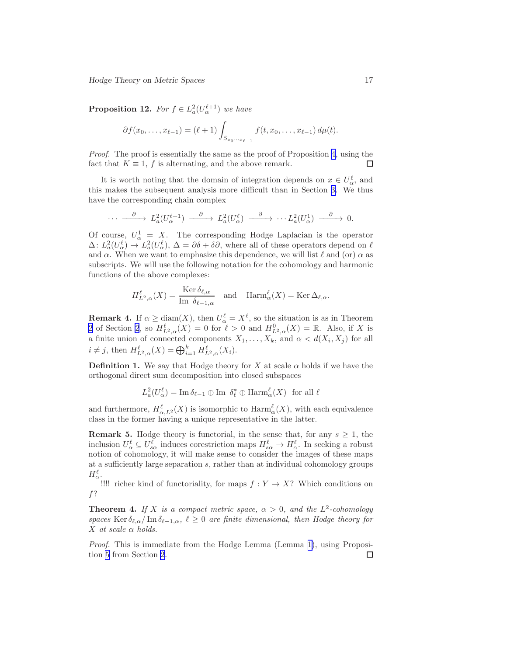<span id="page-16-0"></span>**Proposition 12.** For  $f \in L^2_a(U_\alpha^{l+1})$  we have

$$
\partial f(x_0,\ldots,x_{\ell-1}) = (\ell+1) \int_{S_{x_0\cdots x_{\ell-1}}} f(t,x_0,\ldots,x_{\ell-1}) d\mu(t).
$$

Proof. The proof is essentially the same as the proof of Proposition [4](#page-6-0), using the fact that  $K \equiv 1$ , f is alternating, and the above remark.

It is worth noting that the domain of integration depends on  $x \in U^{\ell}_{\alpha}$ , and this makes the subsequent analysis more difficult than in Section [3.](#page-12-0) We thus have the corresponding chain complex

$$
\cdots \xrightarrow{\partial} L_a^2(U_\alpha^{\ell+1}) \xrightarrow{\partial} L_a^2(U_\alpha^{\ell}) \xrightarrow{\partial} \cdots L_a^2(U_\alpha^1) \xrightarrow{\partial} 0.
$$

Of course,  $U^1_{\alpha} = X$ . The corresponding Hodge Laplacian is the operator  $\Delta: L_a^2(U_\alpha^{\ell}) \to L_a^2(U_\alpha^{\ell}), \Delta = \partial \delta + \delta \partial$ , where all of these operators depend on  $\ell$ and  $\alpha$ . When we want to emphasize this dependence, we will list  $\ell$  and (or)  $\alpha$  as subscripts. We will use the following notation for the cohomology and harmonic functions of the above complexes:

$$
H_{L^2,\alpha}^{\ell}(X) = \frac{\text{Ker }\delta_{\ell,\alpha}}{\text{Im }\delta_{\ell-1,\alpha}} \quad \text{and} \quad \text{Harm}^{\ell}_{\alpha}(X) = \text{Ker }\Delta_{\ell,\alpha}.
$$

**Remark 4.** If  $\alpha \geq \text{diam}(X)$ , then  $U_{\alpha}^{\ell} = X^{\ell}$ , so the situation is as in Theorem [2](#page-7-0) of Section [2](#page-3-0), so  $H_{L^2,\alpha}^{\ell}(X) = 0$  for  $\ell > 0$  and  $H_{L^2,\alpha}^0(X) = \mathbb{R}$ . Also, if X is a finite union of connected components  $X_1, \ldots, X_k$ , and  $\alpha < d(X_i, X_j)$  for all  $i \neq j$ , then  $H_{L^2,\alpha}^{\ell}(X) = \bigoplus_{i=1}^k H_{L^2,\alpha}^{\ell}(X_i)$ .

**Definition 1.** We say that Hodge theory for X at scale  $\alpha$  holds if we have the orthogonal direct sum decomposition into closed subspaces

$$
L_a^2(U_\alpha^{\ell}) = \text{Im } \delta_{\ell-1} \oplus \text{Im } \delta_{\ell}^* \oplus \text{Harm}_\alpha^{\ell}(X) \text{ for all } \ell
$$

and furthermore,  $H_{\alpha,L^2}^{\ell}(X)$  is isomorphic to  $\text{Harm}^{\ell}_{\alpha}(X)$ , with each equivalence class in the former having a unique representative in the latter.

**Remark 5.** Hodge theory is functorial, in the sense that, for any  $s \geq 1$ , the inclusion  $U^{\ell}_{\alpha} \subseteq U^{\ell}_{s\alpha}$  induces corestriction maps  $H^{\ell}_{s\alpha} \to H^{\ell}_{\alpha}$ . In seeking a robust notion of cohomology, it will make sense to consider the images of these maps at a sufficiently large separation s, rather than at individual cohomology groups  $H_{\alpha}^{\ell}$ .

!!!! richer kind of functoriality, for maps  $f: Y \to X$ ? Which conditions on f?

**Theorem 4.** If X is a compact metric space,  $\alpha > 0$ , and the L<sup>2</sup>-cohomology spaces Ker  $\delta_{\ell,\alpha}/\text{Im }\delta_{\ell-1,\alpha}$ ,  $\ell \geq 0$  are finite dimensional, then Hodge theory for X at scale α holds.

Proof. This is immediate from the Hodge Lemma (Lemma [1\)](#page-8-0), using Proposition [5](#page-10-0) from Section [2](#page-3-0).П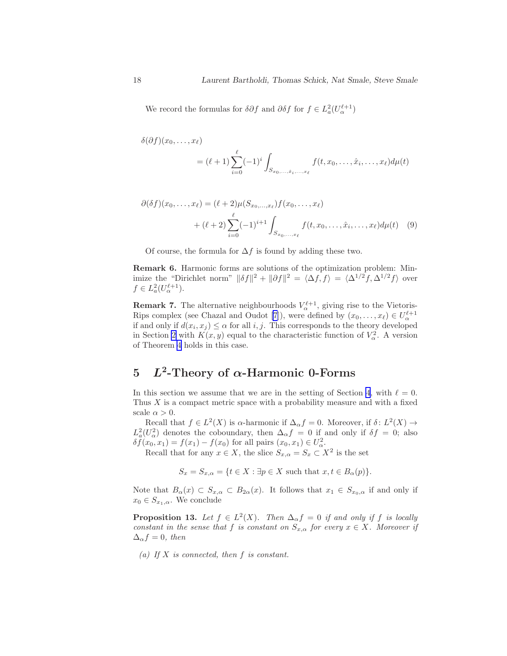We record the formulas for  $\delta \partial f$  and  $\partial \delta f$  for  $f \in L^2_a(U_\alpha^{\ell+1})$ 

$$
\delta(\partial f)(x_0,\ldots,x_\ell)
$$
  
=  $(\ell+1)\sum_{i=0}^\ell (-1)^i \int_{S_{x_0,\ldots,\hat{x}_i,\ldots,x_\ell}} f(t,x_0,\ldots,\hat{x}_i,\ldots,x_\ell) d\mu(t)$ 

$$
\partial(\delta f)(x_0, \dots, x_\ell) = (\ell + 2)\mu(S_{x_0, \dots, x_\ell})f(x_0, \dots, x_\ell)
$$
  
+  $(\ell + 2)\sum_{i=0}^\ell (-1)^{i+1} \int_{S_{x_0, \dots, x_\ell}} f(t, x_0, \dots, \hat{x}_i, \dots, x_\ell) d\mu(t)$  (9)

Of course, the formula for  $\Delta f$  is found by adding these two.

Remark 6. Harmonic forms are solutions of the optimization problem: Minimize the "Dirichlet norm"  $\|\delta f\|^2 + \|\partial f\|^2 = \langle \Delta f, f \rangle = \langle \Delta^{1/2} f, \Delta^{1/2} f \rangle$  over  $f \in L^2_a(U_\alpha^{\ell+1}).$ 

**Remark 7.** The alternative neighbourhoods  $V_{\alpha}^{\ell+1}$ , giving rise to the Vietoris-Rips complex (see Chazal and Oudot [\[7](#page-47-0)]), were defined by  $(x_0, \ldots, x_\ell) \in U_\alpha^{\ell+1}$ if and only if  $d(x_i, x_j) \leq \alpha$  for all i, j. This corresponds to the theory developed in Section [2](#page-3-0) with  $K(x, y)$  equal to the characteristic function of  $V^2_{\alpha}$ . A version of Theorem [4](#page-16-0) holds in this case.

## 5 L<sup>2</sup>-Theory of  $\alpha$ -Harmonic 0-Forms

In this section we assume that we are in the setting of Section [4](#page-15-0), with  $\ell = 0$ . Thus  $X$  is a compact metric space with a probability measure and with a fixed scale  $\alpha > 0$ .

Recall that  $f \in L^2(X)$  is  $\alpha$ -harmonic if  $\Delta_{\alpha} f = 0$ . Moreover, if  $\delta: L^2(X) \to$  $L^2_a(U^2_\alpha)$  denotes the coboundary, then  $\Delta_\alpha f = 0$  if and only if  $\delta f = 0$ ; also  $\delta f(x_0, x_1) = f(x_1) - f(x_0)$  for all pairs  $(x_0, x_1) \in U^2_{\alpha}$ .

Recall that for any  $x \in X$ , the slice  $S_{x,\alpha} = S_x \subset X^2$  is the set

 $S_x = S_{x,\alpha} = \{t \in X : \exists p \in X \text{ such that } x, t \in B_\alpha(p)\}.$ 

Note that  $B_{\alpha}(x) \subset S_{x,\alpha} \subset B_{2\alpha}(x)$ . It follows that  $x_1 \in S_{x_0,\alpha}$  if and only if  $x_0 \in S_{x_1,\alpha}$ . We conclude

**Proposition 13.** Let  $f \in L^2(X)$ . Then  $\Delta_{\alpha} f = 0$  if and only if f is locally constant in the sense that f is constant on  $S_{x,\alpha}$  for every  $x \in X$ . Moreover if  $\Delta_{\alpha} f = 0$ , then

(a) If  $X$  is connected, then  $f$  is constant.

<span id="page-17-0"></span>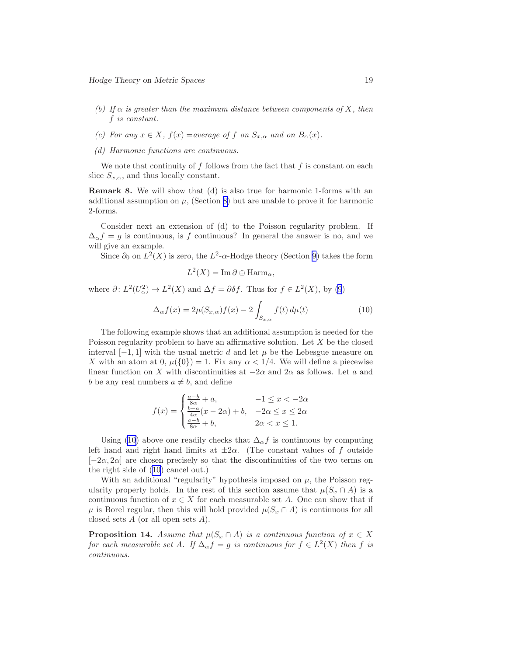- <span id="page-18-0"></span>(b) If  $\alpha$  is greater than the maximum distance between components of X, then f is constant.
- (c) For any  $x \in X$ ,  $f(x) = average$  of f on  $S_{x,\alpha}$  and on  $B_{\alpha}(x)$ .
- (d) Harmonic functions are continuous.

We note that continuity of f follows from the fact that f is constant on each slice  $S_{x,\alpha}$ , and thus locally constant.

Remark 8. We will show that (d) is also true for harmonic 1-forms with an additional assumption on  $\mu$ , (Section [8\)](#page-26-0) but are unable to prove it for harmonic 2-forms.

Consider next an extension of (d) to the Poisson regularity problem. If  $\Delta_{\alpha}f = g$  is continuous, is f continuous? In general the answer is no, and we will give an example.

Since  $\partial_0$  on  $L^2(X)$  is zero, the  $L^2$ - $\alpha$ -Hodge theory (Section [9](#page-27-0)) takes the form

$$
L^2(X) = \operatorname{Im} \partial \oplus \operatorname{Harm}_{\alpha},
$$

where  $\partial: L^2(U^2_\alpha) \to L^2(X)$  and  $\Delta f = \partial \delta f$ . Thus for  $f \in L^2(X)$ , by [\(9](#page-17-0))

$$
\Delta_{\alpha} f(x) = 2\mu(S_{x,\alpha})f(x) - 2\int_{S_{x,\alpha}} f(t) d\mu(t)
$$
\n(10)

The following example shows that an additional assumption is needed for the Poisson regularity problem to have an affirmative solution. Let  $X$  be the closed interval  $[-1, 1]$  with the usual metric d and let  $\mu$  be the Lebesgue measure on X with an atom at 0,  $\mu({0}) = 1$ . Fix any  $\alpha < 1/4$ . We will define a piecewise linear function on X with discontinuities at  $-2\alpha$  and  $2\alpha$  as follows. Let a and b be any real numbers  $a \neq b$ , and define

$$
f(x) = \begin{cases} \frac{a-b}{8\alpha} + a, & -1 \le x < -2\alpha \\ \frac{b-a}{4\alpha}(x - 2\alpha) + b, & -2\alpha \le x \le 2\alpha \\ \frac{a-b}{8\alpha} + b, & 2\alpha < x \le 1. \end{cases}
$$

Using (10) above one readily checks that  $\Delta_{\alpha} f$  is continuous by computing left hand and right hand limits at  $\pm 2\alpha$ . (The constant values of f outside  $[-2\alpha, 2\alpha]$  are chosen precisely so that the discontinuities of the two terms on the right side of (10) cancel out.)

With an additional "regularity" hypothesis imposed on  $\mu$ , the Poisson regularity property holds. In the rest of this section assume that  $\mu(S_x \cap A)$  is a continuous function of  $x \in X$  for each measurable set A. One can show that if  $\mu$  is Borel regular, then this will hold provided  $\mu(S_x \cap A)$  is continuous for all closed sets  $A$  (or all open sets  $A$ ).

**Proposition 14.** Assume that  $\mu(S_x \cap A)$  is a continuous function of  $x \in X$ for each measurable set A. If  $\Delta_{\alpha} f = g$  is continuous for  $f \in L^2(X)$  then f is continuous.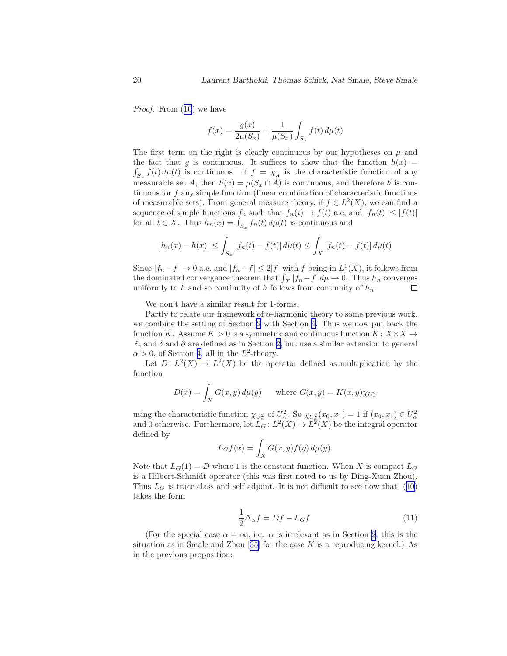Proof.From  $(10)$  $(10)$  we have

$$
f(x) = \frac{g(x)}{2\mu(S_x)} + \frac{1}{\mu(S_x)} \int_{S_x} f(t) \, d\mu(t)
$$

The first term on the right is clearly continuous by our hypotheses on  $\mu$  and the fact that g is continuous. It suffices to show that the function  $h(x)$  $\int_{S_x} f(t) d\mu(t)$  is continuous. If  $f = \chi_A$  is the characteristic function of any measurable set A, then  $h(x) = \mu(S_x \cap A)$  is continuous, and therefore h is continuous for f any simple function (linear combination of characteristic functions of measurable sets). From general measure theory, if  $f \in L^2(X)$ , we can find a sequence of simple functions  $f_n$  such that  $f_n(t) \to f(t)$  a.e, and  $|f_n(t)| \leq |f(t)|$ for all  $t \in X$ . Thus  $h_n(x) = \int_{S_x} f_n(t) d\mu(t)$  is continuous and

$$
|h_n(x) - h(x)| \le \int_{S_x} |f_n(t) - f(t)| d\mu(t) \le \int_X |f_n(t) - f(t)| d\mu(t)
$$

Since  $|f_n - f| \to 0$  a.e, and  $|f_n - f| \leq 2|f|$  with f being in  $L^1(X)$ , it follows from the dominated convergence theorem that  $\int_X |f_n - f| d\mu \to 0$ . Thus  $h_n$  converges uniformly to h and so continuity of h follows from continuity of  $h_n$ .

We don't have a similar result for 1-forms.

Partly to relate our framework of  $\alpha$ -harmonic theory to some previous work, we combine the setting of Section [2](#page-3-0) with Section [4](#page-15-0). Thus we now put back the function K. Assume  $K > 0$  is a symmetric and continuous function  $K: X \times X \rightarrow$ R, and  $\delta$  and  $\partial$  are defined as in Section [2,](#page-3-0) but use a similar extension to general  $\alpha > 0$ , of Section [4,](#page-15-0) all in the L<sup>2</sup>-theory.

Let  $D: L^2(X) \to L^2(X)$  be the operator defined as multiplication by the function

$$
D(x) = \int_X G(x, y) d\mu(y) \quad \text{where } G(x, y) = K(x, y) \chi_{U^2_{\alpha}}
$$

using the characteristic function  $\chi_{U^2_{\alpha}}$  of  $U^2_{\alpha}$ . So  $\chi_{U^2_{\alpha}}(x_0, x_1) = 1$  if  $(x_0, x_1) \in U^2_{\alpha}$ <br>and 0 otherwise. Furthermore, let  $L_G: L^2(X) \to L^2(X)$  be the integral operator defined by

$$
L_G f(x) = \int_X G(x, y) f(y) d\mu(y).
$$

Note that  $L_G(1) = D$  where 1 is the constant function. When X is compact  $L_G$ is a Hilbert-Schmidt operator (this was first noted to us by Ding-Xuan Zhou). Thus $L_G$  is trace class and self adjoint. It is not difficult to see now that  $(10)$  $(10)$ takes the form

$$
\frac{1}{2}\Delta_{\alpha}f = Df - L_{G}f.
$$
\n(11)

(For the special case  $\alpha = \infty$ , i.e.  $\alpha$  is irrelevant as in Section [2](#page-3-0), this is the situationas in Smale and Zhou [[35\]](#page-49-0) for the case  $K$  is a reproducing kernel.) As in the previous proposition:

<span id="page-19-0"></span>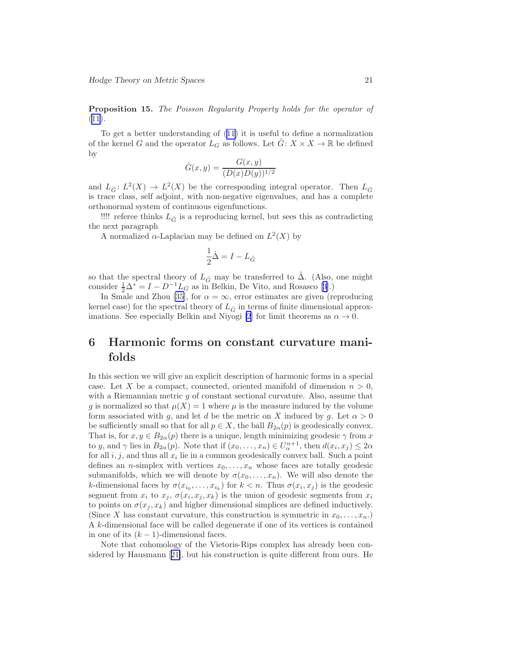<span id="page-20-0"></span>Proposition 15. The Poisson Regularity Property holds for the operator of  $(11).$  $(11).$  $(11).$ 

To get a better understanding of([11](#page-19-0)) it is useful to define a normalization of the kernel G and the operator  $L_G$  as follows. Let  $G: X \times X \to \mathbb{R}$  be defined by

$$
\hat{G}(x, y) = \frac{G(x, y)}{(D(x)D(y))^{1/2}}
$$

and  $L_{\hat{G}}: L^2(X) \to L^2(X)$  be the corresponding integral operator. Then  $L_{\hat{G}}$ is trace class, self adjoint, with non-negative eigenvalues, and has a complete orthonormal system of continuous eigenfunctions.

!!!! referee thinks  $L_{\hat{G}}$  is a reproducing kernel, but sees this as contradicting the next paragraph

A normalized  $\alpha$ -Laplacian may be defined on  $L^2(X)$  by

$$
\frac{1}{2}\hat{\Delta} = I - L_{\hat{G}}
$$

so that the spectral theory of  $L_{\hat{G}}$  may be transferred to  $\hat{\Delta}$ . (Also, one might consider $\frac{1}{2}\Delta^* = I - D^{-1}L_G$  as in Belkin, De Vito, and Rosasco [[3\]](#page-47-0).)

In Smale and Zhou [\[35\]](#page-49-0), for  $\alpha = \infty$ , error estimates are given (reproducing kernel case) for the spectral theory of  $L_{\hat{G}}$  in terms of finite dimensional approx-imations. See especially Belkin and Niyogi [\[2](#page-47-0)] for limit theorems as  $\alpha \to 0$ .

## 6 Harmonic forms on constant curvature manifolds

In this section we will give an explicit description of harmonic forms in a special case. Let X be a compact, connected, oriented manifold of dimension  $n > 0$ , with a Riemannian metric  $g$  of constant sectional curvature. Also, assume that g is normalized so that  $\mu(X) = 1$  where  $\mu$  is the measure induced by the volume form associated with g, and let d be the metric on X induced by g. Let  $\alpha > 0$ be sufficiently small so that for all  $p \in X$ , the ball  $B_{2\alpha}(p)$  is geodesically convex. That is, for  $x, y \in B_{2\alpha}(p)$  there is a unique, length minimizing geodesic  $\gamma$  from x to y, and  $\gamma$  lies in  $B_{2\alpha}(p)$ . Note that if  $(x_0, \ldots, x_n) \in U_{\alpha}^{n+1}$ , then  $d(x_i, x_j) \leq 2\alpha$ for all  $i, j$ , and thus all  $x_i$  lie in a common geodesically convex ball. Such a point defines an *n*-simplex with vertices  $x_0, \ldots, x_n$  whose faces are totally geodesic submanifolds, which we will denote by  $\sigma(x_0, \ldots, x_n)$ . We will also denote the k-dimensional faces by  $\sigma(x_{i_0},...,x_{i_k})$  for  $k < n$ . Thus  $\sigma(x_i,x_j)$  is the geodesic segment from  $x_i$  to  $x_j$ ,  $\sigma(x_i, x_j, x_k)$  is the union of geodesic segments from  $x_i$ to points on  $\sigma(x_j, x_k)$  and higher dimensional simplices are defined inductively. (Since X has constant curvature, this construction is symmetric in  $x_0, \ldots, x_n$ .) A k-dimensional face will be called degenerate if one of its vertices is contained in one of its  $(k-1)$ -dimensional faces.

Note that cohomology of the Vietoris-Rips complex has already been considered by Hausmann[[21\]](#page-48-0), but his construction is quite different from ours. He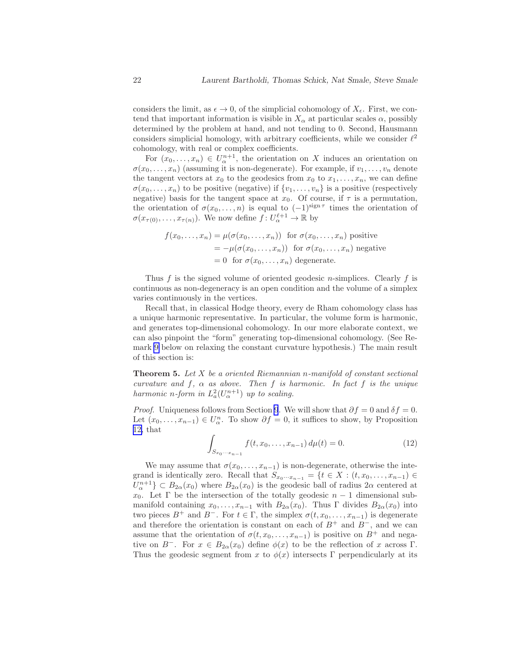<span id="page-21-0"></span>considers the limit, as  $\epsilon \to 0$ , of the simplicial cohomology of  $X_{\epsilon}$ . First, we contend that important information is visible in  $X_\alpha$  at particular scales  $\alpha$ , possibly determined by the problem at hand, and not tending to 0. Second, Hausmann considers simplicial homology, with arbitrary coefficients, while we consider  $\ell^2$ cohomology, with real or complex coefficients.

For  $(x_0, \ldots, x_n) \in U^{n+1}_\alpha$ , the orientation on X induces an orientation on  $\sigma(x_0, \ldots, x_n)$  (assuming it is non-degenerate). For example, if  $v_1, \ldots, v_n$  denote the tangent vectors at  $x_0$  to the geodesics from  $x_0$  to  $x_1, \ldots, x_n$ , we can define  $\sigma(x_0, \ldots, x_n)$  to be positive (negative) if  $\{v_1, \ldots, v_n\}$  is a positive (respectively negative) basis for the tangent space at  $x_0$ . Of course, if  $\tau$  is a permutation, the orientation of  $\sigma(x_0,\ldots,n)$  is equal to  $(-1)^{\text{sign } \tau}$  times the orientation of  $\sigma(x_{\tau(0)},\ldots,x_{\tau(n)})$ . We now define  $f:U^{\ell+1}_{\alpha}\to\mathbb{R}$  by

$$
f(x_0,...,x_n) = \mu(\sigma(x_0,...,x_n)) \text{ for } \sigma(x_0,...,x_n) \text{ positive}
$$
  
=  $-\mu(\sigma(x_0,...,x_n))$  for  $\sigma(x_0,...,x_n)$  negative  
= 0 for  $\sigma(x_0,...,x_n)$  degenerate.

Thus f is the signed volume of oriented geodesic *n*-simplices. Clearly f is continuous as non-degeneracy is an open condition and the volume of a simplex varies continuously in the vertices.

Recall that, in classical Hodge theory, every de Rham cohomology class has a unique harmonic representative. In particular, the volume form is harmonic, and generates top-dimensional cohomology. In our more elaborate context, we can also pinpoint the "form" generating top-dimensional cohomology. (See Remark [9](#page-23-0) below on relaxing the constant curvature hypothesis.) The main result of this section is:

**Theorem 5.** Let  $X$  be a oriented Riemannian n-manifold of constant sectional curvature and f,  $\alpha$  as above. Then f is harmonic. In fact f is the unique harmonic n-form in  $L^2_a(U^{n+1}_\alpha)$  up to scaling.

*Proof.* Uniqueness follows from Section [9](#page-27-0). We will show that  $\partial f = 0$  and  $\delta f = 0$ . Let  $(x_0, \ldots, x_{n-1}) \in U_\alpha^n$ . To show  $\partial f = 0$ , it suffices to show, by Proposition [12,](#page-16-0) that

$$
\int_{S_{x_0\cdots x_{n-1}}} f(t, x_0, \dots, x_{n-1}) d\mu(t) = 0.
$$
\n(12)

We may assume that  $\sigma(x_0, \ldots, x_{n-1})$  is non-degenerate, otherwise the integrand is identically zero. Recall that  $S_{x_0\cdots x_{n-1}} = \{t \in X : (t, x_0, \ldots, x_{n-1}) \in$  $U_{\alpha}^{n+1} \subset B_{2\alpha}(x_0)$  where  $B_{2\alpha}(x_0)$  is the geodesic ball of radius  $2\alpha$  centered at  $x_0$ . Let  $\Gamma$  be the intersection of the totally geodesic  $n-1$  dimensional submanifold containing  $x_0, \ldots, x_{n-1}$  with  $B_{2\alpha}(x_0)$ . Thus  $\Gamma$  divides  $B_{2\alpha}(x_0)$  into two pieces  $B^+$  and  $B^-$ . For  $t \in \Gamma$ , the simplex  $\sigma(t, x_0, \ldots, x_{n-1})$  is degenerate and therefore the orientation is constant on each of  $B^+$  and  $B^-$ , and we can assume that the orientation of  $\sigma(t, x_0, \ldots, x_{n-1})$  is positive on  $B^+$  and negative on  $B^-$ . For  $x \in B_{2\alpha}(x_0)$  define  $\phi(x)$  to be the reflection of x across Γ. Thus the geodesic segment from x to  $\phi(x)$  intersects Γ perpendicularly at its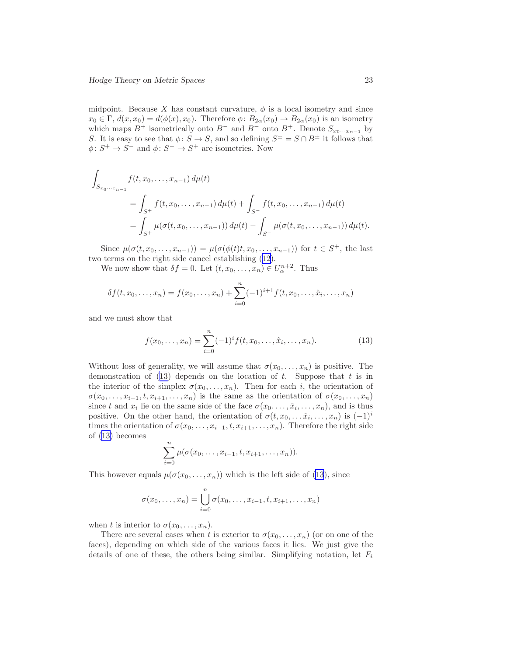<span id="page-22-0"></span>midpoint. Because X has constant curvature,  $\phi$  is a local isometry and since  $x_0 \in \Gamma$ ,  $d(x, x_0) = d(\phi(x), x_0)$ . Therefore  $\phi: B_{2\alpha}(x_0) \to B_{2\alpha}(x_0)$  is an isometry which maps  $B^+$  isometrically onto  $B^-$  and  $B^-$  onto  $B^+$ . Denote  $S_{x_0\cdots x_{n-1}}$  by S. It is easy to see that  $\phi: S \to S$ , and so defining  $S^{\pm} = S \cap B^{\pm}$  it follows that  $\phi \colon S^+ \to S^-$  and  $\phi \colon S^- \to S^+$  are isometries. Now

$$
\int_{S_{x_0\cdots x_{n-1}}} f(t, x_0, \ldots, x_{n-1}) d\mu(t)
$$
\n
$$
= \int_{S^+} f(t, x_0, \ldots, x_{n-1}) d\mu(t) + \int_{S^-} f(t, x_0, \ldots, x_{n-1}) d\mu(t)
$$
\n
$$
= \int_{S^+} \mu(\sigma(t, x_0, \ldots, x_{n-1})) d\mu(t) - \int_{S^-} \mu(\sigma(t, x_0, \ldots, x_{n-1})) d\mu(t).
$$

Since  $\mu(\sigma(t, x_0, \ldots, x_{n-1})) = \mu(\sigma(\phi(t)t, x_0, \ldots, x_{n-1}))$  for  $t \in S^+$ , the last two terms on the right side cancel establishing([12\)](#page-21-0).

We now show that  $\delta f = 0$ . Let  $(t, x_0, \ldots, x_n) \in U_{\alpha}^{n+2}$ . Thus

$$
\delta f(t, x_0, \dots, x_n) = f(x_0, \dots, x_n) + \sum_{i=0}^n (-1)^{i+1} f(t, x_0, \dots, \hat{x}_i, \dots, x_n)
$$

and we must show that

$$
f(x_0, \dots, x_n) = \sum_{i=0}^n (-1)^i f(t, x_0, \dots, \hat{x}_i, \dots, x_n).
$$
 (13)

Without loss of generality, we will assume that  $\sigma(x_0, \ldots, x_n)$  is positive. The demonstration of  $(13)$  depends on the location of t. Suppose that t is in the interior of the simplex  $\sigma(x_0, \ldots, x_n)$ . Then for each i, the orientation of  $\sigma(x_0,\ldots,x_{i-1},t,x_{i+1},\ldots,x_n)$  is the same as the orientation of  $\sigma(x_0,\ldots,x_n)$ since t and  $x_i$  lie on the same side of the face  $\sigma(x_0,\ldots,\hat{x}_i,\ldots,x_n)$ , and is thus positive. On the other hand, the orientation of  $\sigma(t, x_0, \ldots, \hat{x}_i, \ldots, x_n)$  is  $(-1)^i$ times the orientation of  $\sigma(x_0, \ldots, x_{i-1}, t, x_{i+1}, \ldots, x_n)$ . Therefore the right side of (13) becomes

$$
\sum_{i=0}^{n} \mu(\sigma(x_0, ..., x_{i-1}, t, x_{i+1}, ..., x_n)).
$$

This however equals  $\mu(\sigma(x_0, \ldots, x_n))$  which is the left side of (13), since

$$
\sigma(x_0,...,x_n) = \bigcup_{i=0}^n \sigma(x_0,...,x_{i-1},t,x_{i+1},...,x_n)
$$

when t is interior to  $\sigma(x_0, \ldots, x_n)$ .

There are several cases when t is exterior to  $\sigma(x_0, \ldots, x_n)$  (or on one of the faces), depending on which side of the various faces it lies. We just give the details of one of these, the others being similar. Simplifying notation, let  $F_i$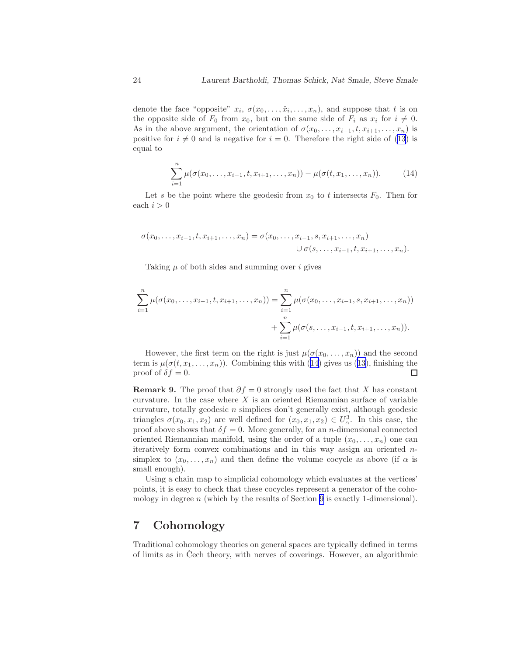<span id="page-23-0"></span>denote the face "opposite"  $x_i, \sigma(x_0, \ldots, \hat{x}_i, \ldots, x_n)$ , and suppose that t is on the opposite side of  $F_0$  from  $x_0$ , but on the same side of  $F_i$  as  $x_i$  for  $i \neq 0$ . As in the above argument, the orientation of  $\sigma(x_0, \ldots, x_{i-1}, t, x_{i+1}, \ldots, x_n)$  is positive for  $i \neq 0$  and is negative for  $i = 0$ . Therefore the right side of [\(13](#page-22-0)) is equal to

$$
\sum_{i=1}^{n} \mu(\sigma(x_0, \ldots, x_{i-1}, t, x_{i+1}, \ldots, x_n)) - \mu(\sigma(t, x_1, \ldots, x_n)).
$$
 (14)

Let s be the point where the geodesic from  $x_0$  to t intersects  $F_0$ . Then for each  $i > 0$ 

$$
\sigma(x_0,...,x_{i-1},t,x_{i+1},...,x_n) = \sigma(x_0,...,x_{i-1},s,x_{i+1},...,x_n)
$$
  

$$
\cup \sigma(s,...,x_{i-1},t,x_{i+1},...,x_n).
$$

Taking  $\mu$  of both sides and summing over i gives

$$
\sum_{i=1}^{n} \mu(\sigma(x_0, \ldots, x_{i-1}, t, x_{i+1}, \ldots, x_n)) = \sum_{i=1}^{n} \mu(\sigma(x_0, \ldots, x_{i-1}, s, x_{i+1}, \ldots, x_n)) + \sum_{i=1}^{n} \mu(\sigma(s, \ldots, x_{i-1}, t, x_{i+1}, \ldots, x_n)).
$$

However, the first term on the right is just  $\mu(\sigma(x_0, \ldots, x_n))$  and the second termis  $\mu(\sigma(t, x_1, \ldots, x_n))$ . Combining this with (14) gives us ([13\)](#page-22-0), finishing the proof of  $\delta f = 0$ .  $\Box$ 

**Remark 9.** The proof that  $\partial f = 0$  strongly used the fact that X has constant curvature. In the case where  $X$  is an oriented Riemannian surface of variable curvature, totally geodesic  $n$  simplices don't generally exist, although geodesic triangles  $\sigma(x_0, x_1, x_2)$  are well defined for  $(x_0, x_1, x_2) \in U_\alpha^3$ . In this case, the proof above shows that  $\delta f = 0$ . More generally, for an *n*-dimensional connected oriented Riemannian manifold, using the order of a tuple  $(x_0, \ldots, x_n)$  one can iteratively form convex combinations and in this way assign an oriented nsimplex to  $(x_0, \ldots, x_n)$  and then define the volume cocycle as above (if  $\alpha$  is small enough).

Using a chain map to simplicial cohomology which evaluates at the vertices' points, it is easy to check that these cocycles represent a generator of the coho-mology in degree n (which by the results of Section [9](#page-27-0) is exactly 1-dimensional).

## 7 Cohomology

Traditional cohomology theories on general spaces are typically defined in terms of limits as in Cech theory, with nerves of coverings. However, an algorithmic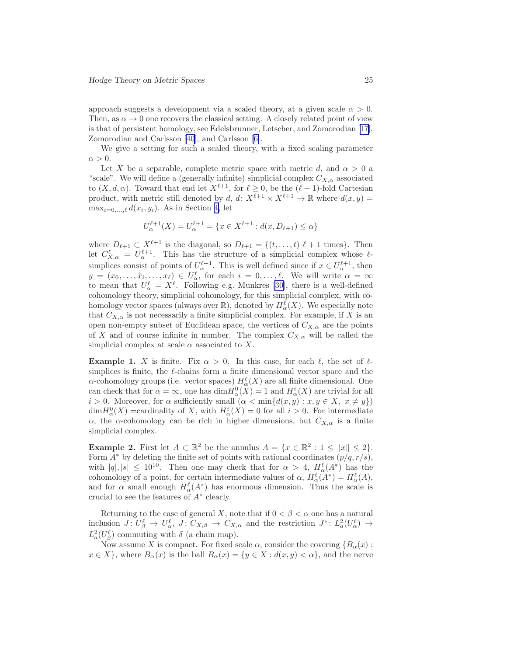approach suggests a development via a scaled theory, at a given scale  $\alpha > 0$ . Then, as  $\alpha \to 0$  one recovers the classical setting. A closely related point of view is that of persistent homology, see Edelsbrunner, Letscher, and Zomorodian [\[17](#page-48-0)], Zomorodian and Carlsson [\[40](#page-49-0)], and Carlsson[[6\]](#page-47-0).

We give a setting for such a scaled theory, with a fixed scaling parameter  $\alpha > 0$ .

Let X be a separable, complete metric space with metric d, and  $\alpha > 0$  a "scale". We will define a (generally infinite) simplicial complex  $C_{X,\alpha}$  associated to  $(X, d, \alpha)$ . Toward that end let  $X^{\ell+1}$ , for  $\ell \geq 0$ , be the  $(\ell+1)$ -fold Cartesian product, with metric still denoted by d, d:  $X^{\ell+1} \times X^{\ell+1} \to \mathbb{R}$  where  $d(x, y) =$  $\max_{i=0,\ldots,\ell} d(x_i, y_i)$ . As in Section [4,](#page-15-0) let

$$
U_{\alpha}^{\ell+1}(X) = U_{\alpha}^{\ell+1} = \{ x \in X^{\ell+1} : d(x, D_{\ell+1}) \le \alpha \}
$$

where  $D_{\ell+1} \subset X^{\ell+1}$  is the diagonal, so  $D_{\ell+1} = \{(t, \ldots, t) \ell + 1 \text{ times}\}.$  Then let  $C_{X,\alpha}^{\ell} = U_{\alpha}^{\ell+1}$ . This has the structure of a simplicial complex whose  $\ell$ simplices consist of points of  $U_{\alpha}^{\ell+1}$ . This is well defined since if  $x \in U_{\alpha}^{\ell+1}$ , then  $y = (x_0, \ldots, \hat{x}_i, \ldots, x_\ell) \in U_\alpha^\ell$ , for each  $i = 0, \ldots, \ell$ . We will write  $\alpha = \infty$ to mean that  $U^{\ell}_{\alpha} = X^{\ell}$ . Following e.g. Munkres [\[30](#page-49-0)], there is a well-defined cohomology theory, simplicial cohomology, for this simplicial complex, with cohomology vector spaces (always over  $\mathbb{R}$ ), denoted by  $H^{\ell}_{\alpha}(X)$ . We especially note that  $C_{X,\alpha}$  is not necessarily a finite simplicial complex. For example, if X is an open non-empty subset of Euclidean space, the vertices of  $C_{X,\alpha}$  are the points of X and of course infinite in number. The complex  $C_{X,\alpha}$  will be called the simplicial complex at scale  $\alpha$  associated to X.

**Example 1.** X is finite. Fix  $\alpha > 0$ . In this case, for each  $\ell$ , the set of  $\ell$ simplices is finite, the  $\ell$ -chains form a finite dimensional vector space and the  $\alpha$ -cohomology groups (i.e. vector spaces)  $H_{\alpha}^{\ell}(X)$  are all finite dimensional. One can check that for  $\alpha = \infty$ , one has  $\dim H^0_{\alpha}(X) = 1$  and  $H^i_{\alpha}(X)$  are trivial for all  $i > 0$ . Moreover, for  $\alpha$  sufficiently small  $(\alpha < \min\{d(x, y) : x, y \in X, x \neq y\})$  $\dim H_\alpha^0(X)$  =cardinality of X, with  $H_\alpha^i(X) = 0$  for all  $i > 0$ . For intermediate α, the α-cohomology can be rich in higher dimensions, but  $C_{X,\alpha}$  is a finite simplicial complex.

**Example 2.** First let  $A \subset \mathbb{R}^2$  be the annulus  $A = \{x \in \mathbb{R}^2 : 1 \le ||x|| \le 2\}.$ Form  $A^*$  by deleting the finite set of points with rational coordinates  $(p/q, r/s)$ , with  $|q|, |s| \leq 10^{10}$ . Then one may check that for  $\alpha > 4$ ,  $H_{\alpha}^{\ell}(A^*)$  has the cohomology of a point, for certain intermediate values of  $\alpha$ ,  $H_{\alpha}^{\ell}(A^*) = H_{\alpha}^{\ell}(A)$ , and for  $\alpha$  small enough  $H_{\alpha}^{\ell}(A^*)$  has enormous dimension. Thus the scale is crucial to see the features of A<sup>∗</sup> clearly.

Returning to the case of general X, note that if  $0 < \beta < \alpha$  one has a natural inclusion  $J: U_{\beta}^{\ell} \to U_{\alpha}^{\ell}$ ,  $J: C_{X,\beta} \to C_{X,\alpha}$  and the restriction  $J^*: L_a^2(U_{\alpha}^{\ell}) \to$  $L^2_a(U_\beta^{\ell})$  commuting with  $\delta$  (a chain map).

Now assume X is compact. For fixed scale  $\alpha$ , consider the covering  ${B_{\alpha}(x)}$ :  $x \in X$ , where  $B_{\alpha}(x)$  is the ball  $B_{\alpha}(x) = \{y \in X : d(x, y) < \alpha\}$ , and the nerve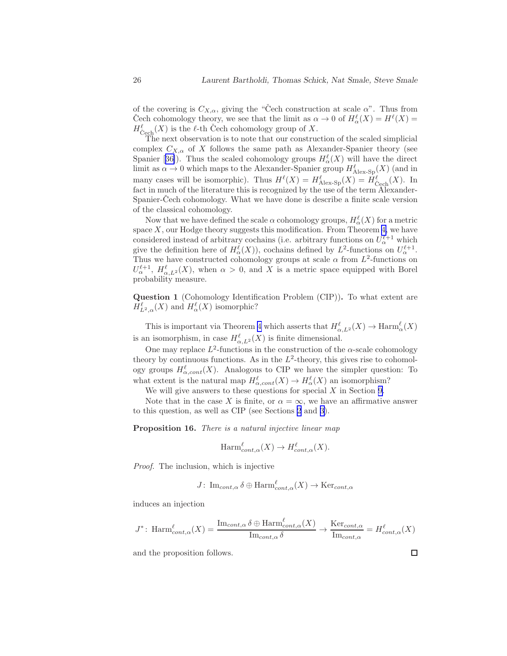<span id="page-25-0"></span>of the covering is  $C_{X,\alpha}$ , giving the "Cech construction at scale  $\alpha$ ". Thus from Čech cohomology theory, we see that the limit as  $\alpha \to 0$  of  $H_{\alpha}^{\ell}(X) = H^{\ell}(X) =$  $H_{\text{Cech}}^{\ell}(X)$  is the  $\ell$ -th Cech cohomology group of X.

The next observation is to note that our construction of the scaled simplicial complex  $C_{X,\alpha}$  of X follows the same path as Alexander-Spanier theory (see Spanier[[36\]](#page-49-0)). Thus the scaled cohomology groups  $H_{\alpha}^{\ell}(X)$  will have the direct limit as  $\alpha \to 0$  which maps to the Alexander-Spanier group  $H_{\text{Alex-Sp}}^{\ell}(X)$  (and in many cases will be isomorphic). Thus  $H^{\ell}(X) = H^{\ell}_{\text{Alex-Sp}}(X) = H^{\ell}_{\text{Cech}}(X)$ . In fact in much of the literature this is recognized by the use of the term Alexander-Spanier-Cech cohomology. What we have done is describe a finite scale version of the classical cohomology.

Now that we have defined the scale  $\alpha$  cohomology groups,  $H_{\alpha}^{\ell}(X)$  for a metric space  $X$ , our Hodge theory suggests this modification. From Theorem [4,](#page-16-0) we have considered instead of arbitrary cochains (i.e. arbitrary functions on  $U^{\ell+1}_{\alpha}$  which give the definition here of  $H_{\alpha}^{\ell}(X)$ , cochains defined by  $L^2$ -functions on  $U_{\alpha}^{\ell+1}$ . Thus we have constructed cohomology groups at scale  $\alpha$  from  $L^2$ -functions on  $U_{\alpha}^{\ell+1}, H_{\alpha,L^2}^{\ell}(X)$ , when  $\alpha > 0$ , and X is a metric space equipped with Borel probability measure.

Question 1 (Cohomology Identification Problem (CIP)). To what extent are  $H_{L^2,\alpha}^{\ell}(X)$  and  $H_{\alpha}^{\ell}(X)$  isomorphic?

This is important via Theorem [4](#page-16-0) which asserts that  $H^{\ell}_{\alpha,L^2}(X) \to \text{Harm}^{\ell}_{\alpha}(X)$ is an isomorphism, in case  $H_{\alpha,L^2}^{\ell}(X)$  is finite dimensional.

One may replace  $L^2$ -functions in the construction of the  $\alpha$ -scale cohomology theory by continuous functions. As in the  $L^2$ -theory, this gives rise to cohomology groups  $H_{\alpha, cont}^{\ell}(X)$ . Analogous to CIP we have the simpler question: To what extent is the natural map  $H_{\alpha, cont}^{\ell}(X) \to H_{\alpha}^{\ell}(X)$  an isomorphism?

We will give answers to these questions for special  $X$  in Section [9.](#page-27-0)

Note that in the case X is finite, or  $\alpha = \infty$ , we have an affirmative answer to this question, as well as CIP (see Sections [2](#page-3-0) and [3\)](#page-12-0).

Proposition 16. There is a natural injective linear map

$$
\text{Harm}^{\ell}_{cont,\alpha}(X) \to H^{\ell}_{cont,\alpha}(X).
$$

Proof. The inclusion, which is injective

$$
J\colon\operatorname{Im}_{cont,\alpha}\delta\oplus\operatorname{Harm}^{\ell}_{cont,\alpha}(X)\to\operatorname{Ker}_{cont,\alpha}
$$

induces an injection

$$
J^* \colon \mathrm{Harm}_{cont,\alpha}^\ell(X) = \frac{\mathrm{Im}_{cont,\alpha} \, \delta \oplus \mathrm{Harm}_{cont,\alpha}^\ell(X)}{\mathrm{Im}_{cont,\alpha} \, \delta} \to \frac{\mathrm{Ker}_{cont,\alpha}}{\mathrm{Im}_{cont,\alpha}} = H_{cont,\alpha}^\ell(X)
$$

and the proposition follows.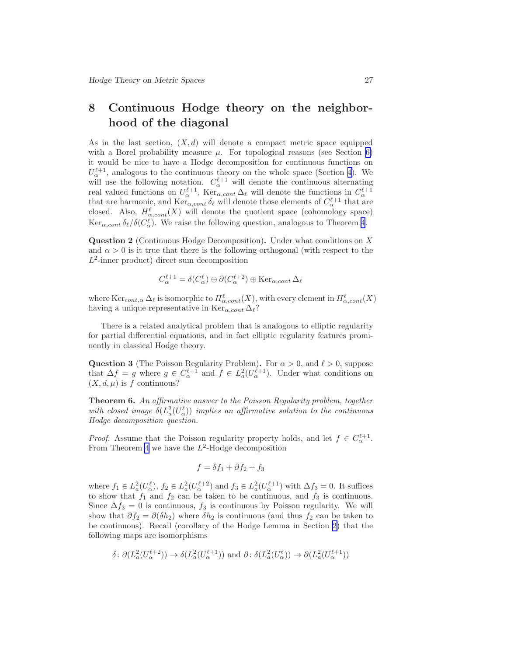## <span id="page-26-0"></span>8 Continuous Hodge theory on the neighborhood of the diagonal

As in the last section,  $(X, d)$  will denote a compact metric space equipped with a Borel probability measure  $\mu$ . For topological reasons (see Section [6\)](#page-20-0) it would be nice to have a Hodge decomposition for continuous functions on  $U_{\alpha}^{\ell+1}$ , analogous to the continuous theory on the whole space (Section [4\)](#page-15-0). We will use the following notation.  $C_{\alpha}^{\ell+1}$  will denote the continuous alternating real valued functions on  $U_{\alpha}^{\ell+1}$ ,  $\text{Ker}_{\alpha, cont} \Delta_{\ell}$  will denote the functions in  $C_{\alpha}^{\ell+1}$  that are harmonic, and  $\text{Ker}_{\alpha, cont} \delta_{\ell}$  will denote those elements of  $C_{\alpha}^{\ell+1}$  that are closed. Also,  $H_{\alpha, cont}^{\ell}(X)$  will denote the quotient space (cohomology space)  $\text{Ker}_{\alpha, cont} \, \delta_{\ell}/\delta(C_{\alpha}^{\ell})$ . We raise the following question, analogous to Theorem [4](#page-16-0).

Question 2 (Continuous Hodge Decomposition). Under what conditions on X and  $\alpha > 0$  is it true that there is the following orthogonal (with respect to the  $L^2$ -inner product) direct sum decomposition

$$
C_{\alpha}^{\ell+1} = \delta(C_{\alpha}^{\ell}) \oplus \partial (C_{\alpha}^{\ell+2}) \oplus \text{Ker}_{\alpha, cont} \Delta_{\ell}
$$

where  $\text{Ker}_{cont,\alpha} \Delta_{\ell}$  is isomorphic to  $H_{\alpha,cont}^{\ell}(X)$ , with every element in  $H_{\alpha,cont}^{\ell}(X)$ having a unique representative in  $\text{Ker}_{\alpha\text{.cont}} \Delta_{\ell}$ ?

There is a related analytical problem that is analogous to elliptic regularity for partial differential equations, and in fact elliptic regularity features prominently in classical Hodge theory.

**Question 3** (The Poisson Regularity Problem). For  $\alpha > 0$ , and  $\ell > 0$ , suppose that  $\Delta f = g$  where  $g \in C_{\alpha}^{\ell+1}$  and  $f \in L_a^2(U_{\alpha}^{\ell+1})$ . Under what conditions on  $(X, d, \mu)$  is f continuous?

Theorem 6. An affirmative answer to the Poisson Regularity problem, together with closed image  $\delta(L_a^2(U_\alpha^{\ell}))$  implies an affirmative solution to the continuous Hodge decomposition question.

*Proof.* Assume that the Poisson regularity property holds, and let  $f \in C_{\alpha}^{\ell+1}$ . From Theorem [4](#page-16-0) we have the  $L^2$ -Hodge decomposition

$$
f = \delta f_1 + \partial f_2 + f_3
$$

where  $f_1 \in L^2_a(U_\alpha^{\ell})$ ,  $f_2 \in L^2_a(U_\alpha^{\ell+2})$  and  $f_3 \in L^2_a(U_\alpha^{\ell+1})$  with  $\Delta f_3 = 0$ . It suffices to show that  $f_1$  and  $f_2$  can be taken to be continuous, and  $f_3$  is continuous. Since  $\Delta f_3 = 0$  is continuous,  $f_3$  is continuous by Poisson regularity. We will show that  $\partial f_2 = \partial (\delta h_2)$  where  $\delta h_2$  is continuous (and thus  $f_2$  can be taken to be continuous). Recall (corollary of the Hodge Lemma in Section [2\)](#page-3-0) that the following maps are isomorphisms

$$
\delta \colon \partial (L_a^2(U_\alpha^{\ell+2})) \to \delta (L_a^2(U_\alpha^{\ell+1})) \text{ and } \partial \colon \delta (L_a^2(U_\alpha^{\ell})) \to \partial (L_a^2(U_\alpha^{\ell+1}))
$$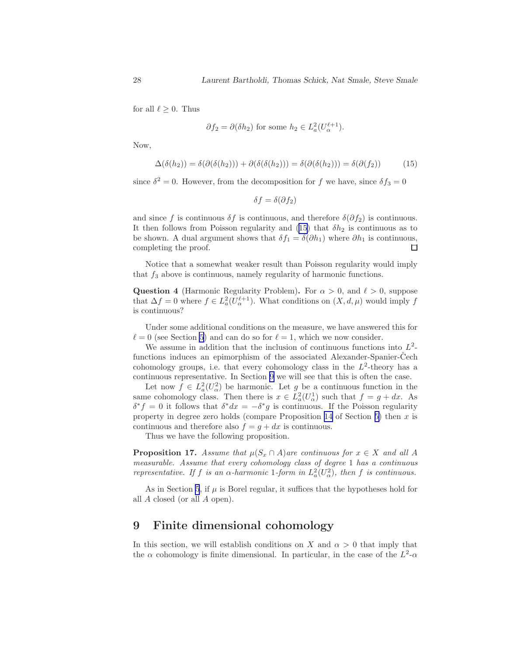<span id="page-27-0"></span>for all  $\ell \geq 0$ . Thus

$$
\partial f_2 = \partial(\delta h_2)
$$
 for some  $h_2 \in L_a^2(U_\alpha^{\ell+1})$ .

Now,

$$
\Delta(\delta(h_2)) = \delta(\partial(\delta(h_2))) + \partial(\delta(\delta(h_2))) = \delta(\partial(\delta(h_2))) = \delta(\partial(f_2)) \tag{15}
$$

since  $\delta^2 = 0$ . However, from the decomposition for f we have, since  $\delta f_3 = 0$ 

$$
\delta f = \delta(\partial f_2)
$$

and since f is continuous  $\delta f$  is continuous, and therefore  $\delta(\partial f_2)$  is continuous. It then follows from Poisson regularity and (15) that  $\delta h_2$  is continuous as to be shown. A dual argument shows that  $\delta f_1 = \delta(\partial h_1)$  where  $\partial h_1$  is continuous, completing the proof.  $\Box$ 

Notice that a somewhat weaker result than Poisson regularity would imply that  $f_3$  above is continuous, namely regularity of harmonic functions.

**Question 4** (Harmonic Regularity Problem). For  $\alpha > 0$ , and  $\ell > 0$ , suppose that  $\Delta f = 0$  where  $f \in L^2_a(U_\alpha^{\ell+1})$ . What conditions on  $(X, d, \mu)$  would imply f is continuous?

Under some additional conditions on the measure, we have answered this for  $\ell = 0$  (see Section [5](#page-17-0)) and can do so for  $\ell = 1$ , which we now consider.

We assume in addition that the inclusion of continuous functions into  $L^2$ functions induces an epimorphism of the associated Alexander-Spanier-Cech cohomology groups, i.e. that every cohomology class in the  $L^2$ -theory has a continuous representative. In Section 9 we will see that this is often the case.

Let now  $f \in L^2_a(U^2_\alpha)$  be harmonic. Let g be a continuous function in the same cohomology class. Then there is  $x \in L^2_a(U^1_\alpha)$  such that  $f = g + dx$ . As  $\delta^* f = 0$  it follows that  $\delta^* dx = -\delta^* g$  is continuous. If the Poisson regularity property in degree zero holds (compare Proposition [14](#page-18-0) of Section [5\)](#page-17-0) then x is continuous and therefore also  $f = g + dx$  is continuous.

Thus we have the following proposition.

**Proposition 17.** Assume that  $\mu(S_x \cap A)$  are continuous for  $x \in X$  and all A measurable. Assume that every cohomology class of degree 1 has a continuous representative. If f is an  $\alpha$ -harmonic 1-form in  $L^2_a(U^2_\alpha)$ , then f is continuous.

As in Section [5](#page-17-0), if  $\mu$  is Borel regular, it suffices that the hypotheses hold for all A closed (or all A open).

## 9 Finite dimensional cohomology

In this section, we will establish conditions on X and  $\alpha > 0$  that imply that the  $\alpha$  cohomology is finite dimensional. In particular, in the case of the  $L^2$ - $\alpha$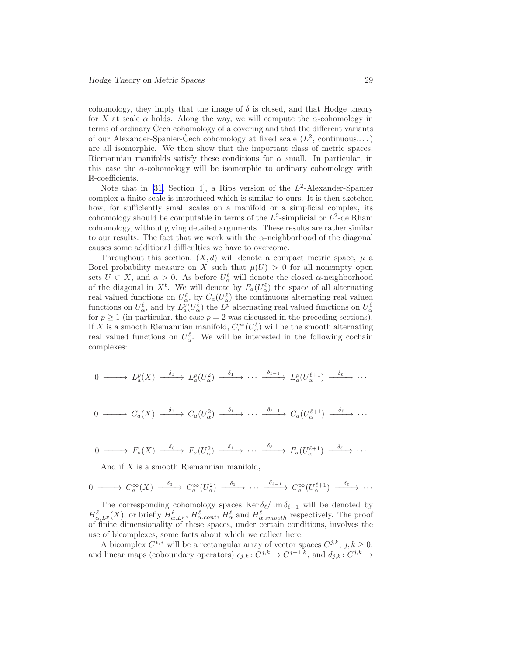cohomology, they imply that the image of  $\delta$  is closed, and that Hodge theory for X at scale  $\alpha$  holds. Along the way, we will compute the  $\alpha$ -cohomology in terms of ordinary Cech cohomology of a covering and that the different variants of our Alexander-Spanier-Čech cohomology at fixed scale  $(L^2, \text{ continuous}, \dots)$ are all isomorphic. We then show that the important class of metric spaces, Riemannian manifolds satisfy these conditions for  $\alpha$  small. In particular, in this case the  $\alpha$ -cohomology will be isomorphic to ordinary cohomology with R-coefficients.

Notethat in [[31,](#page-49-0) Section 4], a Rips version of the  $L^2$ -Alexander-Spanier complex a finite scale is introduced which is similar to ours. It is then sketched how, for sufficiently small scales on a manifold or a simplicial complex, its cohomology should be computable in terms of the  $L^2$ -simplicial or  $L^2$ -de Rham cohomology, without giving detailed arguments. These results are rather similar to our results. The fact that we work with the  $\alpha$ -neighborhood of the diagonal causes some additional difficulties we have to overcome.

Throughout this section,  $(X, d)$  will denote a compact metric space,  $\mu$  a Borel probability measure on X such that  $\mu(U) > 0$  for all nonempty open sets  $U \subset X$ , and  $\alpha > 0$ . As before  $U^{\ell}_{\alpha}$  will denote the closed  $\alpha$ -neighborhood of the diagonal in  $X^{\ell}$ . We will denote by  $F_a(U_{\alpha}^{\ell})$  the space of all alternating real valued functions on  $U_{\alpha}^{\ell}$ , by  $C_a(U_{\alpha}^{\ell})$  the continuous alternating real valued functions on  $U^{\ell}_{\alpha}$ , and by  $L^{p}_{a}(U^{\ell}_{\alpha})$  the  $L^{p}$  alternating real valued functions on  $U^{\ell}_{\alpha}$ for  $p \ge 1$  (in particular, the case  $p = 2$  was discussed in the preceding sections). If X is a smooth Riemannian manifold,  $C_a^{\infty}(U_{\alpha}^{\ell})$  will be the smooth alternating real valued functions on  $U^{\ell}_{\alpha}$ . We will be interested in the following cochain complexes:

$$
0 \longrightarrow L_a^p(X) \longrightarrow L_a^p(U_\alpha^2) \longrightarrow \cdots \longrightarrow \cdots \longrightarrow L_a^p(U_\alpha^{\ell+1}) \longrightarrow \cdots
$$

$$
0 \longrightarrow C_a(X) \longrightarrow C_a(U_\alpha^2) \longrightarrow \cdots \longrightarrow \cdots \longrightarrow C_a(U_\alpha^{\ell+1}) \longrightarrow \cdots
$$

$$
0 \longrightarrow F_a(X) \longrightarrow F_a(U_\alpha^2) \longrightarrow \cdots \longrightarrow \cdots \longrightarrow F_a(U_\alpha^{\ell+1}) \longrightarrow \cdots
$$

And if X is a smooth Riemannian manifold,

$$
0 \longrightarrow C_a^{\infty}(X) \longrightarrow C_a^{\infty}(U_\alpha^2) \longrightarrow \cdots \longrightarrow \cdots \longrightarrow C_a^{\infty}(U_\alpha^{\ell+1}) \longrightarrow \cdots
$$

The corresponding cohomology spaces Ker  $\delta_{\ell}$  Im  $\delta_{\ell-1}$  will be denoted by  $H_{\alpha,L^p}^{\ell}(X)$ , or briefly  $H_{\alpha,L^p}^{\ell}$ ,  $H_{\alpha,cont}^{\ell}$ ,  $H_{\alpha}^{\ell}$  and  $H_{\alpha,smooth}^{\ell}$  respectively. The proof of finite dimensionality of these spaces, under certain conditions, involves the use of bicomplexes, some facts about which we collect here.

A bicomplex  $C^{*,*}$  will be a rectangular array of vector spaces  $C^{j,k}$ ,  $j,k \geq 0$ , and linear maps (coboundary operators)  $c_{j,k}: C^{j,k} \to C^{j+1,k}$ , and  $d_{j,k}: C^{j,k} \to C^{j,k}$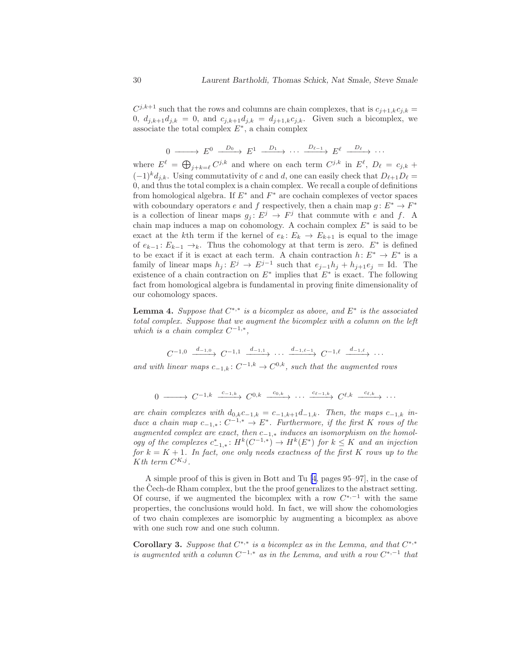$C^{j,k+1}$  such that the rows and columns are chain complexes, that is  $c_{j+1,k}c_{j,k} =$ 0,  $d_{j,k+1}d_{j,k} = 0$ , and  $c_{j,k+1}d_{j,k} = d_{j+1,k}c_{j,k}$ . Given such a bicomplex, we associate the total complex  $E^*$ , a chain complex

 $0 \longrightarrow E^0 \longrightarrow E^1 \longrightarrow \cdots \longrightarrow E^{\ell-1} \longrightarrow E^{\ell} \longrightarrow \cdots$ 

where  $E^{\ell} = \bigoplus_{j+k=\ell} C^{j,k}$  and where on each term  $C^{j,k}$  in  $E^{\ell}$ ,  $D_{\ell} = c_{j,k}$  +  $(-1)^k d_{i,k}$ . Using commutativity of c and d, one can easily check that  $D_{\ell+1}D_{\ell} =$ 0, and thus the total complex is a chain complex. We recall a couple of definitions from homological algebra. If  $E^*$  and  $F^*$  are cochain complexes of vector spaces with coboundary operators e and f respectively, then a chain map  $g: E^* \to F^*$ is a collection of linear maps  $g_j : E^j \to F^j$  that commute with e and f. A chain map induces a map on cohomology. A cochain complex  $E^*$  is said to be exact at the kth term if the kernel of  $e_k: E_k \to E_{k+1}$  is equal to the image of  $e_{k-1}$ :  $E_{k-1} \to k$ . Thus the cohomology at that term is zero.  $E^*$  is defined to be exact if it is exact at each term. A chain contraction  $h: E^* \to E^*$  is a family of linear maps  $h_j: E^j \to E^{j-1}$  such that  $e_{j-1}h_j + h_{j+1}e_j = \text{Id}$ . The existence of a chain contraction on  $E^*$  implies that  $E^*$  is exact. The following fact from homological algebra is fundamental in proving finite dimensionality of our cohomology spaces.

**Lemma 4.** Suppose that  $C^{*,*}$  is a bicomplex as above, and  $E^*$  is the associated total complex. Suppose that we augment the bicomplex with a column on the left which is a chain complex  $C^{-1,*}$ ,

$$
C^{-1,0} \xrightarrow{d_{-1,0}} C^{-1,1} \xrightarrow{d_{-1,1}} \cdots \xrightarrow{d_{-1,\ell-1}} C^{-1,\ell} \xrightarrow{d_{-1,\ell}} \cdots
$$

and with linear maps  $c_{-1,k}: C^{-1,k} \to C^{0,k}$ , such that the augmented rows

$$
0 \longrightarrow C^{-1,k} \xrightarrow{c_{-1,k}} C^{0,k} \xrightarrow{c_{0,k}} \cdots \xrightarrow{c_{\ell-1,k}} C^{\ell,k} \xrightarrow{c_{\ell,k}} \cdots
$$

are chain complexes with  $d_{0,k}c_{-1,k} = c_{-1,k+1}d_{-1,k}$ . Then, the maps  $c_{-1,k}$  induce a chain map  $c_{-1,*}: C^{-1,*} \to E^*$ . Furthermore, if the first K rows of the augmented complex are exact, then  $c_{-1,*}$  induces an isomorphism on the homology of the complexes  $c_{-1,*}^* \colon H^k(C^{-1,*}) \to H^k(E^*)$  for  $k \leq K$  and an injection for  $k = K + 1$ . In fact, one only needs exactness of the first K rows up to the K th term  $C^{K,j}$ .

A simple proof of this is given in Bott and Tu [\[4](#page-47-0), pages 95–97], in the case of the Čech-de Rham complex, but the the proof generalizes to the abstract setting. Of course, if we augmented the bicomplex with a row  $C^{*,-1}$  with the same properties, the conclusions would hold. In fact, we will show the cohomologies of two chain complexes are isomorphic by augmenting a bicomplex as above with one such row and one such column.

Corollary 3. Suppose that  $C^{*,*}$  is a bicomplex as in the Lemma, and that  $C^{*,*}$ is augmented with a column  $C^{-1,*}$  as in the Lemma, and with a row  $C^{*,-1}$  that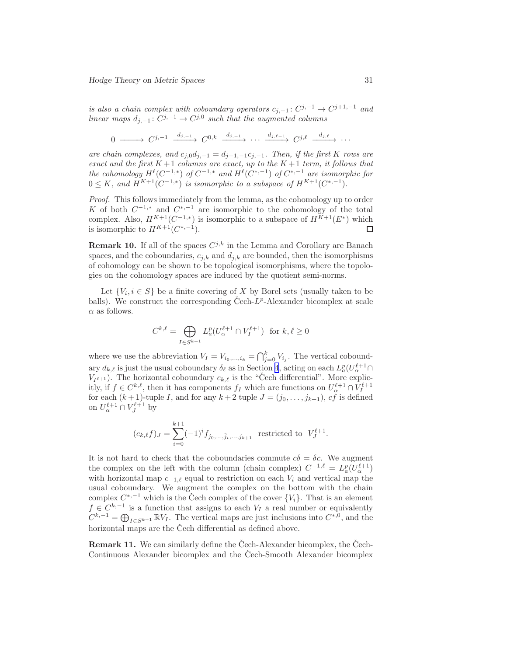is also a chain complex with coboundary operators  $c_{j,-1} : C^{j,-1} \to C^{j+1,-1}$  and linear maps  $d_{j,-1}: C^{j,-1} \to C^{j,0}$  such that the augmented columns

 $0 \longrightarrow C^{j,-1} \xrightarrow{d_{j,-1}} C^{0,k} \xrightarrow{d_{j,-1}} \cdots \xrightarrow{d_{j,\ell-1}} C^{j,\ell} \xrightarrow{d_{j,\ell}} \cdots$ 

are chain complexes, and  $c_{j,0}d_{j,-1} = d_{j+1,-1}c_{j,-1}$ . Then, if the first K rows are exact and the first  $K+1$  columns are exact, up to the  $K+1$  term, it follows that the cohomology  $H^{\ell}(C^{-1,*})$  of  $C^{-1,*}$  and  $H^{\ell}(C^{*,-1})$  of  $C^{*,-1}$  are isomorphic for  $0 \leq K$ , and  $H^{K+1}(C^{-1,*})$  is isomorphic to a subspace of  $H^{K+1}(C^{*,-1})$ .

Proof. This follows immediately from the lemma, as the cohomology up to order K of both  $C^{-1,*}$  and  $C^{*,-1}$  are isomorphic to the cohomology of the total complex. Also,  $H^{K+1}(C^{-1,*})$  is isomorphic to a subspace of  $H^{K+1}(E^*)$  which is isomorphic to  $H^{K+1}(C^{*,-1})$ . □

**Remark 10.** If all of the spaces  $C^{j,k}$  in the Lemma and Corollary are Banach spaces, and the coboundaries,  $c_{i,k}$  and  $d_{i,k}$  are bounded, then the isomorphisms of cohomology can be shown to be topological isomorphisms, where the topologies on the cohomology spaces are induced by the quotient semi-norms.

Let  $\{V_i, i \in S\}$  be a finite covering of X by Borel sets (usually taken to be balls). We construct the corresponding Čech- $L^p$ -Alexander bicomplex at scale  $\alpha$  as follows.

$$
C^{k,\ell} = \bigoplus_{I \in S^{k+1}} L_a^p(U_\alpha^{\ell+1} \cap V_I^{\ell+1}) \text{ for } k,\ell \ge 0
$$

where we use the abbreviation  $V_I = V_{i_0,\dots,i_k} = \bigcap_{j=0}^k V_{i_j}$ . The vertical coboundary  $d_{k,\ell}$  is just the usual coboundary  $\delta_{\ell}$  as in Section [4,](#page-15-0) acting on each  $L_a^p(U_{\alpha}^{\ell+1}\cap$  $V_{I^{\ell+1}}$ ). The horizontal coboundary  $c_{k,\ell}$  is the "Cech differential". More explicitly, if  $f \in C^{k,\ell}$ , then it has components  $f_I$  which are functions on  $U_\alpha^{\ell+1} \cap V_I^{\ell+1}$ for each  $(k+1)$ -tuple I, and for any  $k+2$  tuple  $J=(j_0,\ldots,j_{k+1}), c\tilde{f}$  is defined on  $U_{\alpha}^{\ell+1} \cap V_J^{\ell+1}$  by

$$
(c_{k,\ell}f)_J = \sum_{i=0}^{k+1} (-1)^i f_{j_0,\ldots,\hat{j}_i,\ldots,j_{k+1}}
$$
 restricted to  $V_J^{\ell+1}$ .

It is not hard to check that the coboundaries commute  $c\delta = \delta c$ . We augment the complex on the left with the column (chain complex)  $C^{-1,\ell} = L_a^p(U_\alpha^{\ell+1})$ with horizontal map  $c_{-1,\ell}$  equal to restriction on each  $V_i$  and vertical map the usual coboundary. We augment the complex on the bottom with the chain complex  $C^{*,-1}$  which is the Cech complex of the cover  $\{V_i\}$ . That is an element  $f \in C^{k,-1}$  is a function that assigns to each  $V_I$  a real number or equivalently  $C^{k,-1} = \bigoplus_{I \in S^{k+1}} \mathbb{R}V_I$ . The vertical maps are just inclusions into  $C^{*,0}$ , and the horizontal maps are the Čech differential as defined above.

**Remark 11.** We can similarly define the Cech-Alexander bicomplex, the Cech-Continuous Alexander bicomplex and the Cech-Smooth Alexander bicomplex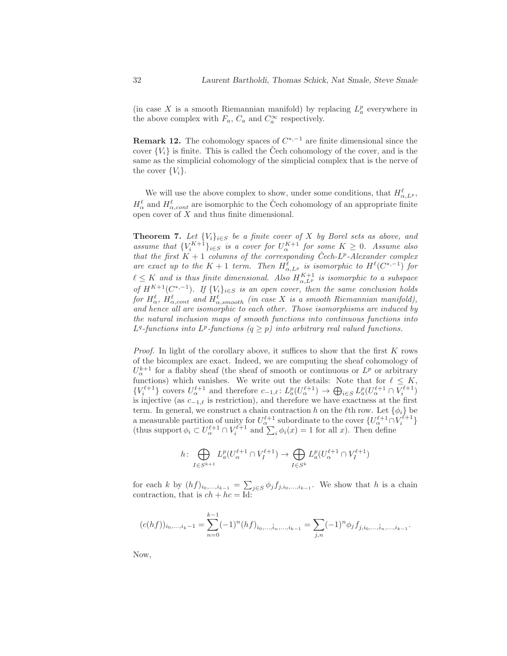<span id="page-31-0"></span>(in case X is a smooth Riemannian manifold) by replacing  $L_a^p$  everywhere in the above complex with  $F_a$ ,  $C_a$  and  $C_a^{\infty}$  respectively.

**Remark 12.** The cohomology spaces of  $C^{*,-1}$  are finite dimensional since the cover  ${V_i}$  is finite. This is called the Čech cohomology of the cover, and is the same as the simplicial cohomology of the simplicial complex that is the nerve of the cover  $\{V_i\}$ .

We will use the above complex to show, under some conditions, that  $H_{\alpha,L^p}^{\ell}$ ,  $H^{\ell}_{\alpha}$  and  $H^{\ell}_{\alpha, cont}$  are isomorphic to the Čech cohomology of an appropriate finite open cover of X and thus finite dimensional.

**Theorem 7.** Let  $\{V_i\}_{i \in S}$  be a finite cover of X by Borel sets as above, and assume that  $\{V_i^{K+1}\}_{i\in S}$  is a cover for  $U_{\alpha}^{K+1}$  for some  $K \geq 0$ . Assume also that the first  $K + 1$  columns of the corresponding Čech- $L^p$ -Alexander complex are exact up to the  $K + 1$  term. Then  $H_{\alpha,L^p}^{\ell}$  is isomorphic to  $H^{\ell}(C^{*,-1})$  for  $\ell \leq K$  and is thus finite dimensional. Also  $H_{\alpha,L^p}^{K+1}$  is isomorphic to a subspace of  $H^{K+1}(C^{*,-1})$ . If  $\{V_i\}_{i\in S}$  is an open cover, then the same conclusion holds for  $H_{\alpha}^{\ell}$ ,  $H_{\alpha, cont}^{\ell}$  and  $H_{\alpha, smooth}^{\ell}$  (in case X is a smooth Riemannian manifold), and hence all are isomorphic to each other. Those isomorphisms are induced by the natural inclusion maps of smooth functions into continuous functions into  $L^q$ -functions into  $L^p$ -functions  $(q \geq p)$  into arbitrary real valued functions.

*Proof.* In light of the corollary above, it suffices to show that the first  $K$  rows of the bicomplex are exact. Indeed, we are computing the sheaf cohomology of  $U_{\alpha}^{k+1}$  for a flabby sheaf (the sheaf of smooth or continuous or  $L^p$  or arbitrary functions) which vanishes. We write out the details: Note that for  $\ell \leq K$ ,  $\{V_i^{\ell+1}\}\text{ covers }U_\alpha^{\ell+1}\text{ and therefore }c_{-1,\ell}\colon L_a^p(U_\alpha^{\ell+1})\to \bigoplus_{i\in S}L_a^p(U_\alpha^{\ell+1}\cap V_i^{\ell+1})$ is injective (as  $c_{-1,\ell}$  is restriction), and therefore we have exactness at the first term. In general, we construct a chain contraction h on the  $\ell$ th row. Let  $\{\phi_i\}$  be a measurable partition of unity for  $U_{\alpha}^{\ell+1}$  subordinate to the cover  $\{U_{\alpha}^{\ell+1} \cap V_{i}^{\ell+1}\}\$ (thus support  $\phi_i \subset U^{\ell+1}$   $\cap V^{\ell+1}$  and  $\sum_i \phi_i(x) = 1$  for all x). Then define

$$
h\colon \bigoplus_{I\in S^{k+1}} L_a^p(U_\alpha^{\ell+1}\cap V_I^{\ell+1})\to \bigoplus_{I\in S^k} L_a^p(U_\alpha^{\ell+1}\cap V_I^{\ell+1})
$$

for each k by  $(hf)_{i_0,\ldots,i_{k-1}} = \sum_{\mathbf{y}\in S} \phi_j f_{j,i_0,\ldots,i_{k-1}}$ . We show that h is a chain contraction, that is  $ch + hc = Id$ :

$$
(c(hf))_{i_0,\dots,i_k-1} = \sum_{n=0}^{k-1} (-1)^n (hf)_{i_0,\dots,\hat{i}_n,\dots,i_{k-1}} = \sum_{j,n} (-1)^n \phi_j f_{j,i_0,\dots,\hat{i}_n,\dots,i_{k-1}}.
$$

Now,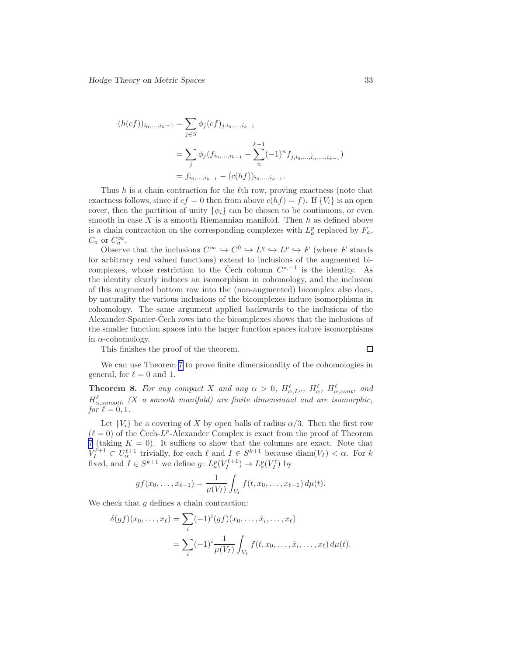<span id="page-32-0"></span>
$$
(h(cf))_{i_0,\dots,i_k-1} = \sum_{j \in S} \phi_j(cf)_{j,i_0,\dots,i_{k-1}}
$$
  
= 
$$
\sum_j \phi_j(f_{i_0,\dots,i_{k-1}} - \sum_n^{k-1} (-1)^n f_{j,i_0,\dots,\hat{i}_n,\dots,i_{k-1}})
$$
  
= 
$$
f_{i_0,\dots,i_{k-1}} - (c(hf))_{i_0,\dots,i_{k-1}}.
$$

Thus  $h$  is a chain contraction for the  $\ell$ th row, proving exactness (note that exactness follows, since if  $cf = 0$  then from above  $c(hf) = f$ . If  $\{V_i\}$  is an open cover, then the partition of unity  $\{\phi_i\}$  can be chosen to be continuous, or even smooth in case  $X$  is a smooth Riemannian manifold. Then  $h$  as defined above is a chain contraction on the corresponding complexes with  $L_a^p$  replaced by  $F_a$ ,  $C_a$  or  $C_a^{\infty}$ .

Observe that the inclusions  $C^{\infty} \hookrightarrow C^0 \hookrightarrow L^q \hookrightarrow L^p \hookrightarrow F$  (where F stands for arbitrary real valued functions) extend to inclusions of the augmented bicomplexes, whose restriction to the Čech column  $C^{*,-1}$  is the identity. As the identity clearly induces an isomorphism in cohomology, and the inclusion of this augmented bottom row into the (non-augmented) bicomplex also does, by naturality the various inclusions of the bicomplexes induce isomorphisms in cohomology. The same argument applied backwards to the inclusions of the Alexander-Spanier-Cech rows into the bicomplexes shows that the inclusions of the smaller function spaces into the larger function spaces induce isomorphisms in  $\alpha$ -cohomology.

This finishes the proof of the theorem.

 $\Box$ 

We can use Theorem [7](#page-31-0) to prove finite dimensionality of the cohomologies in general, for  $\ell = 0$  and 1.

**Theorem 8.** For any compact X and any  $\alpha > 0$ ,  $H_{\alpha,L^p}^{\ell}$ ,  $H_{\alpha}^{\ell}$ ,  $H_{\alpha,cont}^{\ell}$ , and  $H^{\ell}_{\alpha,smooth}$  (X a smooth manifold) are finite dimensional and are isomorphic, for  $\ell = 0, 1$ .

Let  ${V_i}$  be a covering of X by open balls of radius  $\alpha/3$ . Then the first row  $(\ell = 0)$  of the Čech- $L^p$ -Alexander Complex is exact from the proof of Theorem [7](#page-31-0) (taking  $K = 0$ ). It suffices to show that the columns are exact. Note that  $V_I^{\ell+1} \subset U_\alpha^{\ell+1}$  trivially, for each  $\ell$  and  $I \in S^{k+1}$  because diam $(V_I) < \alpha$ . For k fixed, and  $I \in S^{k+1}$  we define  $g: L_a^p(V_I^{\ell+1}) \to L_a^p(V_I^{\ell})$  by

$$
gf(x_0,...,x_{\ell-1}) = \frac{1}{\mu(V_I)} \int_{V_I} f(t,x_0,...,x_{\ell-1}) d\mu(t).
$$

We check that  $q$  defines a chain contraction:

$$
\delta(gf)(x_0, \dots, x_\ell) = \sum_i (-1)^i (gf)(x_0, \dots, \hat{x}_i, \dots, x_\ell)
$$
  
= 
$$
\sum_i (-1)^i \frac{1}{\mu(V_I)} \int_{V_I} f(t, x_0, \dots, \hat{x}_i, \dots, x_\ell) d\mu(t).
$$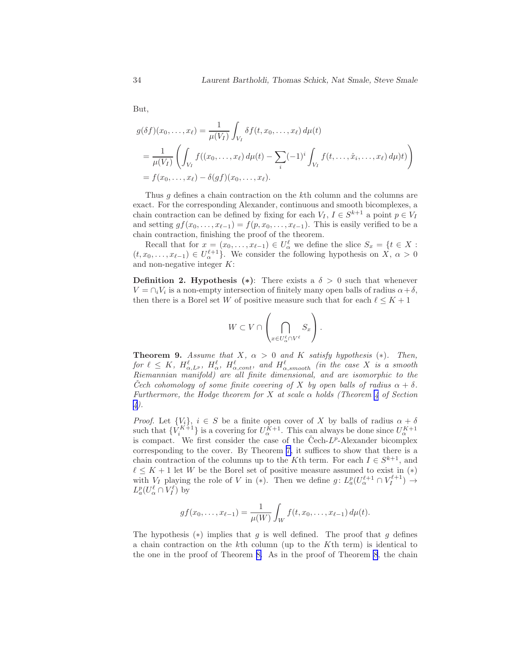But,

$$
g(\delta f)(x_0, ..., x_\ell) = \frac{1}{\mu(V_I)} \int_{V_I} \delta f(t, x_0, ..., x_\ell) d\mu(t)
$$
  
= 
$$
\frac{1}{\mu(V_I)} \left( \int_{V_I} f((x_0, ..., x_\ell) d\mu(t) - \sum_i (-1)^i \int_{V_I} f(t, ..., \hat{x}_i, ..., x_\ell) d\mu)t) \right)
$$
  
= 
$$
f(x_0, ..., x_\ell) - \delta(gf)(x_0, ..., x_\ell).
$$

Thus q defines a chain contraction on the k<sup>th</sup> column and the columns are exact. For the corresponding Alexander, continuous and smooth bicomplexes, a chain contraction can be defined by fixing for each  $V_I$ ,  $I \in S^{k+1}$  a point  $p \in V_I$ and setting  $gf(x_0, \ldots, x_{\ell-1}) = f(p, x_0, \ldots, x_{\ell-1})$ . This is easily verified to be a chain contraction, finishing the proof of the theorem.

Recall that for  $x = (x_0, \ldots, x_{\ell-1}) \in U_\alpha^{\ell}$  we define the slice  $S_x = \{t \in X :$  $(t, x_0, \ldots, x_{\ell-1}) \in U_{\alpha}^{\ell+1}$ . We consider the following hypothesis on  $X, \alpha > 0$ and non-negative integer K:

**Definition 2. Hypothesis (\*):** There exists a  $\delta > 0$  such that whenever  $V = \bigcap_i V_i$  is a non-empty intersection of finitely many open balls of radius  $\alpha + \delta$ , then there is a Borel set W of positive measure such that for each  $\ell \leq K + 1$ 

$$
W \subset V \cap \left(\bigcap_{x \in U_{\alpha}^{\ell} \cap V^{\ell}} S_x\right).
$$

**Theorem 9.** Assume that X,  $\alpha > 0$  and K satisfy hypothesis (\*). Then, for  $\ell \leq K$ ,  $H_{\alpha, L^p}^{\ell}$ ,  $H_{\alpha}^{\ell}$ ,  $H_{\alpha, cont}^{\ell}$ , and  $H_{\alpha, smooth}^{\ell}$  (in the case X is a smooth Riemannian manifold) are all finite dimensional, and are isomorphic to the Cech cohomology of some finite covering of X by open balls of radius  $\alpha + \delta$ . Furthermore, the Hodge theorem for X at scale  $\alpha$  holds (Theorem [4](#page-16-0) of Section [4\)](#page-15-0).

*Proof.* Let  $\{V_i\}$ ,  $i \in S$  be a finite open cover of X by balls of radius  $\alpha + \delta$ such that  $\{V_i^{K+1}\}\$ is a covering for  $U_{\alpha}^{K+1}$ . This can always be done since  $U_{\alpha}^{K+1}$ is compact. We first consider the case of the Cech- $L^p$ -Alexander bicomplex corresponding to the cover. By Theorem [7,](#page-31-0) it suffices to show that there is a chain contraction of the columns up to the K<sup>th</sup> term. For each  $I \in S^{k+1}$ , and  $\ell \leq K + 1$  let W be the Borel set of positive measure assumed to exist in  $(*)$ with  $V_I$  playing the role of V in (\*). Then we define  $g: L_a^p(U_\alpha^{\ell+1} \cap V_I^{\ell+1}) \to$  $L_a^p(U_\alpha^{\ell} \cap V_I^{\ell})$  by

$$
gf(x_0,...,x_{\ell-1}) = \frac{1}{\mu(W)} \int_W f(t,x_0,...,x_{\ell-1}) d\mu(t).
$$

The hypothesis  $(*)$  implies that g is well defined. The proof that g defines a chain contraction on the kth column (up to the Kth term) is identical to the one in the proof of Theorem [8.](#page-32-0) As in the proof of Theorem [8](#page-32-0), the chain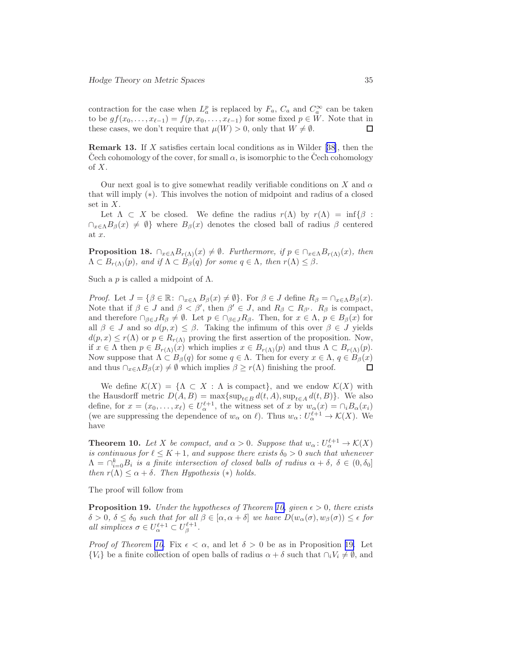<span id="page-34-0"></span>contraction for the case when  $L_a^p$  is replaced by  $F_a$ ,  $C_a$  and  $C_a^{\infty}$  can be taken to be  $gf(x_0, \ldots, x_{\ell-1}) = f(p, x_0, \ldots, x_{\ell-1})$  for some fixed  $p \in W$ . Note that in these cases, we don't require that  $\mu(W) > 0$ , only that  $W \neq \emptyset$ . these cases, we don't require that  $\mu(W) > 0$ , only that  $W \neq \emptyset$ .

Remark 13. If X satisfies certain local conditions as in Wilder[[38\]](#page-49-0), then the Cech cohomology of the cover, for small  $\alpha$ , is isomorphic to the Cech cohomology of  $X$ .

Our next goal is to give somewhat readily verifiable conditions on X and  $\alpha$ that will imply (∗). This involves the notion of midpoint and radius of a closed set in X.

Let  $\Lambda \subset X$  be closed. We define the radius  $r(\Lambda)$  by  $r(\Lambda) = \inf \{ \beta :$  $\bigcap_{x\in\Lambda}B_{\beta}(x)\neq\emptyset$  where  $B_{\beta}(x)$  denotes the closed ball of radius  $\beta$  centered at x.

**Proposition 18.**  $\bigcap_{x \in \Lambda} B_{r(\Lambda)}(x) \neq \emptyset$ . Furthermore, if  $p \in \bigcap_{x \in \Lambda} B_{r(\Lambda)}(x)$ , then  $\Lambda \subset B_{r(\Lambda)}(p)$ , and if  $\Lambda \subset B_{\beta}(q)$  for some  $q \in \Lambda$ , then  $r(\Lambda) \leq \beta$ .

Such a p is called a midpoint of  $\Lambda$ .

*Proof.* Let  $J = \{\beta \in \mathbb{R} : \cap_{x \in \Lambda} B_{\beta}(x) \neq \emptyset\}$ . For  $\beta \in J$  define  $R_{\beta} = \cap_{x \in \Lambda} B_{\beta}(x)$ . Note that if  $\beta \in J$  and  $\beta < \beta'$ , then  $\beta' \in J$ , and  $R_{\beta} \subset R_{\beta'}$ .  $R_{\beta}$  is compact, and therefore  $\cap_{\beta \in J} R_{\beta} \neq \emptyset$ . Let  $p \in \cap_{\beta \in J} R_{\beta}$ . Then, for  $x \in \Lambda$ ,  $p \in B_{\beta}(x)$  for all  $\beta \in J$  and so  $d(p, x) \leq \beta$ . Taking the infimum of this over  $\beta \in J$  yields  $d(p, x) \leq r(\Lambda)$  or  $p \in R_{r(\Lambda)}$  proving the first assertion of the proposition. Now, if  $x \in \Lambda$  then  $p \in B_{r(\Lambda)}(x)$  which implies  $x \in B_{r(\Lambda)}(p)$  and thus  $\Lambda \subset B_{r(\Lambda)}(p)$ . Now suppose that  $\Lambda \subset B_{\beta}(q)$  for some  $q \in \Lambda$ . Then for every  $x \in \Lambda$ ,  $q \in B_{\beta}(x)$  and thus  $\cap_{x \in \Lambda} B_{\beta}(x) \neq \emptyset$  which implies  $\beta > r(\Lambda)$  finishing the proof. and thus  $\cap_{x \in \Lambda} B_{\beta}(x) \neq \emptyset$  which implies  $\beta \geq r(\Lambda)$  finishing the proof.

We define  $\mathcal{K}(X) = \{ \Lambda \subset X : \Lambda \text{ is compact} \}$ , and we endow  $\mathcal{K}(X)$  with the Hausdorff metric  $D(A, B) = \max\{\sup_{t \in B} d(t, A), \sup_{t \in A} d(t, B)\}\.$  We also define, for  $x = (x_0, \ldots, x_\ell) \in U_\alpha^{\ell+1}$ , the witness set of x by  $w_\alpha(x) = \bigcap_i B_\alpha(x_i)$ (we are suppressing the dependence of  $w_{\alpha}$  on  $\ell$ ). Thus  $w_{\alpha} : U_{\alpha}^{\ell+1} \to \mathcal{K}(X)$ . We have

**Theorem 10.** Let X be compact, and  $\alpha > 0$ . Suppose that  $w_{\alpha} : U_{\alpha}^{\ell+1} \to \mathcal{K}(X)$ is continuous for  $\ell \leq K+1$ , and suppose there exists  $\delta_0 > 0$  such that whenever  $\Lambda = \cap_{i=0}^k B_i$  is a finite intersection of closed balls of radius  $\alpha + \delta$ ,  $\delta \in (0, \delta_0]$ then  $r(\Lambda) \leq \alpha + \delta$ . Then Hypothesis (\*) holds.

The proof will follow from

**Proposition 19.** Under the hypotheses of Theorem 10, given  $\epsilon > 0$ , there exists  $\delta > 0$ ,  $\delta \leq \delta_0$  such that for all  $\beta \in [\alpha, \alpha + \delta]$  we have  $D(w_\alpha(\sigma), w_\beta(\sigma)) \leq \epsilon$  for all simplices  $\sigma \in U_{\alpha}^{\ell+1} \subset U_{\beta}^{\ell+1}$ .

*Proof of Theorem 10.* Fix  $\epsilon < \alpha$ , and let  $\delta > 0$  be as in Proposition 19. Let  ${V_i}$  be a finite collection of open balls of radius  $\alpha + \delta$  such that  $\cap_i V_i \neq \emptyset$ , and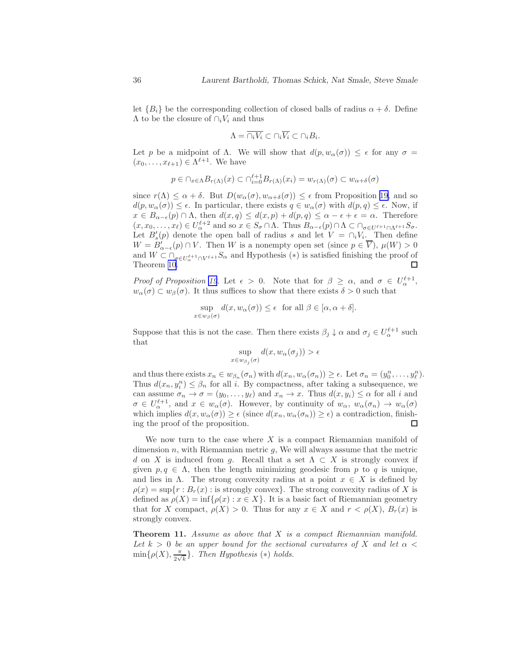<span id="page-35-0"></span>let  ${B_i}$  be the corresponding collection of closed balls of radius  $\alpha + \delta$ . Define  $\Lambda$  to be the closure of  $\cap_i V_i$  and thus

$$
\Lambda = \overline{\cap_i V_i} \subset \cap_i \overline{V_i} \subset \cap_i B_i.
$$

Let p be a midpoint of Λ. We will show that  $d(p, w_{\alpha}(\sigma)) \leq \epsilon$  for any  $\sigma =$  $(x_0,\ldots,x_{\ell+1})\in \Lambda^{\ell+1}$ . We have

$$
p \in \cap_{x \in \Lambda} B_{r(\Lambda)}(x) \subset \cap_{i=0}^{\ell+1} B_{r(\Lambda)}(x_i) = w_{r(\Lambda)}(\sigma) \subset w_{\alpha+\delta}(\sigma)
$$

since  $r(\Lambda) \leq \alpha + \delta$ . But  $D(w_\alpha(\sigma), w_{\alpha+\delta}(\sigma)) \leq \epsilon$  from Proposition [19,](#page-34-0) and so  $d(p, w_{\alpha}(\sigma)) \leq \epsilon$ . In particular, there exists  $q \in w_{\alpha}(\sigma)$  with  $d(p,q) \leq \epsilon$ . Now, if  $x \in B_{\alpha-\epsilon}(p) \cap \Lambda$ , then  $d(x,q) \leq d(x,p) + d(p,q) \leq \alpha - \epsilon + \epsilon = \alpha$ . Therefore  $(x, x_0, \ldots, x_\ell) \in U_\alpha^{\ell+2}$  and so  $x \in S_\sigma \cap \Lambda$ . Thus  $B_{\alpha-\epsilon}(p) \cap \Lambda \subset \bigcap_{\sigma \in U^{\ell+1} \cap \Lambda^{\ell+1}} S_\sigma$ . Let  $B'_{s}(p)$  denote the open ball of radius s and let  $V = \bigcap_i V_i$ . Then define  $W = B'_{\alpha-\epsilon}(p) \cap V$ . Then W is a nonempty open set (since  $p \in V$ ),  $\mu(W) > 0$ and  $W \subset \bigcap_{\sigma \in U_{\alpha}^{\ell+1} \cap V^{\ell+1}} S_{\alpha}$  and Hypothesis  $(*)$  is satisfied finishing the proof of Theorem [10.](#page-34-0)

Proof of Proposition [19](#page-34-0). Let  $\epsilon > 0$ . Note that for  $\beta \geq \alpha$ , and  $\sigma \in U_{\alpha}^{\ell+1}$ ,  $w_{\alpha}(\sigma) \subset w_{\beta}(\sigma)$ . It thus suffices to show that there exists  $\delta > 0$  such that

$$
\sup_{x \in w_{\beta}(\sigma)} d(x, w_{\alpha}(\sigma)) \le \epsilon \text{ for all } \beta \in [\alpha, \alpha + \delta].
$$

Suppose that this is not the case. Then there exists  $\beta_j \downarrow \alpha$  and  $\sigma_j \in U^{\ell+1}_{\alpha}$  such that

$$
\sup_{x \in w_{\beta_j}(\sigma)} d(x, w_{\alpha}(\sigma_j)) > \epsilon
$$

and thus there exists  $x_n \in w_{\beta_n}(\sigma_n)$  with  $d(x_n, w_\alpha(\sigma_n)) \ge \epsilon$ . Let  $\sigma_n = (y_0^n, \ldots, y_\ell^n)$ . Thus  $d(x_n, y_i^n) \leq \beta_n$  for all *i*. By compactness, after taking a subsequence, we can assume  $\sigma_n \to \sigma = (y_0, \ldots, y_\ell)$  and  $x_n \to x$ . Thus  $d(x, y_i) \leq \alpha$  for all i and  $\sigma \in U_{\alpha}^{\ell+1}$ , and  $x \in w_{\alpha}(\sigma)$ . However, by continuity of  $w_{\alpha}, w_{\alpha}(\sigma_n) \to w_{\alpha}(\sigma)$ which implies  $d(x, w_\alpha(\sigma)) \ge \epsilon$  (since  $d(x_n, w_\alpha(\sigma_n)) \ge \epsilon$ ) a contradiction, finishing the proof of the proposition. ing the proof of the proposition.

We now turn to the case where  $X$  is a compact Riemannian manifold of dimension  $n$ , with Riemannian metric  $q$ , We will always assume that the metric d on X is induced from g. Recall that a set  $\Lambda \subset X$  is strongly convex if given  $p, q \in \Lambda$ , then the length minimizing geodesic from p to q is unique, and lies in  $\Lambda$ . The strong convexity radius at a point  $x \in X$  is defined by  $\rho(x) = \sup\{r : B_r(x) : \text{is strongly convex}\}\.$  The strong convexity radius of X is defined as  $\rho(X) = \inf \{ \rho(x) : x \in X \}$ . It is a basic fact of Riemannian geometry that for X compact,  $\rho(X) > 0$ . Thus for any  $x \in X$  and  $r < \rho(X)$ ,  $B_r(x)$  is strongly convex.

**Theorem 11.** Assume as above that  $X$  is a compact Riemannian manifold. Let  $k > 0$  be an upper bound for the sectional curvatures of X and let  $\alpha <$  $\min\{\rho(X), \frac{\pi}{2\sqrt{}}\}$  $\frac{\pi}{2\sqrt{k}}$ . Then Hypothesis (\*) holds.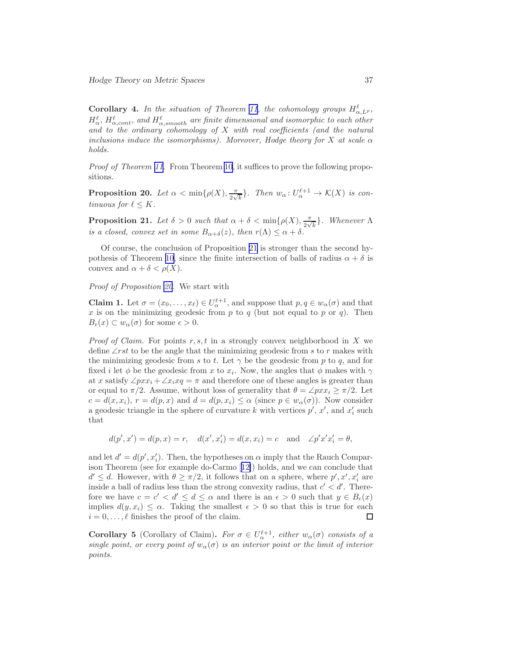<span id="page-36-0"></span>**Corollary 4.** In the situation of Theorem [11](#page-35-0), the cohomology groups  $H_{\alpha,L^p}^{\ell}$ ,  $H_\alpha^\ell$ ,  $H_{\alpha,cont}^\ell$ , and  $H_{\alpha,smooth}^\ell$  are finite dimensional and isomorphic to each other and to the ordinary cohomology of  $X$  with real coefficients (and the natural inclusions induce the isomorphisms). Moreover, Hodge theory for X at scale  $\alpha$ holds.

Proof of Theorem [11.](#page-35-0) From Theorem [10](#page-34-0), it suffices to prove the following propositions.

**Proposition 20.** Let  $\alpha < \min\{\rho(X), \frac{\pi}{2\sqrt{2}}\}$  $\frac{\pi}{2\sqrt{k}}$ . Then  $w_\alpha: U_\alpha^{\ell+1} \to \mathcal{K}(X)$  is continuous for  $\ell \leq K$ .

**Proposition 21.** Let  $\delta > 0$  such that  $\alpha + \delta < \min\{\rho(X), \frac{\pi}{2\sqrt{\rho}}\}$  $\frac{\pi}{2\sqrt{k}}$ . Whenever  $\Lambda$ is a closed, convex set in some  $B_{\alpha+\delta}(z)$ , then  $r(\Lambda) \leq \alpha + \delta$ .

Of course, the conclusion of Proposition 21 is stronger than the second hy-pothesis of Theorem [10](#page-34-0), since the finite intersection of balls of radius  $\alpha + \delta$  is convex and  $\alpha + \delta < \rho(X)$ .

#### Proof of Proposition 20. We start with

**Claim 1.** Let  $\sigma = (x_0, \ldots, x_\ell) \in U_\alpha^{\ell+1}$ , and suppose that  $p, q \in w_\alpha(\sigma)$  and that x is on the minimizing geodesic from p to q (but not equal to p or q). Then  $B_{\epsilon}(x) \subset w_{\alpha}(\sigma)$  for some  $\epsilon > 0$ .

*Proof of Claim.* For points  $r, s, t$  in a strongly convex neighborhood in X we define  $\angle$ rst to be the angle that the minimizing geodesic from s to r makes with the minimizing geodesic from s to t. Let  $\gamma$  be the geodesic from p to q, and for fixed *i* let  $\phi$  be the geodesic from *x* to *x<sub>i</sub>*. Now, the angles that  $\phi$  makes with  $\gamma$ at x satisfy  $\angle pxx_i + \angle x_ixq = \pi$  and therefore one of these angles is greater than or equal to  $\pi/2$ . Assume, without loss of generality that  $\theta = \angle pxx_i \geq \pi/2$ . Let  $c = d(x, x_i)$ ,  $r = d(p, x)$  and  $d = d(p, x_i) \leq \alpha$  (since  $p \in w_\alpha(\sigma)$ ). Now consider a geodesic triangle in the sphere of curvature k with vertices  $p'$ ,  $x'$ , and  $x'_{i}$  such that

$$
d(p',x')=d(p,x)=r,\quad d(x',x_i')=d(x,x_i)=c\quad\text{and}\quad\angle p'x'x_i'=\theta,
$$

and let  $d' = d(p', x'_i)$ . Then, the hypotheses on  $\alpha$  imply that the Rauch Comparison Theorem (see for example do-Carmo[[12\]](#page-47-0)) holds, and we can conclude that  $d' \leq d$ . However, with  $\theta \geq \pi/2$ , it follows that on a sphere, where  $p', x', x'_i$  are inside a ball of radius less than the strong convexity radius, that  $c' < d'$ . Therefore we have  $c = c' < d' \leq d \leq \alpha$  and there is an  $\epsilon > 0$  such that  $y \in B_{\epsilon}(x)$ implies  $d(y, x_i) \leq \alpha$ . Taking the smallest  $\epsilon > 0$  so that this is true for each  $i = 0, \ldots, \ell$  finishes the proof of the claim.  $i = 0, \ldots, \ell$  finishes the proof of the claim.

**Corollary 5** (Corollary of Claim). For  $\sigma \in U_{\alpha}^{\ell+1}$ , either  $w_{\alpha}(\sigma)$  consists of a single point, or every point of  $w_\alpha(\sigma)$  is an interior point or the limit of interior points.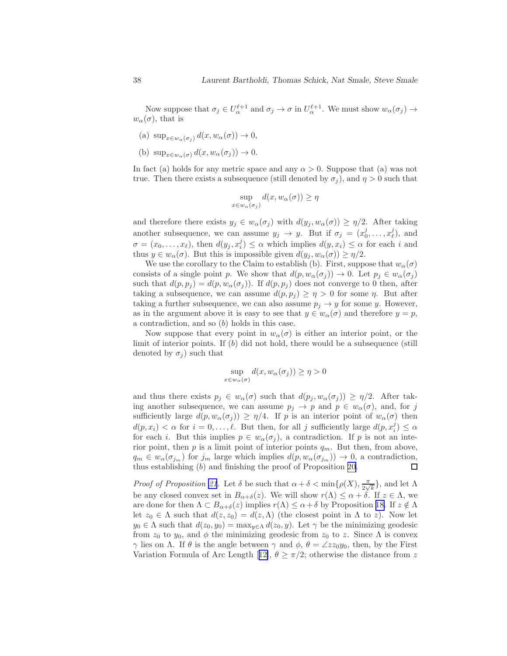Now suppose that  $\sigma_j \in U_{\alpha}^{\ell+1}$  and  $\sigma_j \to \sigma$  in  $U_{\alpha}^{\ell+1}$ . We must show  $w_{\alpha}(\sigma_j) \to$  $w_\alpha(\sigma)$ , that is

- (a)  $\sup_{x \in w_\alpha(\sigma_j)} d(x, w_\alpha(\sigma)) \to 0$ ,
- (b)  $\sup_{x \in w_\alpha(\sigma)} d(x, w_\alpha(\sigma_j)) \to 0.$

In fact (a) holds for any metric space and any  $\alpha > 0$ . Suppose that (a) was not true. Then there exists a subsequence (still denoted by  $\sigma_i$ ), and  $\eta > 0$  such that

$$
\sup_{x \in w_{\alpha}(\sigma_j)} d(x, w_{\alpha}(\sigma)) \ge \eta
$$

and therefore there exists  $y_j \in w_\alpha(\sigma_j)$  with  $d(y_j, w_\alpha(\sigma)) \geq \eta/2$ . After taking another subsequence, we can assume  $y_j \to y$ . But if  $\sigma_j = (x_0^j, \dots, x_\ell^j)$ , and  $\sigma = (x_0, \ldots, x_\ell)$ , then  $d(y_j, x_i^j) \leq \alpha$  which implies  $d(y, x_i) \leq \alpha$  for each i and thus  $y \in w_\alpha(\sigma)$ . But this is impossible given  $d(y_j, w_\alpha(\sigma)) \geq \eta/2$ .

We use the corollary to the Claim to establish (b). First, suppose that  $w_\alpha(\sigma)$ consists of a single point p. We show that  $d(p, w_\alpha(\sigma_j)) \to 0$ . Let  $p_j \in w_\alpha(\sigma_j)$ such that  $d(p, p_j) = d(p, w_\alpha(\sigma_j))$ . If  $d(p, p_j)$  does not converge to 0 then, after taking a subsequence, we can assume  $d(p, p_j) \geq \eta > 0$  for some  $\eta$ . But after taking a further subsequence, we can also assume  $p_j \to y$  for some y. However, as in the argument above it is easy to see that  $y \in w_\alpha(\sigma)$  and therefore  $y = p$ , a contradiction, and so (b) holds in this case.

Now suppose that every point in  $w_\alpha(\sigma)$  is either an interior point, or the limit of interior points. If  $(b)$  did not hold, there would be a subsequence (still denoted by  $\sigma_i$ ) such that

$$
\sup_{x \in w_{\alpha}(\sigma)} d(x, w_{\alpha}(\sigma_j)) \ge \eta > 0
$$

and thus there exists  $p_i \in w_\alpha(\sigma)$  such that  $d(p_i, w_\alpha(\sigma_i)) \geq \eta/2$ . After taking another subsequence, we can assume  $p_j \to p$  and  $p \in w_\alpha(\sigma)$ , and, for j sufficiently large  $d(p, w_\alpha(\sigma_j)) \geq \eta/4$ . If p is an interior point of  $w_\alpha(\sigma)$  then  $d(p, x_i) < \alpha$  for  $i = 0, \ldots, \ell$ . But then, for all j sufficiently large  $d(p, x_i^j) \leq \alpha$ for each i. But this implies  $p \in w_\alpha(\sigma_j)$ , a contradiction. If p is not an interior point, then p is a limit point of interior points  $q_m$ . But then, from above,  $q_m \in w_\alpha(\sigma_{j_m})$  for  $j_m$  large which implies  $d(p, w_\alpha(\sigma_{j_m})) \to 0$ , a contradiction, thus establishing (b) and finishing the proof of Proposition 20. thus establishing (b) and finishing the proof of Proposition [20.](#page-36-0)

*Proof of Proposition [21](#page-36-0).* Let  $\delta$  be such that  $\alpha + \delta < \min\{\rho(X), \frac{\pi}{2\sqrt{1-\rho^2}}\}$  $\frac{\pi}{2\sqrt{k}}\},\$ and let  $\Lambda$ be any closed convex set in  $B_{\alpha+\delta}(z)$ . We will show  $r(\Lambda) \leq \alpha + \delta$ . If  $z \in \Lambda$ , we are done for then  $\Lambda \subset B_{\alpha+\delta}(z)$  implies  $r(\Lambda) \leq \alpha+\delta$  by Proposition [18.](#page-34-0) If  $z \notin \Lambda$ let  $z_0 \in \Lambda$  such that  $d(z, z_0) = d(z, \Lambda)$  (the closest point in  $\Lambda$  to z). Now let  $y_0 \in \Lambda$  such that  $d(z_0, y_0) = \max_{y \in \Lambda} d(z_0, y)$ . Let  $\gamma$  be the minimizing geodesic from  $z_0$  to  $y_0$ , and  $\phi$  the minimizing geodesic from  $z_0$  to z. Since  $\Lambda$  is convex  $γ$  lies on Λ. If  $θ$  is the angle between  $γ$  and  $φ$ ,  $θ = ∠zz<sub>0</sub>y<sub>0</sub>$ , then, by the First VariationFormula of Arc Length [[12\]](#page-47-0),  $\theta \geq \pi/2$ ; otherwise the distance from z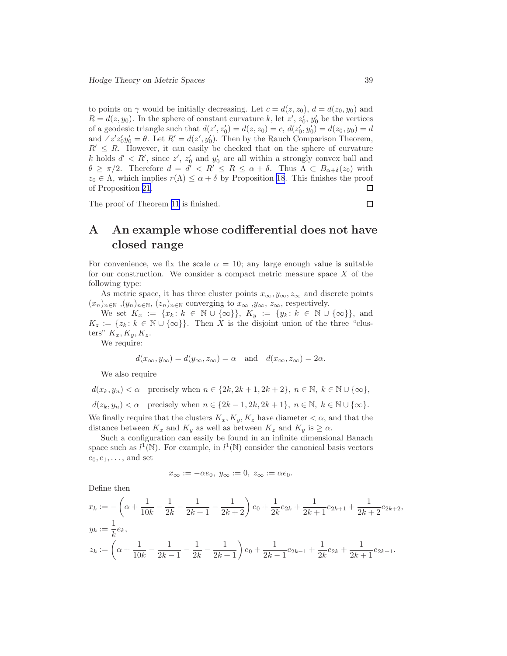<span id="page-38-0"></span>to points on  $\gamma$  would be initially decreasing. Let  $c = d(z, z_0)$ ,  $d = d(z_0, y_0)$  and  $R = d(z, y_0)$ . In the sphere of constant curvature k, let  $z'$ ,  $z'_0$ ,  $y'_0$  be the vertices of a geodesic triangle such that  $d(z', z'_0) = d(z, z_0) = c, d(z'_0, y'_0) = d(z_0, y_0) = d$ and  $\angle z'z'_0y'_0 = \theta$ . Let  $R' = d(z', y'_0)$ . Then by the Rauch Comparison Theorem,  $R' \leq R$ . However, it can easily be checked that on the sphere of curvature k holds  $d' < R'$ , since z', z'<sub>0</sub> and y'<sub>0</sub> are all within a strongly convex ball and  $\theta \geq \pi/2$ . Therefore  $d = d' < R' \leq R \leq \alpha + \delta$ . Thus  $\Lambda \subset B_{\alpha+\delta}(z_0)$  with  $z_0 \in \Lambda$ , which implies  $r(\Lambda) \leq \alpha + \delta$  by Proposition [18](#page-34-0). This finishes the proof of Proposition 21. of Proposition [21.](#page-36-0)

The proof of Theorem [11](#page-35-0) is finished.

### $\Box$

# A An example whose codifferential does not have closed range

For convenience, we fix the scale  $\alpha = 10$ ; any large enough value is suitable for our construction. We consider a compact metric measure space  $X$  of the following type:

As metric space, it has three cluster points  $x_{\infty}, y_{\infty}, z_{\infty}$  and discrete points  $(x_n)_{n\in\mathbb{N}}, (y_n)_{n\in\mathbb{N}}, (z_n)_{n\in\mathbb{N}}$  converging to  $x_\infty, y_\infty, z_\infty$ , respectively.

We set  $K_x := \{x_k : k \in \mathbb{N} \cup \{\infty\}\}, K_y := \{y_k : k \in \mathbb{N} \cup \{\infty\}\},\$ and  $K_z := \{z_k : k \in \mathbb{N} \cup \{\infty\}\}\.$  Then X is the disjoint union of the three "clusters"  $K_x, K_y, K_z$ .

We require:

$$
d(x_{\infty}, y_{\infty}) = d(y_{\infty}, z_{\infty}) = \alpha \text{ and } d(x_{\infty}, z_{\infty}) = 2\alpha.
$$

We also require

 $d(x_k, y_n) < \alpha$  precisely when  $n \in \{2k, 2k+1, 2k+2\}, n \in \mathbb{N}, k \in \mathbb{N} \cup \{\infty\},\$  $d(z_k, y_n) < \alpha$  precisely when  $n \in \{2k-1, 2k, 2k+1\}, n \in \mathbb{N}, k \in \mathbb{N} \cup \{\infty\}.$ We finally require that the clusters  $K_x, K_y, K_z$  have diameter  $\lt \alpha$ , and that the

distance between  $K_x$  and  $K_y$  as well as between  $K_z$  and  $K_y$  is  $\geq \alpha$ . Such a configuration can easily be found in an infinite dimensional Banach space such as  $l^1(\mathbb{N})$ . For example, in  $l^1(\mathbb{N})$  consider the canonical basis vectors  $e_0, e_1, \ldots$ , and set

$$
x_{\infty}:=-\alpha e_0, y_{\infty}:=0, z_{\infty}:=\alpha e_0.
$$

Define then

$$
x_k := -\left(\alpha + \frac{1}{10k} - \frac{1}{2k} - \frac{1}{2k+1} - \frac{1}{2k+2}\right)e_0 + \frac{1}{2k}e_{2k} + \frac{1}{2k+1}e_{2k+1} + \frac{1}{2k+2}e_{2k+2},
$$
  
\n
$$
y_k := \frac{1}{k}e_k,
$$
  
\n
$$
z_k := \left(\alpha + \frac{1}{10k} - \frac{1}{2k-1} - \frac{1}{2k} - \frac{1}{2k+1}\right)e_0 + \frac{1}{2k-1}e_{2k-1} + \frac{1}{2k}e_{2k} + \frac{1}{2k+1}e_{2k+1}.
$$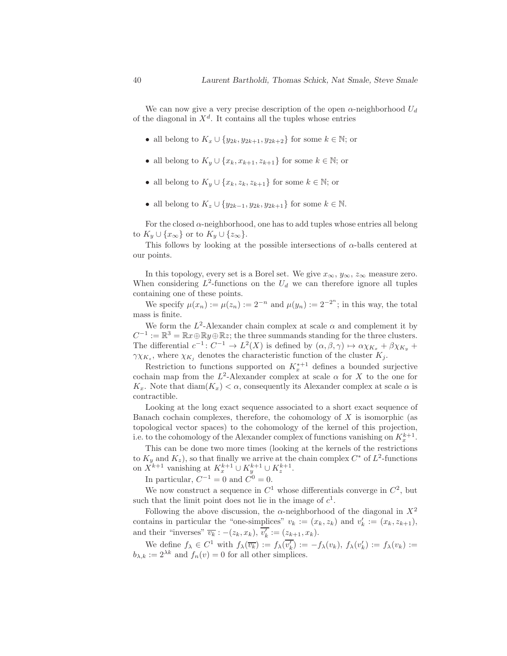We can now give a very precise description of the open  $\alpha$ -neighborhood  $U_d$ of the diagonal in  $X^d$ . It contains all the tuples whose entries

- all belong to  $K_x \cup \{y_{2k}, y_{2k+1}, y_{2k+2}\}$  for some  $k \in \mathbb{N}$ ; or
- all belong to  $K_y \cup \{x_k, x_{k+1}, z_{k+1}\}$  for some  $k \in \mathbb{N}$ ; or
- all belong to  $K_y \cup \{x_k, z_k, z_{k+1}\}\$  for some  $k \in \mathbb{N}$ ; or
- all belong to  $K_z \cup \{y_{2k-1}, y_{2k}, y_{2k+1}\}$  for some  $k \in \mathbb{N}$ .

For the closed  $\alpha$ -neighborhood, one has to add tuples whose entries all belong to  $K_y \cup \{x_\infty\}$  or to  $K_y \cup \{z_\infty\}.$ 

This follows by looking at the possible intersections of  $\alpha$ -balls centered at our points.

In this topology, every set is a Borel set. We give  $x_{\infty}$ ,  $y_{\infty}$ ,  $z_{\infty}$  measure zero. When considering  $L^2$ -functions on the  $U_d$  we can therefore ignore all tuples containing one of these points.

We specify  $\mu(x_n) := \mu(z_n) := 2^{-n}$  and  $\mu(y_n) := 2^{-2^n}$ ; in this way, the total mass is finite.

We form the  $L^2$ -Alexander chain complex at scale  $\alpha$  and complement it by  $C^{-1} := \mathbb{R}^3 = \mathbb{R}x \oplus \mathbb{R}y \oplus \mathbb{R}z$ ; the three summands standing for the three clusters. The differential  $c^{-1}: C^{-1} \to L^2(X)$  is defined by  $(\alpha, \beta, \gamma) \mapsto \alpha \chi_{K_x} + \beta \chi_{K_y} +$  $\gamma \chi_{K_z}$ , where  $\chi_{K_j}$  denotes the characteristic function of the cluster  $K_j$ .

Restriction to functions supported on  $K_x^{*+1}$  defines a bounded surjective cochain map from the  $L^2$ -Alexander complex at scale  $\alpha$  for X to the one for  $K_x$ . Note that  $\text{diam}(K_x) < \alpha$ , consequently its Alexander complex at scale  $\alpha$  is contractible.

Looking at the long exact sequence associated to a short exact sequence of Banach cochain complexes, therefore, the cohomology of  $X$  is isomorphic (as topological vector spaces) to the cohomology of the kernel of this projection, i.e. to the cohomology of the Alexander complex of functions vanishing on  $K_x^{k+1}$ .

This can be done two more times (looking at the kernels of the restrictions to  $K_y$  and  $K_z$ ), so that finally we arrive at the chain complex  $C^*$  of  $L^2$ -functions on  $X^{k+1}$  vanishing at  $K_x^{k+1} \cup K_y^{k+1} \cup K_z^{k+1}$ .

In particular,  $C^{-1} = 0$  and  $C^0 = 0$ .

We now construct a sequence in  $C^1$  whose differentials converge in  $C^2$ , but such that the limit point does not lie in the image of  $c<sup>1</sup>$ .

Following the above discussion, the  $\alpha$ -neighborhood of the diagonal in  $X^2$ contains in particular the "one-simplices"  $v_k := (x_k, z_k)$  and  $v'_k := (x_k, z_{k+1}),$ and their "inverses"  $\overline{v_k}$ :  $-(z_k, x_k)$ ,  $v'_k := (z_{k+1}, x_k)$ .

We define  $f_{\lambda} \in C^1$  with  $f_{\lambda}(\overline{v_k}) := f_{\lambda}(\overline{v'_k}) := -f_{\lambda}(v_k)$ ,  $f_{\lambda}(v'_k) := f_{\lambda}(v_k) :=$  $b_{\lambda,k} := 2^{\lambda k}$  and  $f_n(v) = 0$  for all other simplices.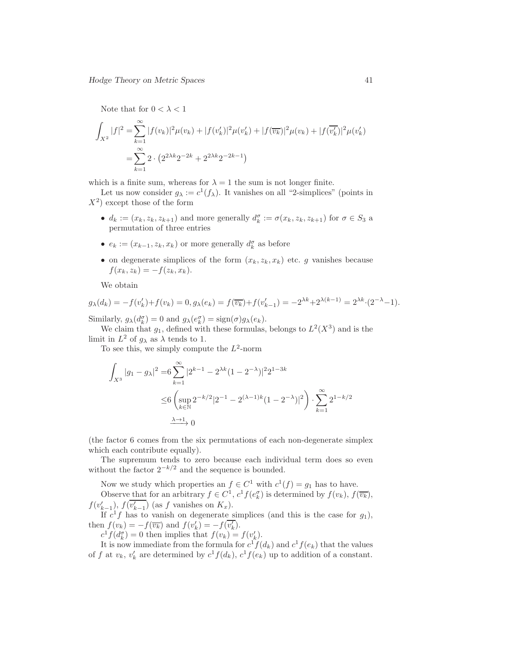Note that for  $0 < \lambda < 1$ 

$$
\int_{X^2} |f|^2 = \sum_{k=1}^{\infty} |f(v_k)|^2 \mu(v_k) + |f(v'_k)|^2 \mu(v'_k) + |f(\overline{v_k})|^2 \mu(v_k) + |f(\overline{v'_k})|^2 \mu(v'_k)
$$

$$
= \sum_{k=1}^{\infty} 2 \cdot (2^{2\lambda k} 2^{-2k} + 2^{2\lambda k} 2^{-2k-1})
$$

which is a finite sum, whereas for  $\lambda = 1$  the sum is not longer finite.

Let us now consider  $g_{\lambda} := c^1(f_{\lambda})$ . It vanishes on all "2-simplices" (points in  $(X^2)$  except those of the form

- $d_k := (x_k, z_k, z_{k+1})$  and more generally  $d_k^{\sigma} := \sigma(x_k, z_k, z_{k+1})$  for  $\sigma \in S_3$  a permutation of three entries
- $e_k := (x_{k-1}, z_k, x_k)$  or more generally  $d_k^{\sigma}$  as before
- on degenerate simplices of the form  $(x_k, z_k, x_k)$  etc. g vanishes because  $f(x_k, z_k) = -f(z_k, x_k).$

We obtain

$$
g_{\lambda}(d_k) = -f(v'_k) + f(v_k) = 0, g_{\lambda}(e_k) = f(\overline{v_k}) + f(v'_{k-1}) = -2^{\lambda k} + 2^{\lambda(k-1)} = 2^{\lambda k} \cdot (2^{-\lambda} - 1).
$$

Similarly,  $g_{\lambda}(d_k^{\sigma}) = 0$  and  $g_{\lambda}(e_k^{\sigma}) = \text{sign}(\sigma)g_{\lambda}(e_k)$ .

We claim that  $g_1$ , defined with these formulas, belongs to  $L^2(X^3)$  and is the limit in  $L^2$  of  $g_\lambda$  as  $\lambda$  tends to 1.

To see this, we simply compute the  $L^2$ -norm

$$
\int_{X^3} |g_1 - g_\lambda|^2 = 6 \sum_{k=1}^{\infty} |2^{k-1} - 2^{\lambda k} (1 - 2^{-\lambda})|^2 2^{1-3k}
$$
  
\n
$$
\leq 6 \left( \sup_{k \in \mathbb{N}} 2^{-k/2} |2^{-1} - 2^{(\lambda - 1)k} (1 - 2^{-\lambda})|^2 \right) \cdot \sum_{k=1}^{\infty} 2^{1 - k/2}
$$
  
\n
$$
\xrightarrow{\lambda \to 1} 0
$$

(the factor 6 comes from the six permutations of each non-degenerate simplex which each contribute equally).

The supremum tends to zero because each individual term does so even without the factor  $2^{-k/2}$  and the sequence is bounded.

Now we study which properties an  $f \in C^1$  with  $c^1(f) = g_1$  has to have.

Observe that for an arbitrary  $f \in C^1$ ,  $c^1 f(e_k^{\sigma})$  is determined by  $f(v_k)$ ,  $f(\overline{v_k})$ ,  $f(v'_{k-1}), f(v'_{k-1})$  (as f vanishes on  $K_x$ ).

If  $c^1 f$  has to vanish on degenerate simplices (and this is the case for  $g_1$ ), then  $f(v_k) = -f(\overline{v_k})$  and  $f(v'_k) = -f(v'_k)$ .

 $c^1 f(d_k^{\sigma}) = 0$  then implies that  $f(v_k) = f(v'_k)$ .

It is now immediate from the formula for  $c^1 f(d_k)$  and  $c^1 f(e_k)$  that the values of f at  $v_k$ ,  $v'_k$  are determined by  $c^1 f(d_k)$ ,  $c^1 f(e_k)$  up to addition of a constant.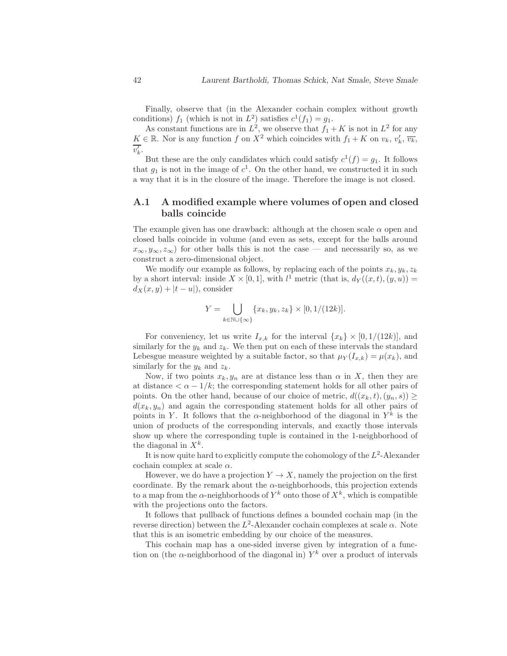Finally, observe that (in the Alexander cochain complex without growth conditions)  $f_1$  (which is not in  $L^2$ ) satisfies  $c^1(f_1) = g_1$ .

As constant functions are in  $L^2$ , we observe that  $f_1 + K$  is not in  $L^2$  for any  $K \in \mathbb{R}$ . Nor is any function f on  $X^2$  which coincides with  $f_1 + K$  on  $v_k, v'_k, \overline{v_k}$ ,  $v'_k.$ 

But these are the only candidates which could satisfy  $c^1(f) = g_1$ . It follows that  $g_1$  is not in the image of  $c^1$ . On the other hand, we constructed it in such a way that it is in the closure of the image. Therefore the image is not closed.

### A.1 A modified example where volumes of open and closed balls coincide

The example given has one drawback: although at the chosen scale  $\alpha$  open and closed balls coincide in volume (and even as sets, except for the balls around  $x_{\infty}, y_{\infty}, z_{\infty}$  for other balls this is not the case — and necessarily so, as we construct a zero-dimensional object.

We modify our example as follows, by replacing each of the points  $x_k, y_k, z_k$ by a short interval: inside  $X \times [0,1]$ , with  $l^1$  metric (that is,  $d_Y((x,t),(y,u)) =$  $d_X(x, y) + |t - u|$ , consider

$$
Y = \bigcup_{k \in \mathbb{N} \cup \{\infty\}} \{x_k, y_k, z_k\} \times [0, 1/(12k)].
$$

For conveniency, let us write  $I_{x,k}$  for the interval  $\{x_k\} \times [0,1/(12k)]$ , and similarly for the  $y_k$  and  $z_k$ . We then put on each of these intervals the standard Lebesgue measure weighted by a suitable factor, so that  $\mu_Y(I_{x,k}) = \mu(x_k)$ , and similarly for the  $y_k$  and  $z_k$ .

Now, if two points  $x_k, y_n$  are at distance less than  $\alpha$  in X, then they are at distance  $\langle \alpha - 1/k \rangle$ ; the corresponding statement holds for all other pairs of points. On the other hand, because of our choice of metric,  $d((x_k, t), (y_n, s)) \geq$  $d(x_k, y_n)$  and again the corresponding statement holds for all other pairs of points in Y. It follows that the  $\alpha$ -neighborhood of the diagonal in  $Y^k$  is the union of products of the corresponding intervals, and exactly those intervals show up where the corresponding tuple is contained in the 1-neighborhood of the diagonal in  $X^k$ .

It is now quite hard to explicitly compute the cohomology of the  $L^2$ -Alexander cochain complex at scale  $\alpha$ .

However, we do have a projection  $Y \to X$ , namely the projection on the first coordinate. By the remark about the  $\alpha$ -neighborhoods, this projection extends to a map from the  $\alpha$ -neighborhoods of  $Y^k$  onto those of  $X^k$ , which is compatible with the projections onto the factors.

It follows that pullback of functions defines a bounded cochain map (in the reverse direction) between the  $L^2$ -Alexander cochain complexes at scale  $\alpha$ . Note that this is an isometric embedding by our choice of the measures.

This cochain map has a one-sided inverse given by integration of a function on (the  $\alpha$ -neighborhood of the diagonal in)  $Y^k$  over a product of intervals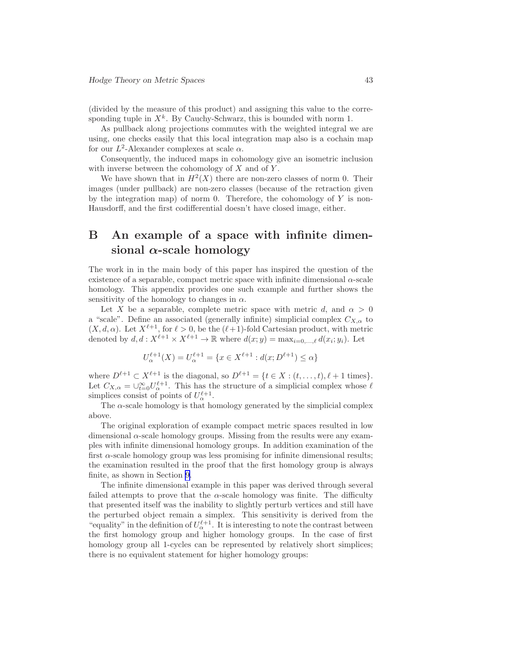(divided by the measure of this product) and assigning this value to the corresponding tuple in  $X^k$ . By Cauchy-Schwarz, this is bounded with norm 1.

As pullback along projections commutes with the weighted integral we are using, one checks easily that this local integration map also is a cochain map for our  $L^2$ -Alexander complexes at scale  $\alpha$ .

Consequently, the induced maps in cohomology give an isometric inclusion with inverse between the cohomology of  $X$  and of  $Y$ .

We have shown that in  $H^2(X)$  there are non-zero classes of norm 0. Their images (under pullback) are non-zero classes (because of the retraction given by the integration map) of norm 0. Therefore, the cohomology of  $Y$  is non-Hausdorff, and the first codifferential doesn't have closed image, either.

## B An example of a space with infinite dimensional  $\alpha$ -scale homology

The work in in the main body of this paper has inspired the question of the existence of a separable, compact metric space with infinite dimensional  $\alpha$ -scale homology. This appendix provides one such example and further shows the sensitivity of the homology to changes in  $\alpha$ .

Let X be a separable, complete metric space with metric d, and  $\alpha > 0$ a "scale". Define an associated (generally infinite) simplicial complex  $C_{X,\alpha}$  to  $(X, d, \alpha)$ . Let  $X^{\ell+1}$ , for  $\ell > 0$ , be the  $(\ell+1)$ -fold Cartesian product, with metric denoted by  $d, d: X^{\ell+1} \times X^{\ell+1} \to \mathbb{R}$  where  $d(x; y) = \max_{i=0,\dots,\ell} d(x_i; y_i)$ . Let

$$
U_{\alpha}^{\ell+1}(X) = U_{\alpha}^{\ell+1} = \{ x \in X^{\ell+1} : d(x; D^{\ell+1}) \le \alpha \}
$$

where  $D^{\ell+1} \subset X^{\ell+1}$  is the diagonal, so  $D^{\ell+1} = \{t \in X : (t, \ldots, t), \ell + 1 \text{ times}\}.$ Let  $C_{X,\alpha} = \bigcup_{t=0}^{\infty} U_{\alpha}^{\ell+1}$ . This has the structure of a simplicial complex whose  $\ell$ simplices consist of points of  $U_{\alpha}^{\ell+1}$ .

The  $\alpha$ -scale homology is that homology generated by the simplicial complex above.

The original exploration of example compact metric spaces resulted in low dimensional  $\alpha$ -scale homology groups. Missing from the results were any examples with infinite dimensional homology groups. In addition examination of the first  $\alpha$ -scale homology group was less promising for infinite dimensional results; the examination resulted in the proof that the first homology group is always finite, as shown in Section [9](#page-27-0).

The infinite dimensional example in this paper was derived through several failed attempts to prove that the  $\alpha$ -scale homology was finite. The difficulty that presented itself was the inability to slightly perturb vertices and still have the perturbed object remain a simplex. This sensitivity is derived from the "equality" in the definition of  $U^{\ell+1}_{\alpha}$ . It is interesting to note the contrast between the first homology group and higher homology groups. In the case of first homology group all 1-cycles can be represented by relatively short simplices; there is no equivalent statement for higher homology groups: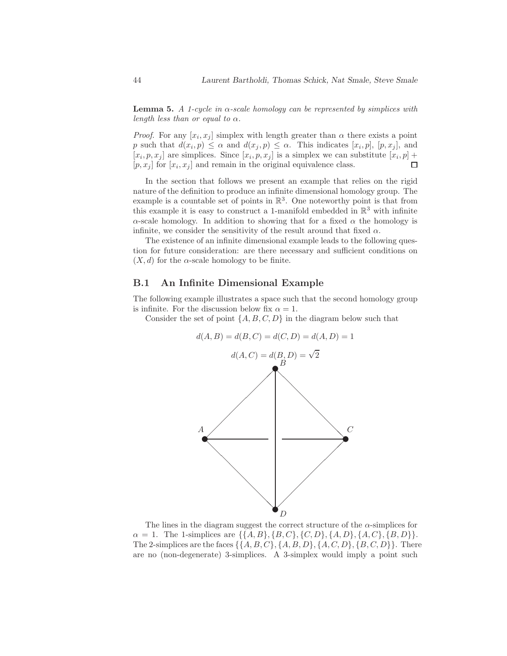**Lemma 5.** A 1-cycle in  $\alpha$ -scale homology can be represented by simplices with length less than or equal to  $\alpha$ .

*Proof.* For any  $[x_i, x_j]$  simplex with length greater than  $\alpha$  there exists a point p such that  $d(x_i, p) \leq \alpha$  and  $d(x_j, p) \leq \alpha$ . This indicates  $[x_i, p]$ ,  $[p, x_j]$ , and  $[x_i, p, x_j]$  are simplices. Since  $[x_i, p, x_j]$  is a simplex we can substitute  $[x_i, p]$  + П  $[p, x_j]$  for  $[x_i, x_j]$  and remain in the original equivalence class.

In the section that follows we present an example that relies on the rigid nature of the definition to produce an infinite dimensional homology group. The example is a countable set of points in  $\mathbb{R}^3$ . One noteworthy point is that from this example it is easy to construct a 1-manifold embedded in  $\mathbb{R}^3$  with infinite  $\alpha$ -scale homology. In addition to showing that for a fixed  $\alpha$  the homology is infinite, we consider the sensitivity of the result around that fixed  $\alpha$ .

The existence of an infinite dimensional example leads to the following question for future consideration: are there necessary and sufficient conditions on  $(X, d)$  for the  $\alpha$ -scale homology to be finite.

#### B.1 An Infinite Dimensional Example

The following example illustrates a space such that the second homology group is infinite. For the discussion below fix  $\alpha = 1$ .

Consider the set of point  $\{A, B, C, D\}$  in the diagram below such that



The lines in the diagram suggest the correct structure of the  $\alpha$ -simplices for  $\alpha = 1$ . The 1-simplices are  $\{\{A, B\}, \{B, C\}, \{C, D\}, \{A, D\}, \{A, C\}, \{B, D\}\}.$ The 2-simplices are the faces  $\{\{A, B, C\}, \{A, B, D\}, \{A, C, D\}, \{B, C, D\}\}.$  There are no (non-degenerate) 3-simplices. A 3-simplex would imply a point such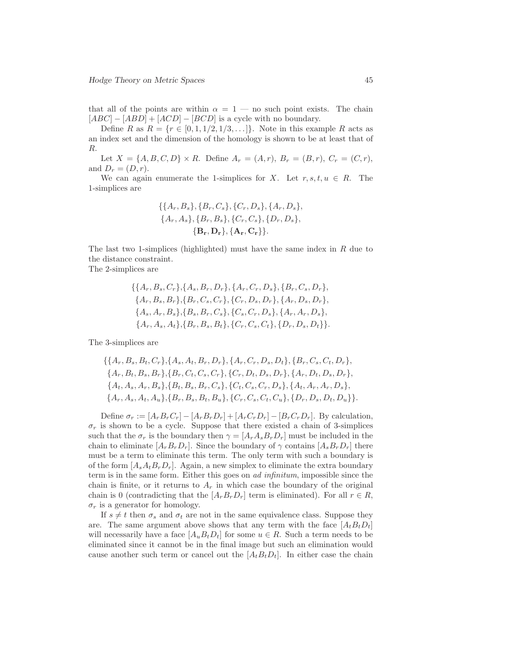that all of the points are within  $\alpha = 1$  — no such point exists. The chain  $[ABC] - [ABD] + [ACD] - [BCD]$  is a cycle with no boundary.

Define R as  $R = \{r \in [0, 1, 1/2, 1/3, \ldots]\}.$  Note in this example R acts as an index set and the dimension of the homology is shown to be at least that of R.

Let  $X = \{A, B, C, D\} \times R$ . Define  $A_r = (A, r)$ ,  $B_r = (B, r)$ ,  $C_r = (C, r)$ , and  $D_r = (D, r)$ .

We can again enumerate the 1-simplices for X. Let  $r, s, t, u \in R$ . The 1-simplices are

$$
\{\{A_r, B_s\}, \{B_r, C_s\}, \{C_r, D_s\}, \{A_r, D_s\},\
$$

$$
\{A_r, A_s\}, \{B_r, B_s\}, \{C_r, C_s\}, \{D_r, D_s\},\
$$

$$
\{\mathbf{B_r}, \mathbf{D_r}\}, \{\mathbf{A_r}, \mathbf{C_r}\}\}.
$$

The last two 1-simplices (highlighted) must have the same index in  $R$  due to the distance constraint.

The 2-simplices are

$$
\{\{A_r, B_s, C_r\}, \{A_s, B_r, D_r\}, \{A_r, C_r, D_s\}, \{B_r, C_s, D_r\},\
$$

$$
\{A_r, B_s, B_r\}, \{B_r, C_s, C_r\}, \{C_r, D_s, D_r\}, \{A_r, D_s, D_r\},\
$$

$$
\{A_s, A_r, B_s\}, \{B_s, B_r, C_s\}, \{C_s, C_r, D_s\}, \{A_r, A_r, D_s\},\
$$

$$
\{A_r, A_s, A_t\}, \{B_r, B_s, B_t\}, \{C_r, C_s, C_t\}, \{D_r, D_s, D_t\}\}.
$$

The 3-simplices are

$$
\{\{A_r, B_s, B_t, C_r\}, \{A_s, A_t, B_r, D_r\}, \{A_r, C_r, D_s, D_t\}, \{B_r, C_s, C_t, D_r\},\
$$

$$
\{A_r, B_t, B_s, B_r\}, \{B_r, C_t, C_s, C_r\}, \{C_r, D_t, D_s, D_r\}, \{A_r, D_t, D_s, D_r\},\
$$

$$
\{A_t, A_s, A_r, B_s\}, \{B_t, B_s, B_r, C_s\}, \{C_t, C_s, C_r, D_s\}, \{A_t, A_r, A_r, D_s\},\
$$

$$
\{A_r, A_s, A_t, A_u\}, \{B_r, B_s, B_t, B_u\}, \{C_r, C_s, C_t, C_u\}, \{D_r, D_s, D_t, D_u\}\}.
$$

Define  $\sigma_r := [A_r B_r C_r] - [A_r B_r D_r] + [A_r C_r D_r] - [B_r C_r D_r]$ . By calculation,  $\sigma_r$  is shown to be a cycle. Suppose that there existed a chain of 3-simplices such that the  $\sigma_r$  is the boundary then  $\gamma = [A_r A_s B_r D_r]$  must be included in the chain to eliminate  $[A_r B_r D_r]$ . Since the boundary of  $\gamma$  contains  $[A_s B_r D_r]$  there must be a term to eliminate this term. The only term with such a boundary is of the form  $[A_s A_t B_r D_r]$ . Again, a new simplex to eliminate the extra boundary term is in the same form. Either this goes on ad infinitum, impossible since the chain is finite, or it returns to  $A_r$  in which case the boundary of the original chain is 0 (contradicting that the  $[A_rB_rD_r]$  term is eliminated). For all  $r \in R$ ,  $\sigma_r$  is a generator for homology.

If  $s \neq t$  then  $\sigma_s$  and  $\sigma_t$  are not in the same equivalence class. Suppose they are. The same argument above shows that any term with the face  $[A_t B_t D_t]$ will necessarily have a face  $[A_u B_t D_t]$  for some  $u \in R$ . Such a term needs to be eliminated since it cannot be in the final image but such an elimination would cause another such term or cancel out the  $[A_t B_t D_t]$ . In either case the chain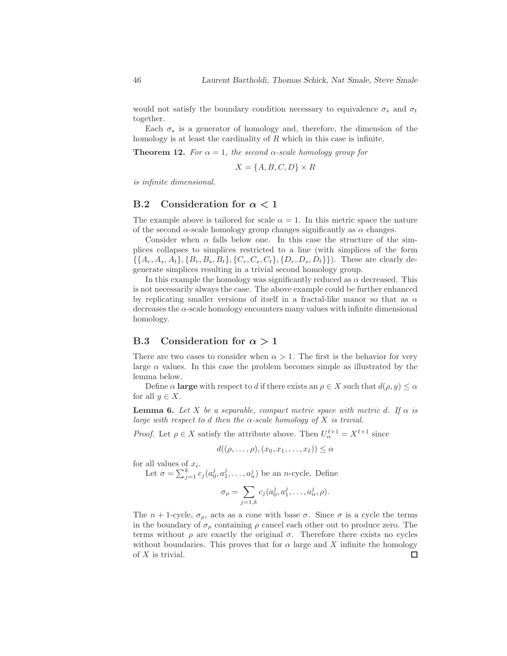would not satisfy the boundary condition necessary to equivalence  $\sigma_s$  and  $\sigma_t$ together.

Each  $\sigma_s$  is a generator of homology and, therefore, the dimension of the homology is at least the cardinality of  $R$  which in this case is infinite.

**Theorem 12.** For  $\alpha = 1$ , the second  $\alpha$ -scale homology group for

$$
X = \{A, B, C, D\} \times R
$$

is infinite dimensional.

### B.2 Consideration for  $\alpha < 1$

The example above is tailored for scale  $\alpha = 1$ . In this metric space the nature of the second  $\alpha$ -scale homology group changes significantly as  $\alpha$  changes.

Consider when  $\alpha$  falls below one. In this case the structure of the simplices collapses to simplices restricted to a line (with simplices of the form  $\{\{A_r, A_s, A_t\}, \{B_r, B_s, B_t\}, \{C_r, C_s, C_t\}, \{D_r, D_s, D_t\}\}\)$ . These are clearly degenerate simplices resulting in a trivial second homology group.

In this example the homology was significantly reduced as  $\alpha$  decreased. This is not necessarily always the case. The above example could be further enhanced by replicating smaller versions of itself in a fractal-like manor so that as  $\alpha$ decreases the  $\alpha$ -scale homology encounters many values with infinite dimensional homology.

### B.3 Consideration for  $\alpha > 1$

There are two cases to consider when  $\alpha > 1$ . The first is the behavior for very large  $\alpha$  values. In this case the problem becomes simple as illustrated by the lemma below.

Define  $\alpha$  large with respect to d if there exists an  $\rho \in X$  such that  $d(\rho, y) \leq \alpha$ for all  $y \in X$ .

**Lemma 6.** Let X be a separable, compact metric space with metric d. If  $\alpha$  is large with respect to d then the  $\alpha$ -scale homology of X is trivial.

*Proof.* Let  $\rho \in X$  satisfy the attribute above. Then  $U_{\alpha}^{\ell+1} = X^{\ell+1}$  since

$$
d((\rho,\ldots,\rho),(x_0,x_1,\ldots,x_\ell))\leq\alpha
$$

for all values of  $x_i$ .

Let  $\sigma = \sum_{j=1}^{k} c_j (a_0^j, a_1^j, \dots, a_n^j)$  be an *n*-cycle. Define

$$
\sigma_{\rho} = \sum_{j=1,k} c_j(a_0^j, a_1^j, \dots, a_n^j, \rho).
$$

The  $n + 1$ -cycle,  $\sigma_{\rho}$ , acts as a cone with base  $\sigma$ . Since  $\sigma$  is a cycle the terms in the boundary of  $\sigma_{\rho}$  containing  $\rho$  cancel each other out to produce zero. The terms without  $\rho$  are exactly the original  $\sigma$ . Therefore there exists no cycles without boundaries. This proves that for  $\alpha$  large and X infinite the homology of  $X$  is trivial.  $\Box$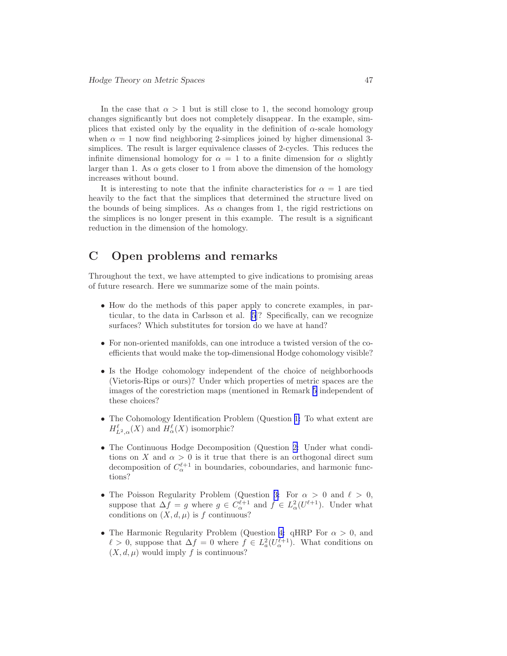In the case that  $\alpha > 1$  but is still close to 1, the second homology group changes significantly but does not completely disappear. In the example, simplices that existed only by the equality in the definition of  $\alpha$ -scale homology when  $\alpha = 1$  now find neighboring 2-simplices joined by higher dimensional 3simplices. The result is larger equivalence classes of 2-cycles. This reduces the infinite dimensional homology for  $\alpha = 1$  to a finite dimension for  $\alpha$  slightly larger than 1. As  $\alpha$  gets closer to 1 from above the dimension of the homology increases without bound.

It is interesting to note that the infinite characteristics for  $\alpha = 1$  are tied heavily to the fact that the simplices that determined the structure lived on the bounds of being simplices. As  $\alpha$  changes from 1, the rigid restrictions on the simplices is no longer present in this example. The result is a significant reduction in the dimension of the homology.

## C Open problems and remarks

Throughout the text, we have attempted to give indications to promising areas of future research. Here we summarize some of the main points.

- How do the methods of this paper apply to concrete examples, in particular, to the data in Carlsson et al. [\[5](#page-47-0)]? Specifically, can we recognize surfaces? Which substitutes for torsion do we have at hand?
- For non-oriented manifolds, can one introduce a twisted version of the coefficients that would make the top-dimensional Hodge cohomology visible?
- Is the Hodge cohomology independent of the choice of neighborhoods (Vietoris-Rips or ours)? Under which properties of metric spaces are the images of the corestriction maps (mentioned in Remark [5](#page-16-0) independent of these choices?
- The Cohomology Identification Problem (Question [1:](#page-25-0) To what extent are  $H_{L^2,\alpha}^{\ell}(X)$  and  $H_{\alpha}^{\ell}(X)$  isomorphic?
- The Continuous Hodge Decomposition (Question [2:](#page-26-0) Under what conditions on X and  $\alpha > 0$  is it true that there is an orthogonal direct sum decomposition of  $C_{\alpha}^{\ell+1}$  in boundaries, coboundaries, and harmonic functions?
- The Poisson Regularity Problem (Question [3:](#page-26-0) For  $\alpha > 0$  and  $\ell > 0$ , suppose that  $\Delta f = g$  where  $g \in C_{\alpha}^{\ell+1}$  and  $f \in L^2_{\alpha}(U^{\ell+1})$ . Under what conditions on  $(X, d, \mu)$  is f continuous?
- The Harmonic Regularity Problem (Question [4:](#page-27-0) qHRP For  $\alpha > 0$ , and  $\ell > 0$ , suppose that  $\Delta f = 0$  where  $f \in L^2_a(U_\alpha^{\ell+1})$ . What conditions on  $(X, d, \mu)$  would imply f is continuous?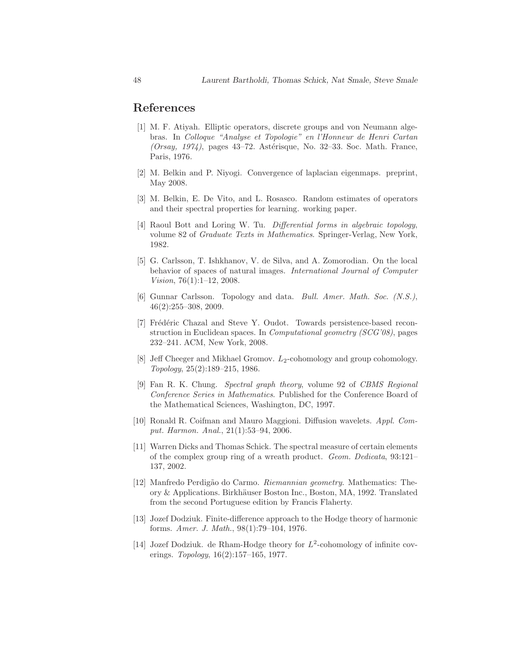## <span id="page-47-0"></span>References

- [1] M. F. Atiyah. Elliptic operators, discrete groups and von Neumann algebras. In Colloque "Analyse et Topologie" en l'Honneur de Henri Cartan  $(Orsay, 1974)$ , pages 43–72. Astérisque, No. 32–33. Soc. Math. France, Paris, 1976.
- [2] M. Belkin and P. Niyogi. Convergence of laplacian eigenmaps. preprint, May 2008.
- [3] M. Belkin, E. De Vito, and L. Rosasco. Random estimates of operators and their spectral properties for learning. working paper.
- [4] Raoul Bott and Loring W. Tu. Differential forms in algebraic topology, volume 82 of Graduate Texts in Mathematics. Springer-Verlag, New York, 1982.
- [5] G. Carlsson, T. Ishkhanov, V. de Silva, and A. Zomorodian. On the local behavior of spaces of natural images. International Journal of Computer Vision, 76 $(1):1-12$ , 2008.
- [6] Gunnar Carlsson. Topology and data. Bull. Amer. Math. Soc. (N.S.), 46(2):255–308, 2009.
- [7] Frédéric Chazal and Steve Y. Oudot. Towards persistence-based reconstruction in Euclidean spaces. In Computational geometry (SCG'08), pages 232–241. ACM, New York, 2008.
- [8] Jeff Cheeger and Mikhael Gromov.  $L_2$ -cohomology and group cohomology. Topology, 25(2):189–215, 1986.
- [9] Fan R. K. Chung. Spectral graph theory, volume 92 of CBMS Regional Conference Series in Mathematics. Published for the Conference Board of the Mathematical Sciences, Washington, DC, 1997.
- [10] Ronald R. Coifman and Mauro Maggioni. Diffusion wavelets. Appl. Comput. Harmon. Anal., 21(1):53–94, 2006.
- [11] Warren Dicks and Thomas Schick. The spectral measure of certain elements of the complex group ring of a wreath product. Geom. Dedicata, 93:121– 137, 2002.
- [12] Manfredo Perdig˜ao do Carmo. Riemannian geometry. Mathematics: Theory & Applications. Birkhäuser Boston Inc., Boston, MA, 1992. Translated from the second Portuguese edition by Francis Flaherty.
- [13] Jozef Dodziuk. Finite-difference approach to the Hodge theory of harmonic forms. Amer. J. Math., 98(1):79–104, 1976.
- [14] Jozef Dodziuk. de Rham-Hodge theory for  $L^2$ -cohomology of infinite coverings. Topology, 16(2):157–165, 1977.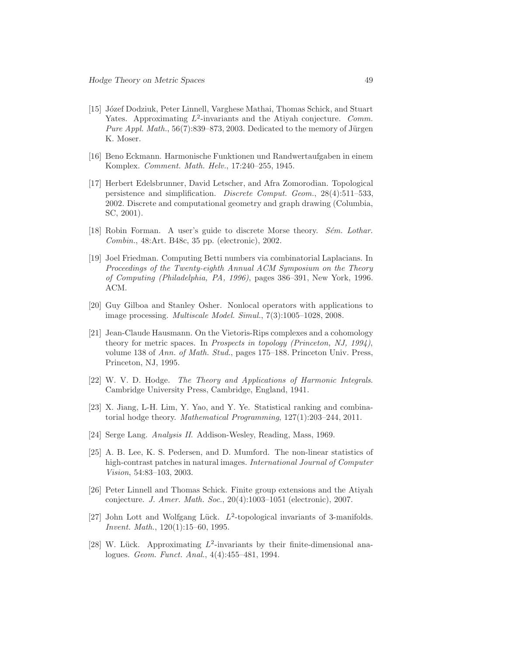- <span id="page-48-0"></span>[15] Józef Dodziuk, Peter Linnell, Varghese Mathai, Thomas Schick, and Stuart Yates. Approximating  $L^2$ -invariants and the Atiyah conjecture. Comm. *Pure Appl. Math.*,  $56(7):839-873, 2003$ . Dedicated to the memory of Jürgen K. Moser.
- [16] Beno Eckmann. Harmonische Funktionen und Randwertaufgaben in einem Komplex. Comment. Math. Helv., 17:240–255, 1945.
- [17] Herbert Edelsbrunner, David Letscher, and Afra Zomorodian. Topological persistence and simplification. Discrete Comput. Geom., 28(4):511–533, 2002. Discrete and computational geometry and graph drawing (Columbia, SC, 2001).
- [18] Robin Forman. A user's guide to discrete Morse theory. Sém. Lothar. Combin., 48:Art. B48c, 35 pp. (electronic), 2002.
- [19] Joel Friedman. Computing Betti numbers via combinatorial Laplacians. In Proceedings of the Twenty-eighth Annual ACM Symposium on the Theory of Computing (Philadelphia, PA, 1996), pages 386–391, New York, 1996. ACM.
- [20] Guy Gilboa and Stanley Osher. Nonlocal operators with applications to image processing. Multiscale Model. Simul., 7(3):1005–1028, 2008.
- [21] Jean-Claude Hausmann. On the Vietoris-Rips complexes and a cohomology theory for metric spaces. In Prospects in topology (Princeton, NJ, 1994), volume 138 of Ann. of Math. Stud., pages 175–188. Princeton Univ. Press, Princeton, NJ, 1995.
- [22] W. V. D. Hodge. The Theory and Applications of Harmonic Integrals. Cambridge University Press, Cambridge, England, 1941.
- [23] X. Jiang, L-H. Lim, Y. Yao, and Y. Ye. Statistical ranking and combinatorial hodge theory. Mathematical Programming, 127(1):203–244, 2011.
- [24] Serge Lang. Analysis II. Addison-Wesley, Reading, Mass, 1969.
- [25] A. B. Lee, K. S. Pedersen, and D. Mumford. The non-linear statistics of high-contrast patches in natural images. International Journal of Computer Vision, 54:83–103, 2003.
- [26] Peter Linnell and Thomas Schick. Finite group extensions and the Atiyah conjecture. J. Amer. Math. Soc., 20(4):1003–1051 (electronic), 2007.
- [27] John Lott and Wolfgang Lück.  $L^2$ -topological invariants of 3-manifolds. Invent. Math., 120(1):15–60, 1995.
- [28] W. Lück. Approximating  $L^2$ -invariants by their finite-dimensional analogues. Geom. Funct. Anal., 4(4):455–481, 1994.